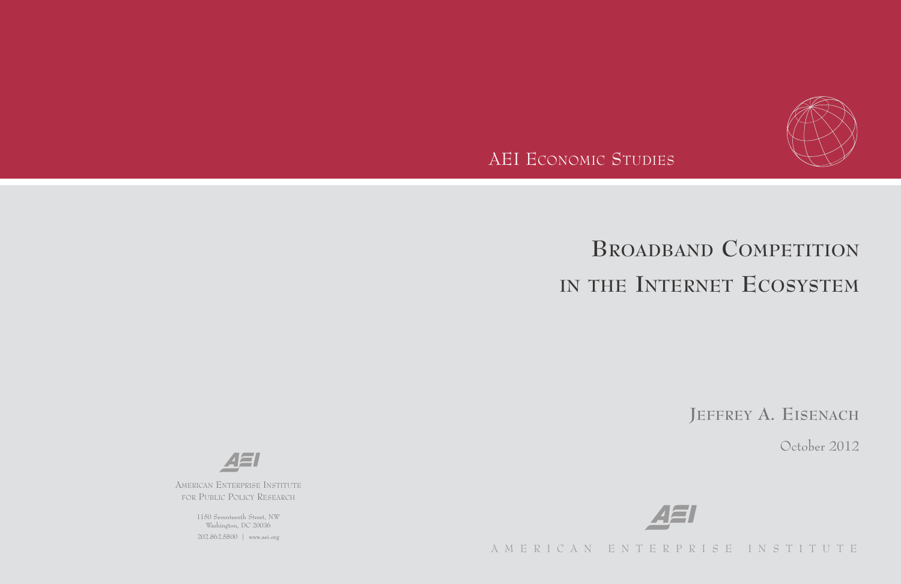

AEI ECONOMIC STUDIES

# **BROADBAND COMPETITION IN THE INTERNET ECOSYSTEM**

**JEFFREY A. EISENACH**

October 2012



AMERICAN ENTERPRISE INSTITUTE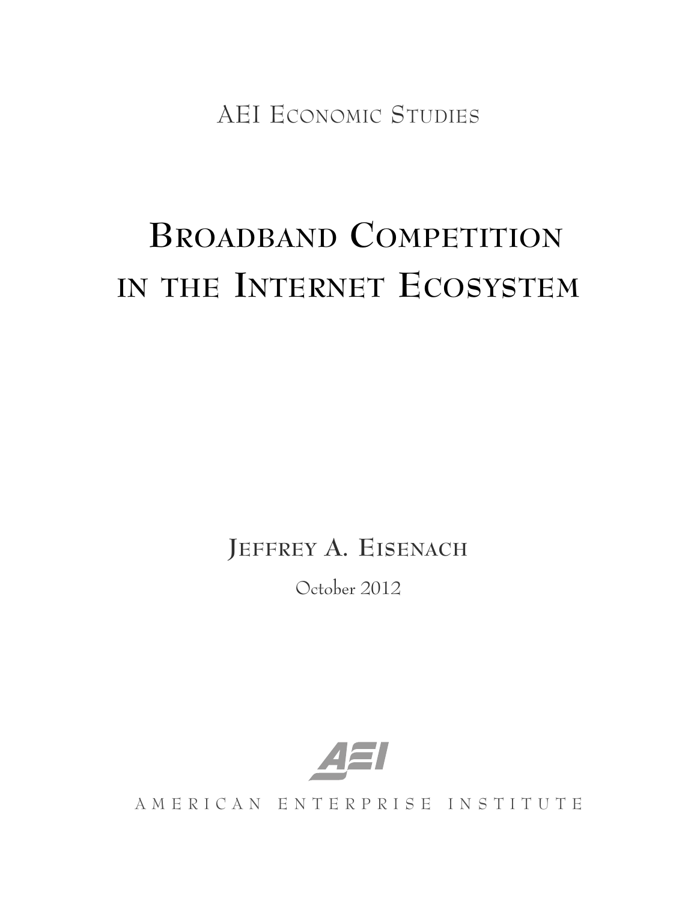AEI ECONOMIC STUDIES

# **BROADBAND COMPETITION IN THE INTERNET ECOSYSTEM**

**JEFFREY A. EISENACH**

October 2012



AMERICAN ENTERPRISE INSTITUTE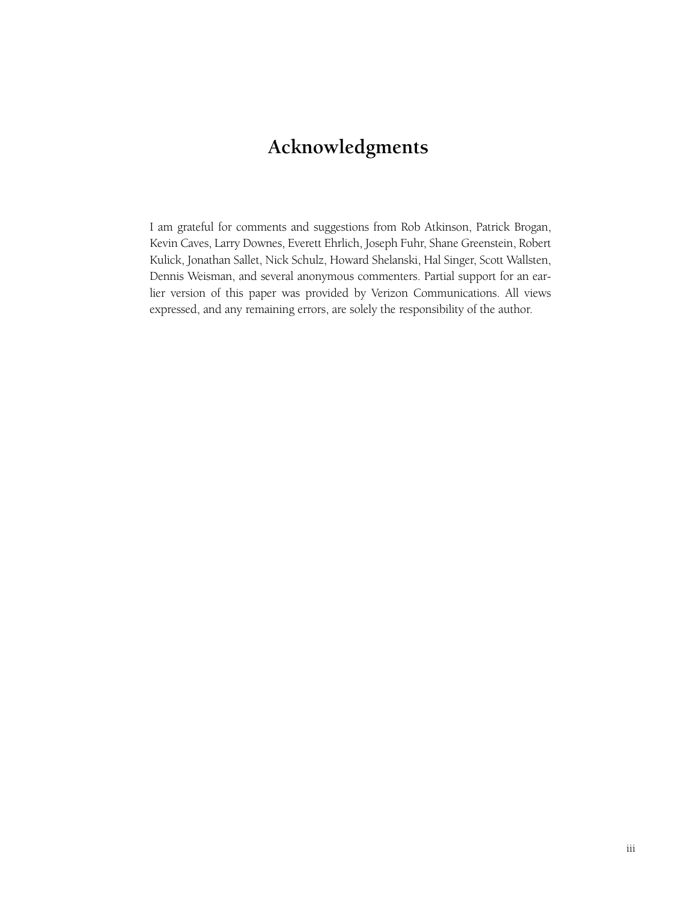# **Acknowledgments**

I am grateful for comments and suggestions from Rob Atkinson, Patrick Brogan, Kevin Caves, Larry Downes, Everett Ehrlich, Joseph Fuhr, Shane Greenstein, Robert Kulick, Jonathan Sallet, Nick Schulz, Howard Shelanski, Hal Singer, Scott Wallsten, Dennis Weisman, and several anonymous commenters. Partial support for an earlier version of this paper was provided by Verizon Communications. All views expressed, and any remaining errors, are solely the responsibility of the author.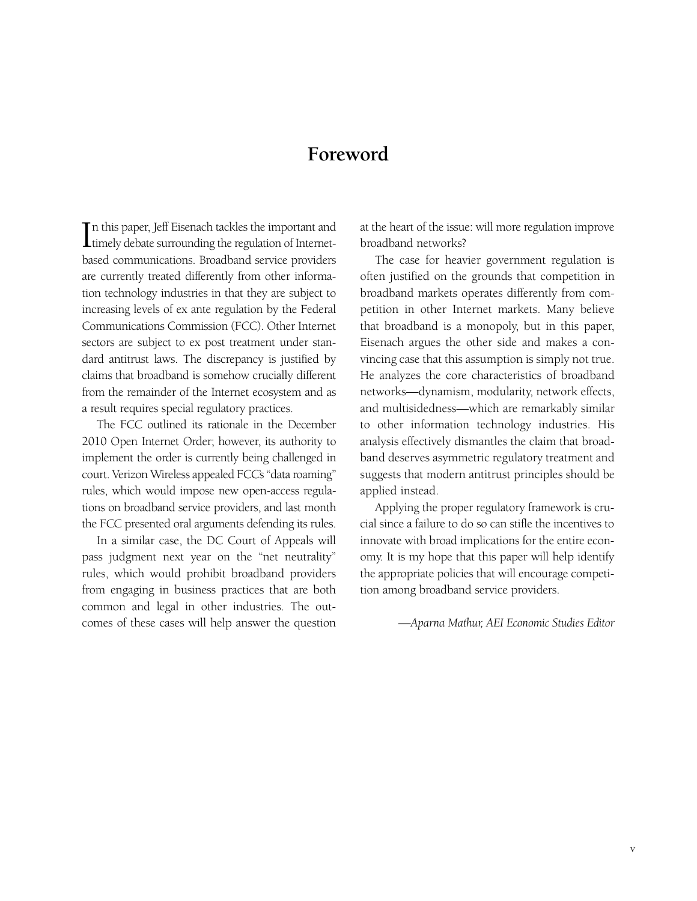## **Foreword**

In this paper, Jeff Eisenach tackles the important and<br>timely debate surrounding the regulation of Internetn this paper, Jeff Eisenach tackles the important and based communications. Broadband service providers are currently treated differently from other information technology industries in that they are subject to increasing levels of ex ante regulation by the Federal Communications Commission (FCC). Other Internet sectors are subject to ex post treatment under standard antitrust laws. The discrepancy is justified by claims that broadband is somehow crucially different from the remainder of the Internet ecosystem and as a result requires special regulatory practices.

The FCC outlined its rationale in the December 2010 Open Internet Order; however, its authority to implement the order is currently being challenged in court. Verizon Wireless appealed FCC's "data roaming" rules, which would impose new open-access regulations on broadband service providers, and last month the FCC presented oral arguments defending its rules.

In a similar case, the DC Court of Appeals will pass judgment next year on the "net neutrality" rules, which would prohibit broadband providers from engaging in business practices that are both common and legal in other industries. The outcomes of these cases will help answer the question at the heart of the issue: will more regulation improve broadband networks?

The case for heavier government regulation is often justified on the grounds that competition in broadband markets operates differently from competition in other Internet markets. Many believe that broadband is a monopoly, but in this paper, Eisenach argues the other side and makes a convincing case that this assumption is simply not true. He analyzes the core characteristics of broadband networks—dynamism, modularity, network effects, and multisidedness—which are remarkably similar to other information technology industries. His analysis effectively dismantles the claim that broadband deserves asymmetric regulatory treatment and suggests that modern antitrust principles should be applied instead.

Applying the proper regulatory framework is crucial since a failure to do so can stifle the incentives to innovate with broad implications for the entire economy. It is my hope that this paper will help identify the appropriate policies that will encourage competition among broadband service providers.

*—Aparna Mathur, AEI Economic Studies Editor*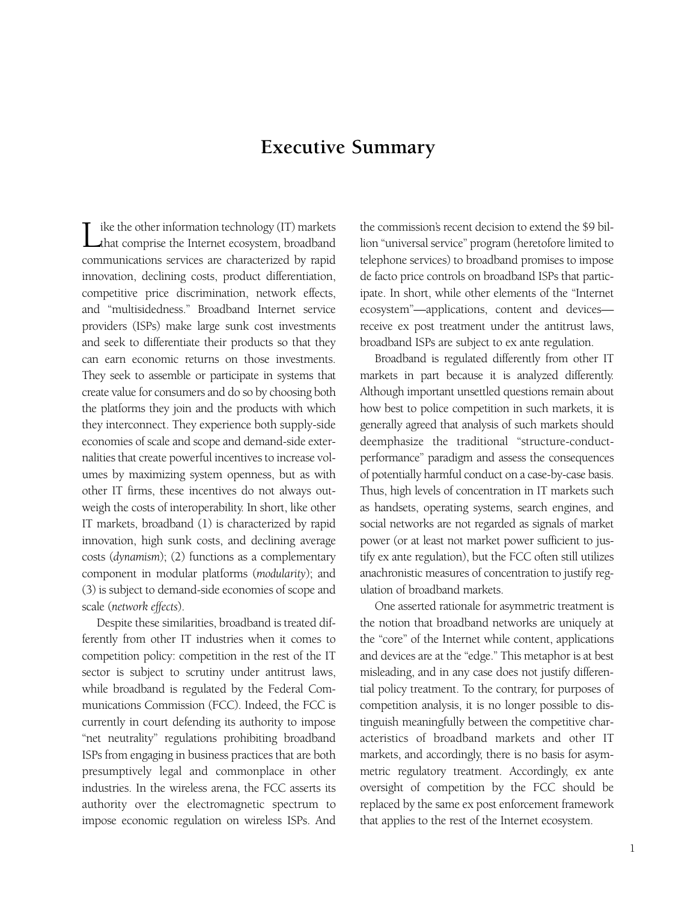### **Executive Summary**

Like the other information technology (IT) markets<br>that comprise the Internet ecosystem, broadband communications services are characterized by rapid innovation, declining costs, product differentiation, competitive price discrimination, network effects, and "multisidedness." Broadband Internet service providers (ISPs) make large sunk cost investments and seek to differentiate their products so that they can earn economic returns on those investments. They seek to assemble or participate in systems that create value for consumers and do so by choosing both the platforms they join and the products with which they interconnect. They experience both supply-side economies of scale and scope and demand-side externalities that create powerful incentives to increase volumes by maximizing system openness, but as with other IT firms, these incentives do not always outweigh the costs of interoperability. In short, like other IT markets, broadband (1) is characterized by rapid innovation, high sunk costs, and declining average costs (*dynamism*); (2) functions as a complementary component in modular platforms (*modularity*); and (3) is subject to demand-side economies of scope and scale (*network effects*).

Despite these similarities, broadband is treated differently from other IT industries when it comes to competition policy: competition in the rest of the IT sector is subject to scrutiny under antitrust laws, while broadband is regulated by the Federal Communications Commission (FCC). Indeed, the FCC is currently in court defending its authority to impose "net neutrality" regulations prohibiting broadband ISPs from engaging in business practices that are both presumptively legal and commonplace in other industries. In the wireless arena, the FCC asserts its authority over the electromagnetic spectrum to impose economic regulation on wireless ISPs. And the commission's recent decision to extend the \$9 billion "universal service" program (heretofore limited to telephone services) to broadband promises to impose de facto price controls on broadband ISPs that participate. In short, while other elements of the "Internet ecosystem"—applications, content and devices receive ex post treatment under the antitrust laws, broadband ISPs are subject to ex ante regulation.

Broadband is regulated differently from other IT markets in part because it is analyzed differently. Although important unsettled questions remain about how best to police competition in such markets, it is generally agreed that analysis of such markets should deemphasize the traditional "structure-conductperformance" paradigm and assess the consequences of potentially harmful conduct on a case-by-case basis. Thus, high levels of concentration in IT markets such as handsets, operating systems, search engines, and social networks are not regarded as signals of market power (or at least not market power sufficient to justify ex ante regulation), but the FCC often still utilizes anachronistic measures of concentration to justify regulation of broadband markets.

One asserted rationale for asymmetric treatment is the notion that broadband networks are uniquely at the "core" of the Internet while content, applications and devices are at the "edge." This metaphor is at best misleading, and in any case does not justify differential policy treatment. To the contrary, for purposes of competition analysis, it is no longer possible to distinguish meaningfully between the competitive characteristics of broadband markets and other IT markets, and accordingly, there is no basis for asymmetric regulatory treatment. Accordingly, ex ante oversight of competition by the FCC should be replaced by the same ex post enforcement framework that applies to the rest of the Internet ecosystem.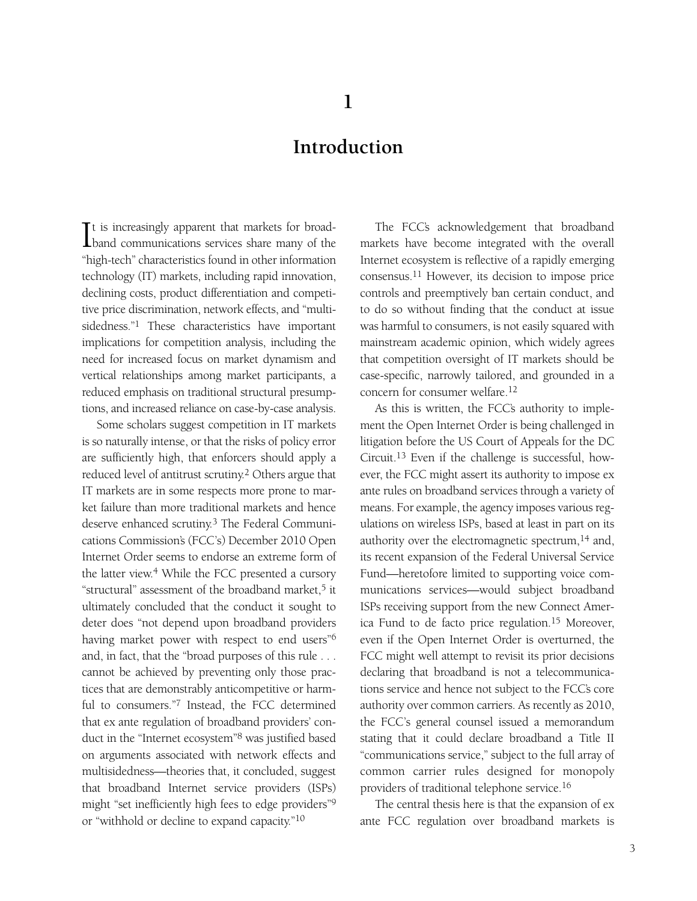## **Introduction**

It is increasingly apparent that markets for broad-<br>band communications services share many of the It is increasingly apparent that markets for broad-"high-tech" characteristics found in other information technology (IT) markets, including rapid innovation, declining costs, product differentiation and competitive price discrimination, network effects, and "multisidedness."1 These characteristics have important implications for competition analysis, including the need for increased focus on market dynamism and vertical relationships among market participants, a reduced emphasis on traditional structural presumptions, and increased reliance on case-by-case analysis.

Some scholars suggest competition in IT markets is so naturally intense, or that the risks of policy error are sufficiently high, that enforcers should apply a reduced level of antitrust scrutiny.2 Others argue that IT markets are in some respects more prone to market failure than more traditional markets and hence deserve enhanced scrutiny.3 The Federal Communications Commission's (FCC's) December 2010 Open Internet Order seems to endorse an extreme form of the latter view.4 While the FCC presented a cursory "structural" assessment of the broadband market,<sup>5</sup> it ultimately concluded that the conduct it sought to deter does "not depend upon broadband providers having market power with respect to end users"6 and, in fact, that the "broad purposes of this rule . . . cannot be achieved by preventing only those practices that are demonstrably anticompetitive or harmful to consumers."7 Instead, the FCC determined that ex ante regulation of broadband providers' conduct in the "Internet ecosystem"8 was justified based on arguments associated with network effects and multisidedness—theories that, it concluded, suggest that broadband Internet service providers (ISPs) might "set inefficiently high fees to edge providers"9 or "withhold or decline to expand capacity."10

The FCC's acknowledgement that broadband markets have become integrated with the overall Internet ecosystem is reflective of a rapidly emerging consensus.11 However, its decision to impose price controls and preemptively ban certain conduct, and to do so without finding that the conduct at issue was harmful to consumers, is not easily squared with mainstream academic opinion, which widely agrees that competition oversight of IT markets should be case-specific, narrowly tailored, and grounded in a concern for consumer welfare.12

As this is written, the FCC's authority to implement the Open Internet Order is being challenged in litigation before the US Court of Appeals for the DC Circuit.13 Even if the challenge is successful, however, the FCC might assert its authority to impose ex ante rules on broadband services through a variety of means. For example, the agency imposes various regulations on wireless ISPs, based at least in part on its authority over the electromagnetic spectrum,14 and, its recent expansion of the Federal Universal Service Fund—heretofore limited to supporting voice communications services—would subject broadband ISPs receiving support from the new Connect America Fund to de facto price regulation.15 Moreover, even if the Open Internet Order is overturned, the FCC might well attempt to revisit its prior decisions declaring that broadband is not a telecommunications service and hence not subject to the FCC's core authority over common carriers. As recently as 2010, the FCC's general counsel issued a memorandum stating that it could declare broadband a Title II "communications service," subject to the full array of common carrier rules designed for monopoly providers of traditional telephone service.16

The central thesis here is that the expansion of ex ante FCC regulation over broadband markets is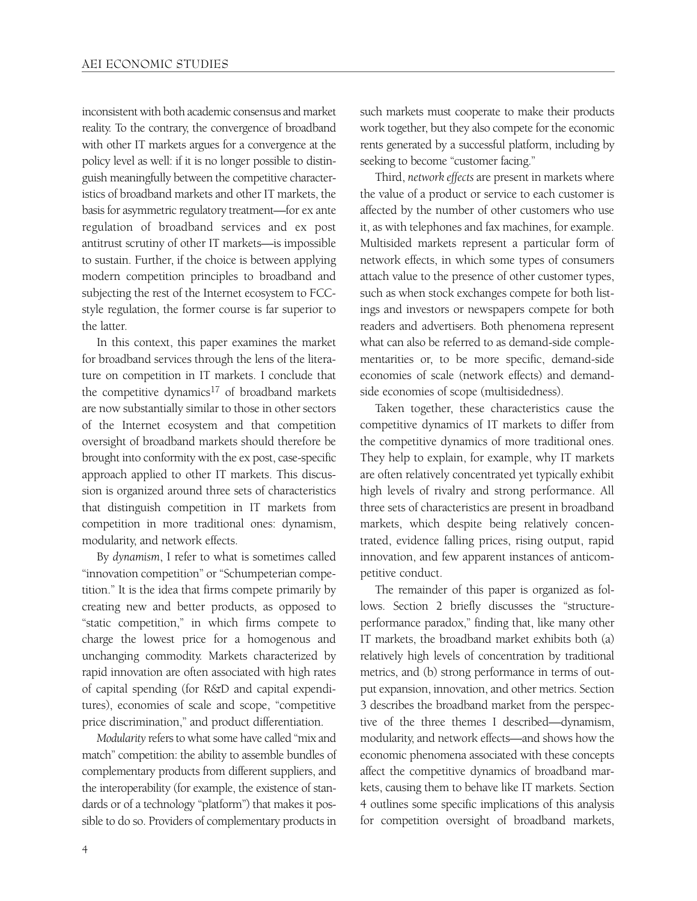inconsistent with both academic consensus and market reality. To the contrary, the convergence of broadband with other IT markets argues for a convergence at the policy level as well: if it is no longer possible to distinguish meaningfully between the competitive characteristics of broadband markets and other IT markets, the basis for asymmetric regulatory treatment—for ex ante regulation of broadband services and ex post antitrust scrutiny of other IT markets—is impossible to sustain. Further, if the choice is between applying modern competition principles to broadband and subjecting the rest of the Internet ecosystem to FCCstyle regulation, the former course is far superior to the latter.

In this context, this paper examines the market for broadband services through the lens of the literature on competition in IT markets. I conclude that the competitive dynamics<sup>17</sup> of broadband markets are now substantially similar to those in other sectors of the Internet ecosystem and that competition oversight of broadband markets should therefore be brought into conformity with the ex post, case-specific approach applied to other IT markets. This discussion is organized around three sets of characteristics that distinguish competition in IT markets from competition in more traditional ones: dynamism, modularity, and network effects.

By *dynamism*, I refer to what is sometimes called "innovation competition" or "Schumpeterian competition." It is the idea that firms compete primarily by creating new and better products, as opposed to "static competition," in which firms compete to charge the lowest price for a homogenous and unchanging commodity. Markets characterized by rapid innovation are often associated with high rates of capital spending (for R&D and capital expenditures), economies of scale and scope, "competitive price discrimination," and product differentiation.

*Modularity* refers to what some have called "mix and match" competition: the ability to assemble bundles of complementary products from different suppliers, and the interoperability (for example, the existence of standards or of a technology "platform") that makes it possible to do so. Providers of complementary products in such markets must cooperate to make their products work together, but they also compete for the economic rents generated by a successful platform, including by seeking to become "customer facing."

Third, *network effects* are present in markets where the value of a product or service to each customer is affected by the number of other customers who use it, as with telephones and fax machines, for example. Multisided markets represent a particular form of network effects, in which some types of consumers attach value to the presence of other customer types, such as when stock exchanges compete for both listings and investors or newspapers compete for both readers and advertisers. Both phenomena represent what can also be referred to as demand-side complementarities or, to be more specific, demand-side economies of scale (network effects) and demandside economies of scope (multisidedness).

Taken together, these characteristics cause the competitive dynamics of IT markets to differ from the competitive dynamics of more traditional ones. They help to explain, for example, why IT markets are often relatively concentrated yet typically exhibit high levels of rivalry and strong performance. All three sets of characteristics are present in broadband markets, which despite being relatively concentrated, evidence falling prices, rising output, rapid innovation, and few apparent instances of anticompetitive conduct.

The remainder of this paper is organized as follows. Section 2 briefly discusses the "structureperformance paradox," finding that, like many other IT markets, the broadband market exhibits both (a) relatively high levels of concentration by traditional metrics, and (b) strong performance in terms of output expansion, innovation, and other metrics. Section 3 describes the broadband market from the perspective of the three themes I described—dynamism, modularity, and network effects—and shows how the economic phenomena associated with these concepts affect the competitive dynamics of broadband markets, causing them to behave like IT markets. Section 4 outlines some specific implications of this analysis for competition oversight of broadband markets,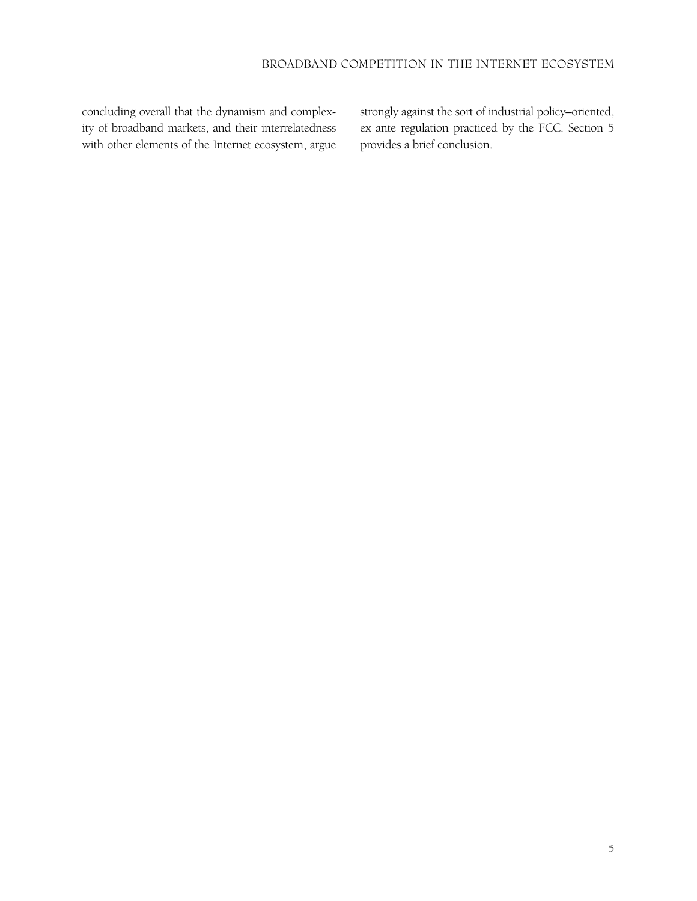concluding overall that the dynamism and complexity of broadband markets, and their interrelatedness with other elements of the Internet ecosystem, argue strongly against the sort of industrial policy–oriented, ex ante regulation practiced by the FCC. Section 5 provides a brief conclusion.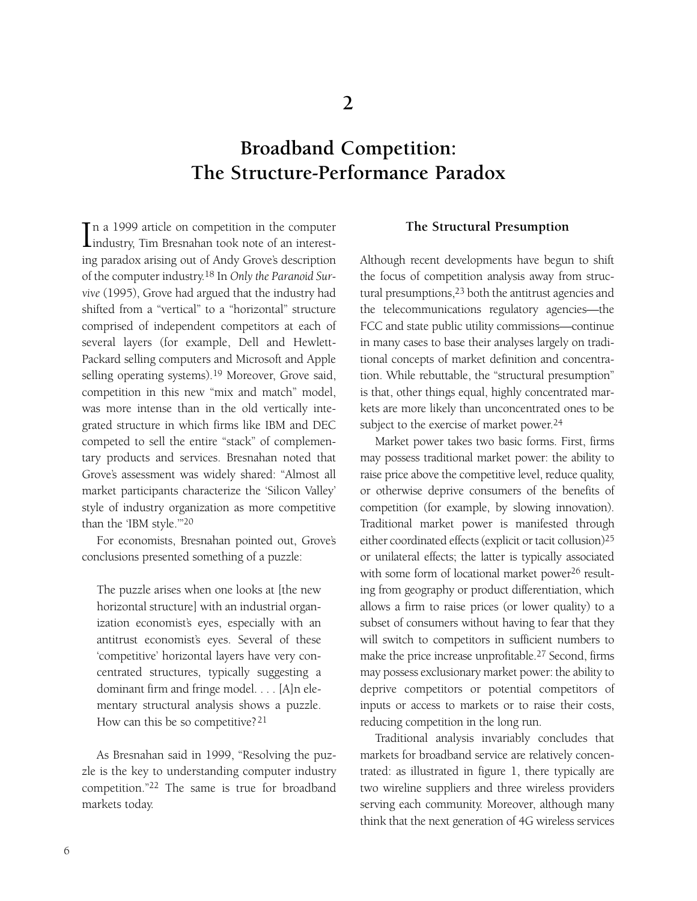# **Broadband Competition: The Structure-Performance Paradox**

In a 1999 article on competition in the computer<br>industry, Tim Bresnahan took note of an interestn a 1999 article on competition in the computer ing paradox arising out of Andy Grove's description of the computer industry.18 In *Only the Paranoid Survive* (1995), Grove had argued that the industry had shifted from a "vertical" to a "horizontal" structure comprised of independent competitors at each of several layers (for example, Dell and Hewlett-Packard selling computers and Microsoft and Apple selling operating systems).19 Moreover, Grove said, competition in this new "mix and match" model, was more intense than in the old vertically integrated structure in which firms like IBM and DEC competed to sell the entire "stack" of complementary products and services. Bresnahan noted that Grove's assessment was widely shared: "Almost all market participants characterize the 'Silicon Valley' style of industry organization as more competitive than the 'IBM style.'"20

For economists, Bresnahan pointed out, Grove's conclusions presented something of a puzzle:

The puzzle arises when one looks at [the new horizontal structure] with an industrial organization economist's eyes, especially with an antitrust economist's eyes. Several of these 'competitive' horizontal layers have very concentrated structures, typically suggesting a dominant firm and fringe model. . . . [A]n elementary structural analysis shows a puzzle. How can this be so competitive? 21

As Bresnahan said in 1999, "Resolving the puzzle is the key to understanding computer industry competition."22 The same is true for broadband markets today.

#### **The Structural Presumption**

Although recent developments have begun to shift the focus of competition analysis away from structural presumptions,<sup>23</sup> both the antitrust agencies and the telecommunications regulatory agencies—the FCC and state public utility commissions—continue in many cases to base their analyses largely on traditional concepts of market definition and concentration. While rebuttable, the "structural presumption" is that, other things equal, highly concentrated markets are more likely than unconcentrated ones to be subject to the exercise of market power.<sup>24</sup>

Market power takes two basic forms. First, firms may possess traditional market power: the ability to raise price above the competitive level, reduce quality, or otherwise deprive consumers of the benefits of competition (for example, by slowing innovation). Traditional market power is manifested through either coordinated effects (explicit or tacit collusion)25 or unilateral effects; the latter is typically associated with some form of locational market power<sup>26</sup> resulting from geography or product differentiation, which allows a firm to raise prices (or lower quality) to a subset of consumers without having to fear that they will switch to competitors in sufficient numbers to make the price increase unprofitable.27 Second, firms may possess exclusionary market power: the ability to deprive competitors or potential competitors of inputs or access to markets or to raise their costs, reducing competition in the long run.

Traditional analysis invariably concludes that markets for broadband service are relatively concentrated: as illustrated in figure 1, there typically are two wireline suppliers and three wireless providers serving each community. Moreover, although many think that the next generation of 4G wireless services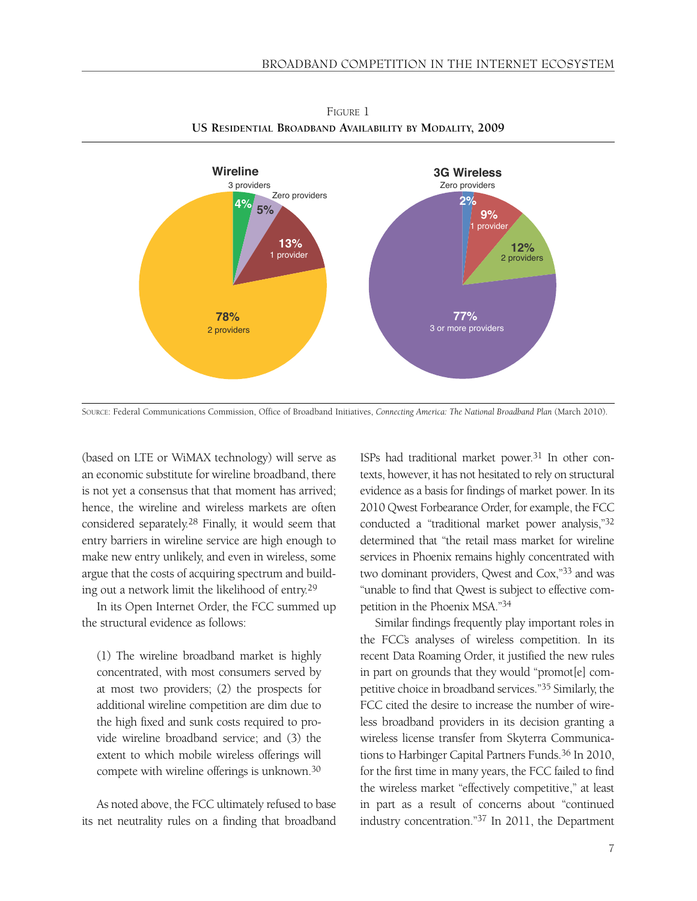

FIGURE 1 **US RESIDENTIAL BROADBAND AVAILABILITY BY MODALITY, 2009**

SOURCE: Federal Communications Commission, Office of Broadband Initiatives, *Connecting America: The National Broadband Plan* (March 2010).

(based on LTE or WiMAX technology) will serve as an economic substitute for wireline broadband, there is not yet a consensus that that moment has arrived; hence, the wireline and wireless markets are often considered separately.28 Finally, it would seem that entry barriers in wireline service are high enough to make new entry unlikely, and even in wireless, some argue that the costs of acquiring spectrum and building out a network limit the likelihood of entry.29

In its Open Internet Order, the FCC summed up the structural evidence as follows:

(1) The wireline broadband market is highly concentrated, with most consumers served by at most two providers; (2) the prospects for additional wireline competition are dim due to the high fixed and sunk costs required to provide wireline broadband service; and (3) the extent to which mobile wireless offerings will compete with wireline offerings is unknown.30

As noted above, the FCC ultimately refused to base its net neutrality rules on a finding that broadband ISPs had traditional market power.<sup>31</sup> In other contexts, however, it has not hesitated to rely on structural evidence as a basis for findings of market power. In its 2010 Qwest Forbearance Order, for example, the FCC conducted a "traditional market power analysis,"32 determined that "the retail mass market for wireline services in Phoenix remains highly concentrated with two dominant providers, Qwest and Cox,"33 and was "unable to find that Qwest is subject to effective competition in the Phoenix MSA."34

Similar findings frequently play important roles in the FCC's analyses of wireless competition. In its recent Data Roaming Order, it justified the new rules in part on grounds that they would "promot[e] competitive choice in broadband services."35 Similarly, the FCC cited the desire to increase the number of wireless broadband providers in its decision granting a wireless license transfer from Skyterra Communications to Harbinger Capital Partners Funds.<sup>36</sup> In 2010, for the first time in many years, the FCC failed to find the wireless market "effectively competitive," at least in part as a result of concerns about "continued industry concentration."37 In 2011, the Department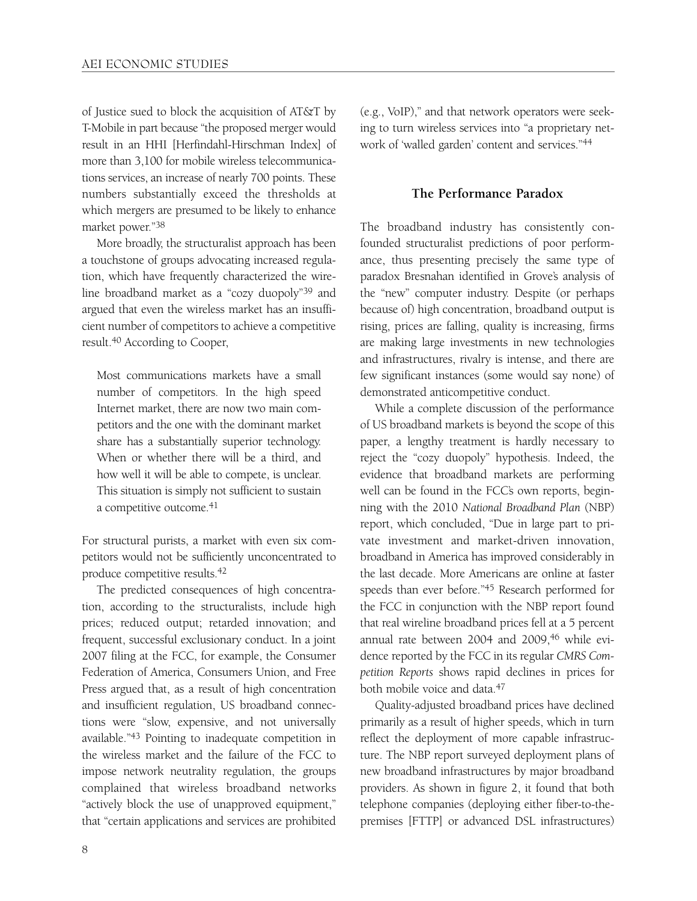of Justice sued to block the acquisition of AT&T by T-Mobile in part because "the proposed merger would result in an HHI [Herfindahl-Hirschman Index] of more than 3,100 for mobile wireless telecommunications services, an increase of nearly 700 points. These numbers substantially exceed the thresholds at which mergers are presumed to be likely to enhance market power."38

More broadly, the structuralist approach has been a touchstone of groups advocating increased regulation, which have frequently characterized the wireline broadband market as a "cozy duopoly"39 and argued that even the wireless market has an insufficient number of competitors to achieve a competitive result.40 According to Cooper,

Most communications markets have a small number of competitors. In the high speed Internet market, there are now two main competitors and the one with the dominant market share has a substantially superior technology. When or whether there will be a third, and how well it will be able to compete, is unclear. This situation is simply not sufficient to sustain a competitive outcome.<sup>41</sup>

For structural purists, a market with even six competitors would not be sufficiently unconcentrated to produce competitive results.42

The predicted consequences of high concentration, according to the structuralists, include high prices; reduced output; retarded innovation; and frequent, successful exclusionary conduct. In a joint 2007 filing at the FCC, for example, the Consumer Federation of America, Consumers Union, and Free Press argued that, as a result of high concentration and insufficient regulation, US broadband connections were "slow, expensive, and not universally available."43 Pointing to inadequate competition in the wireless market and the failure of the FCC to impose network neutrality regulation, the groups complained that wireless broadband networks "actively block the use of unapproved equipment," that "certain applications and services are prohibited

(e.g., VoIP)," and that network operators were seeking to turn wireless services into "a proprietary network of 'walled garden' content and services."44

#### **The Performance Paradox**

The broadband industry has consistently confounded structuralist predictions of poor performance, thus presenting precisely the same type of paradox Bresnahan identified in Grove's analysis of the "new" computer industry. Despite (or perhaps because of) high concentration, broadband output is rising, prices are falling, quality is increasing, firms are making large investments in new technologies and infrastructures, rivalry is intense, and there are few significant instances (some would say none) of demonstrated anticompetitive conduct.

While a complete discussion of the performance of US broadband markets is beyond the scope of this paper, a lengthy treatment is hardly necessary to reject the "cozy duopoly" hypothesis. Indeed, the evidence that broadband markets are performing well can be found in the FCC's own reports, beginning with the 2010 *National Broadband Plan* (NBP) report, which concluded, "Due in large part to private investment and market-driven innovation, broadband in America has improved considerably in the last decade. More Americans are online at faster speeds than ever before."45 Research performed for the FCC in conjunction with the NBP report found that real wireline broadband prices fell at a 5 percent annual rate between 2004 and 2009,<sup>46</sup> while evidence reported by the FCC in its regular *CMRS Competition Reports* shows rapid declines in prices for both mobile voice and data.47

Quality-adjusted broadband prices have declined primarily as a result of higher speeds, which in turn reflect the deployment of more capable infrastructure. The NBP report surveyed deployment plans of new broadband infrastructures by major broadband providers. As shown in figure 2, it found that both telephone companies (deploying either fiber-to-thepremises [FTTP] or advanced DSL infrastructures)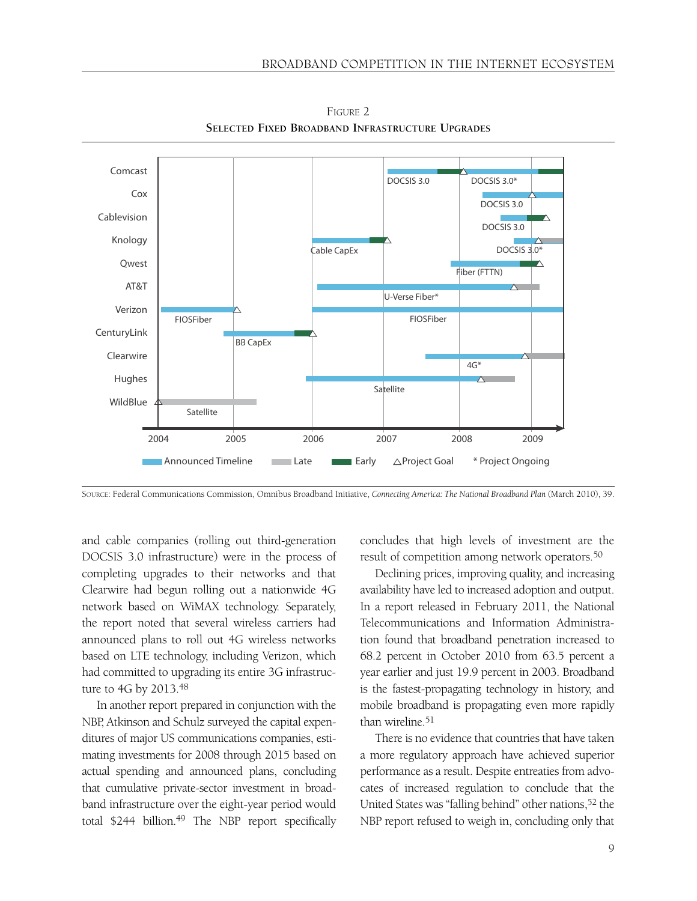

FIGURE 2 **SELECTED FIXED BROADBAND INFRASTRUCTURE UPGRADES**

SOURCE: Federal Communications Commission, Omnibus Broadband Initiative, *Connecting America: The National Broadband Plan* (March 2010), 39.

and cable companies (rolling out third-generation DOCSIS 3.0 infrastructure) were in the process of completing upgrades to their networks and that Clearwire had begun rolling out a nationwide 4G network based on WiMAX technology. Separately, the report noted that several wireless carriers had announced plans to roll out 4G wireless networks based on LTE technology, including Verizon, which had committed to upgrading its entire 3G infrastructure to 4G by 2013.48

In another report prepared in conjunction with the NBP, Atkinson and Schulz surveyed the capital expenditures of major US communications companies, estimating investments for 2008 through 2015 based on actual spending and announced plans, concluding that cumulative private-sector investment in broadband infrastructure over the eight-year period would total \$244 billion.<sup>49</sup> The NBP report specifically concludes that high levels of investment are the result of competition among network operators.50

Declining prices, improving quality, and increasing availability have led to increased adoption and output. In a report released in February 2011, the National Telecommunications and Information Administration found that broadband penetration increased to 68.2 percent in October 2010 from 63.5 percent a year earlier and just 19.9 percent in 2003. Broadband is the fastest-propagating technology in history, and mobile broadband is propagating even more rapidly than wireline.51

There is no evidence that countries that have taken a more regulatory approach have achieved superior performance as a result. Despite entreaties from advocates of increased regulation to conclude that the United States was "falling behind" other nations,<sup>52</sup> the NBP report refused to weigh in, concluding only that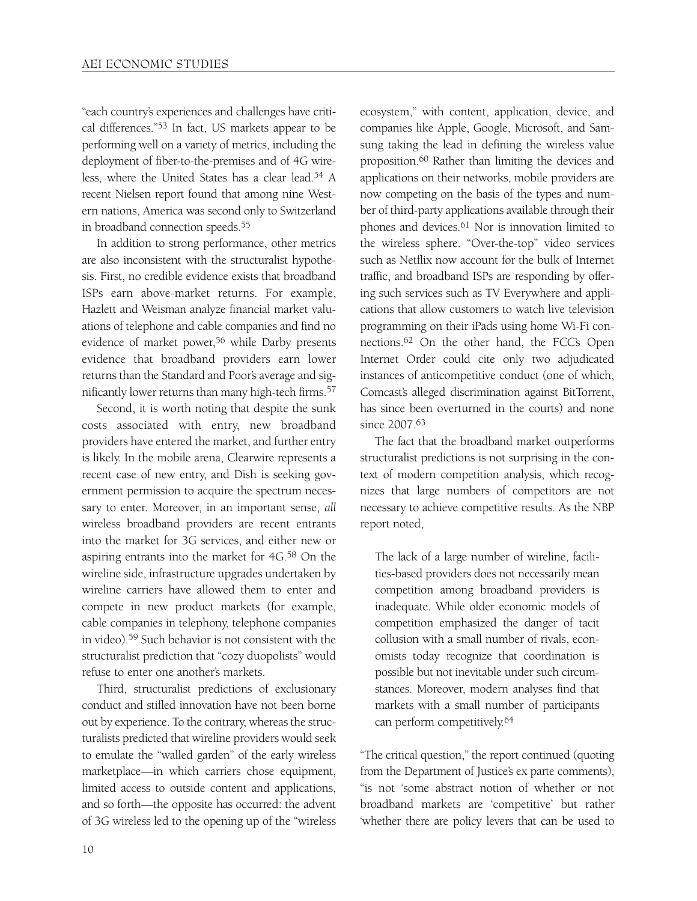"each country's experiences and challenges have critical differences."53 In fact, US markets appear to be performing well on a variety of metrics, including the deployment of fiber-to-the-premises and of 4G wireless, where the United States has a clear lead.54 A recent Nielsen report found that among nine Western nations, America was second only to Switzerland in broadband connection speeds.55

In addition to strong performance, other metrics are also inconsistent with the structuralist hypothesis. First, no credible evidence exists that broadband ISPs earn above-market returns. For example, Hazlett and Weisman analyze financial market valuations of telephone and cable companies and find no evidence of market power,<sup>56</sup> while Darby presents evidence that broadband providers earn lower returns than the Standard and Poor's average and significantly lower returns than many high-tech firms.57

Second, it is worth noting that despite the sunk costs associated with entry, new broadband providers have entered the market, and further entry is likely. In the mobile arena, Clearwire represents a recent case of new entry, and Dish is seeking government permission to acquire the spectrum necessary to enter. Moreover, in an important sense, *all* wireless broadband providers are recent entrants into the market for 3G services, and either new or aspiring entrants into the market for 4G.58 On the wireline side, infrastructure upgrades undertaken by wireline carriers have allowed them to enter and compete in new product markets (for example, cable companies in telephony, telephone companies in video).59 Such behavior is not consistent with the structuralist prediction that "cozy duopolists" would refuse to enter one another's markets.

Third, structuralist predictions of exclusionary conduct and stifled innovation have not been borne out by experience. To the contrary, whereas the structuralists predicted that wireline providers would seek to emulate the "walled garden" of the early wireless marketplace—in which carriers chose equipment, limited access to outside content and applications, and so forth—the opposite has occurred: the advent of 3G wireless led to the opening up of the "wireless

ecosystem," with content, application, device, and companies like Apple, Google, Microsoft, and Samsung taking the lead in defining the wireless value proposition.60 Rather than limiting the devices and applications on their networks, mobile providers are now competing on the basis of the types and number of third-party applications available through their phones and devices.61 Nor is innovation limited to the wireless sphere. "Over-the-top" video services such as Netflix now account for the bulk of Internet traffic, and broadband ISPs are responding by offering such services such as TV Everywhere and applications that allow customers to watch live television programming on their iPads using home Wi-Fi connections.62 On the other hand, the FCC's Open Internet Order could cite only two adjudicated instances of anticompetitive conduct (one of which, Comcast's alleged discrimination against BitTorrent, has since been overturned in the courts) and none since 2007.63

The fact that the broadband market outperforms structuralist predictions is not surprising in the context of modern competition analysis, which recognizes that large numbers of competitors are not necessary to achieve competitive results. As the NBP report noted,

The lack of a large number of wireline, facilities-based providers does not necessarily mean competition among broadband providers is inadequate. While older economic models of competition emphasized the danger of tacit collusion with a small number of rivals, economists today recognize that coordination is possible but not inevitable under such circumstances. Moreover, modern analyses find that markets with a small number of participants can perform competitively.64

"The critical question," the report continued (quoting from the Department of Justice's ex parte comments), "is not 'some abstract notion of whether or not broadband markets are 'competitive' but rather 'whether there are policy levers that can be used to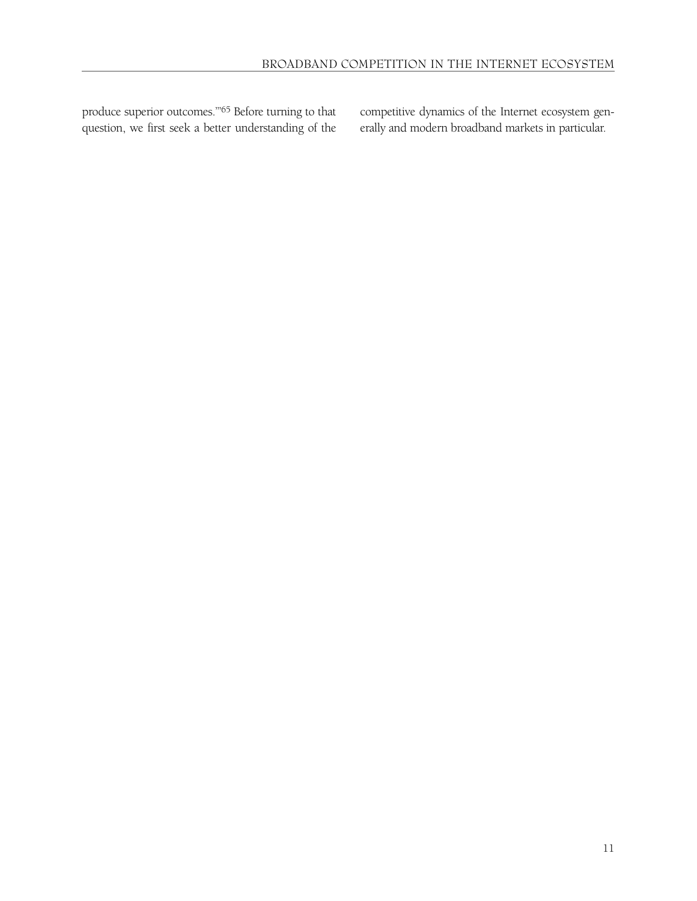produce superior outcomes.'"65 Before turning to that question, we first seek a better understanding of the competitive dynamics of the Internet ecosystem generally and modern broadband markets in particular.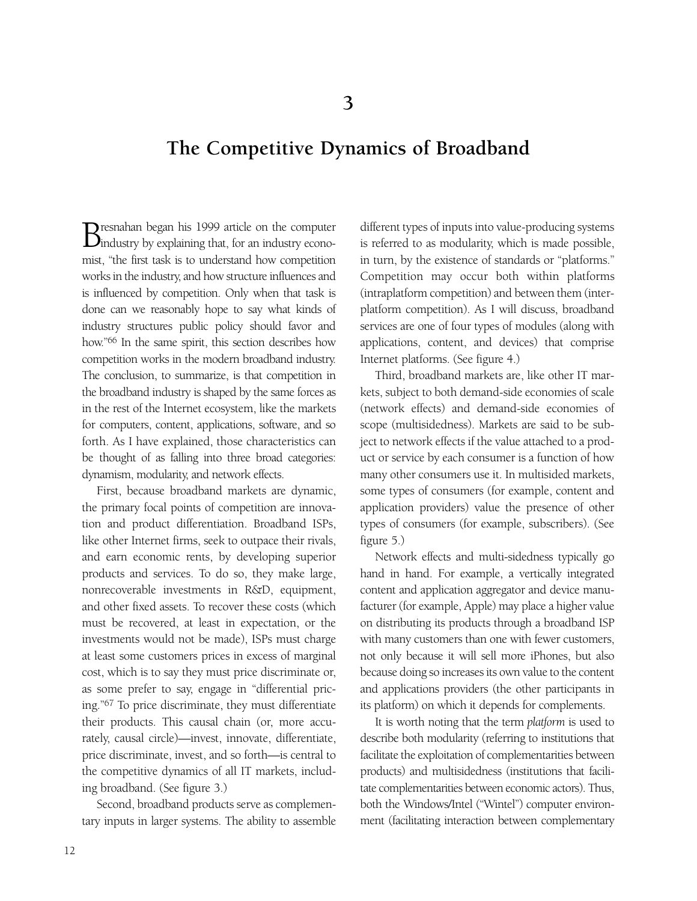## **The Competitive Dynamics of Broadband**

Bresnahan began his 1999 article on the computer<br>Dindustry by explaining that, for an industry economist, "the first task is to understand how competition works in the industry, and how structure influences and is influenced by competition. Only when that task is done can we reasonably hope to say what kinds of industry structures public policy should favor and how."66 In the same spirit, this section describes how competition works in the modern broadband industry. The conclusion, to summarize, is that competition in the broadband industry is shaped by the same forces as in the rest of the Internet ecosystem, like the markets for computers, content, applications, software, and so forth. As I have explained, those characteristics can be thought of as falling into three broad categories: dynamism, modularity, and network effects.

First, because broadband markets are dynamic, the primary focal points of competition are innovation and product differentiation. Broadband ISPs, like other Internet firms, seek to outpace their rivals, and earn economic rents, by developing superior products and services. To do so, they make large, nonrecoverable investments in R&D, equipment, and other fixed assets. To recover these costs (which must be recovered, at least in expectation, or the investments would not be made), ISPs must charge at least some customers prices in excess of marginal cost, which is to say they must price discriminate or, as some prefer to say, engage in "differential pricing."67 To price discriminate, they must differentiate their products. This causal chain (or, more accurately, causal circle)—invest, innovate, differentiate, price discriminate, invest, and so forth—is central to the competitive dynamics of all IT markets, including broadband. (See figure 3.)

Second, broadband products serve as complementary inputs in larger systems. The ability to assemble different types of inputs into value-producing systems is referred to as modularity, which is made possible, in turn, by the existence of standards or "platforms." Competition may occur both within platforms (intraplatform competition) and between them (interplatform competition). As I will discuss, broadband services are one of four types of modules (along with applications, content, and devices) that comprise Internet platforms. (See figure 4.)

Third, broadband markets are, like other IT markets, subject to both demand-side economies of scale (network effects) and demand-side economies of scope (multisidedness). Markets are said to be subject to network effects if the value attached to a product or service by each consumer is a function of how many other consumers use it. In multisided markets, some types of consumers (for example, content and application providers) value the presence of other types of consumers (for example, subscribers). (See figure 5.)

Network effects and multi-sidedness typically go hand in hand. For example, a vertically integrated content and application aggregator and device manufacturer (for example, Apple) may place a higher value on distributing its products through a broadband ISP with many customers than one with fewer customers, not only because it will sell more iPhones, but also because doing so increases its own value to the content and applications providers (the other participants in its platform) on which it depends for complements.

It is worth noting that the term *platform* is used to describe both modularity (referring to institutions that facilitate the exploitation of complementarities between products) and multisidedness (institutions that facilitate complementarities between economic actors). Thus, both the Windows/Intel ("Wintel") computer environment (facilitating interaction between complementary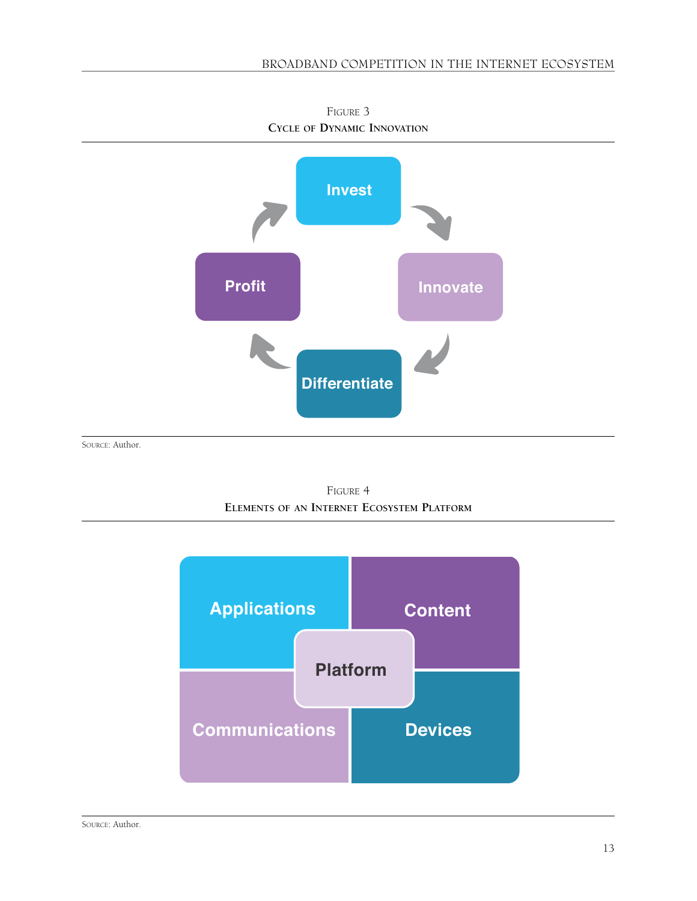

FIGURE 3 **CYCLE OF DYNAMIC INNOVATION**

FIGURE 4 **ELEMENTS OF AN INTERNET ECOSYSTEM PLATFORM**

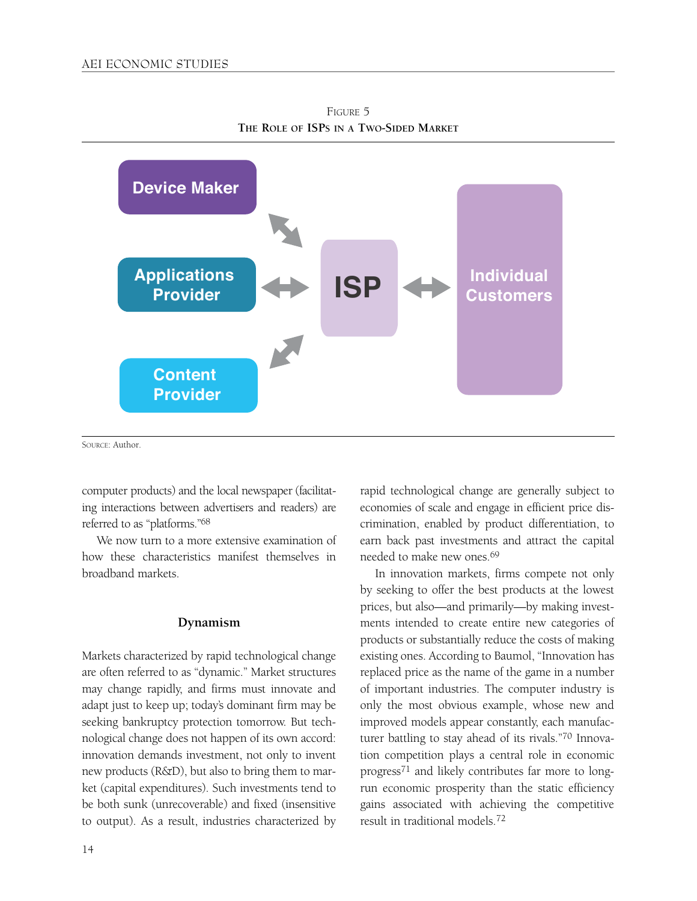

FIGURE 5 **THE ROLE OF ISPS IN A TWO-SIDED MARKET**

SOURCE: Author.

computer products) and the local newspaper (facilitating interactions between advertisers and readers) are referred to as "platforms."68

We now turn to a more extensive examination of how these characteristics manifest themselves in broadband markets.

#### **Dynamism**

Markets characterized by rapid technological change are often referred to as "dynamic." Market structures may change rapidly, and firms must innovate and adapt just to keep up; today's dominant firm may be seeking bankruptcy protection tomorrow. But technological change does not happen of its own accord: innovation demands investment, not only to invent new products (R&D), but also to bring them to market (capital expenditures). Such investments tend to be both sunk (unrecoverable) and fixed (insensitive to output). As a result, industries characterized by rapid technological change are generally subject to economies of scale and engage in efficient price discrimination, enabled by product differentiation, to earn back past investments and attract the capital needed to make new ones 69

In innovation markets, firms compete not only by seeking to offer the best products at the lowest prices, but also—and primarily—by making investments intended to create entire new categories of products or substantially reduce the costs of making existing ones. According to Baumol, "Innovation has replaced price as the name of the game in a number of important industries. The computer industry is only the most obvious example, whose new and improved models appear constantly, each manufacturer battling to stay ahead of its rivals."70 Innovation competition plays a central role in economic progress71 and likely contributes far more to longrun economic prosperity than the static efficiency gains associated with achieving the competitive result in traditional models.72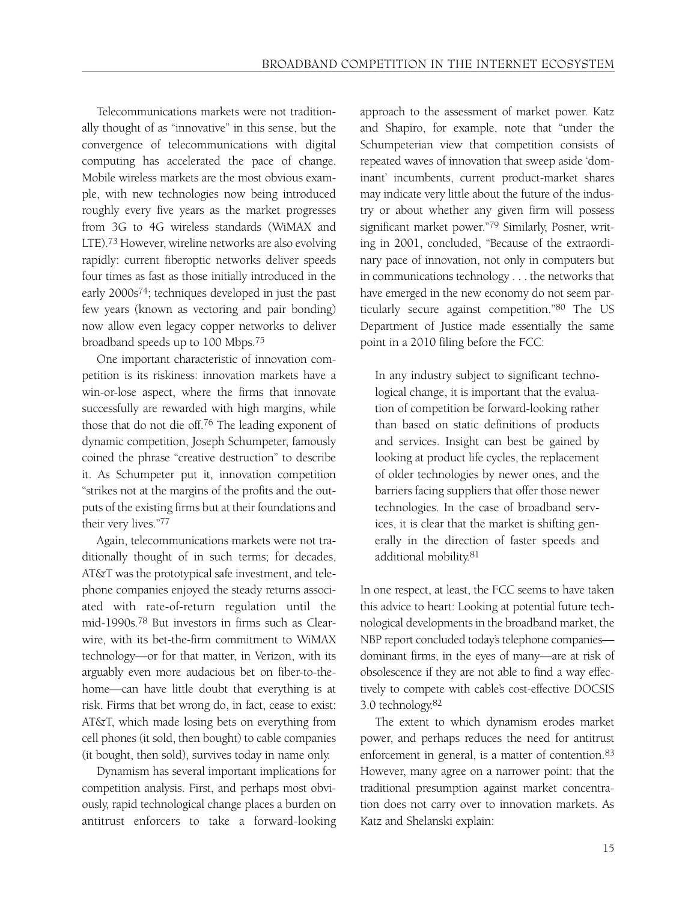Telecommunications markets were not traditionally thought of as "innovative" in this sense, but the convergence of telecommunications with digital computing has accelerated the pace of change. Mobile wireless markets are the most obvious example, with new technologies now being introduced roughly every five years as the market progresses from 3G to 4G wireless standards (WiMAX and LTE).73 However, wireline networks are also evolving rapidly: current fiberoptic networks deliver speeds four times as fast as those initially introduced in the early 2000s74; techniques developed in just the past few years (known as vectoring and pair bonding) now allow even legacy copper networks to deliver broadband speeds up to 100 Mbps.75

One important characteristic of innovation competition is its riskiness: innovation markets have a win-or-lose aspect, where the firms that innovate successfully are rewarded with high margins, while those that do not die off.76 The leading exponent of dynamic competition, Joseph Schumpeter, famously coined the phrase "creative destruction" to describe it. As Schumpeter put it, innovation competition "strikes not at the margins of the profits and the outputs of the existing firms but at their foundations and their very lives."77

Again, telecommunications markets were not traditionally thought of in such terms; for decades, AT&T was the prototypical safe investment, and telephone companies enjoyed the steady returns associated with rate-of-return regulation until the mid-1990s.78 But investors in firms such as Clearwire, with its bet-the-firm commitment to WiMAX technology—or for that matter, in Verizon, with its arguably even more audacious bet on fiber-to-thehome—can have little doubt that everything is at risk. Firms that bet wrong do, in fact, cease to exist: AT&T, which made losing bets on everything from cell phones (it sold, then bought) to cable companies (it bought, then sold), survives today in name only.

Dynamism has several important implications for competition analysis. First, and perhaps most obviously, rapid technological change places a burden on antitrust enforcers to take a forward-looking approach to the assessment of market power. Katz and Shapiro, for example, note that "under the Schumpeterian view that competition consists of repeated waves of innovation that sweep aside 'dominant' incumbents, current product-market shares may indicate very little about the future of the industry or about whether any given firm will possess significant market power."79 Similarly, Posner, writing in 2001, concluded, "Because of the extraordinary pace of innovation, not only in computers but in communications technology . . . the networks that have emerged in the new economy do not seem particularly secure against competition."80 The US Department of Justice made essentially the same point in a 2010 filing before the FCC:

In any industry subject to significant technological change, it is important that the evaluation of competition be forward-looking rather than based on static definitions of products and services. Insight can best be gained by looking at product life cycles, the replacement of older technologies by newer ones, and the barriers facing suppliers that offer those newer technologies. In the case of broadband services, it is clear that the market is shifting generally in the direction of faster speeds and additional mobility.81

In one respect, at least, the FCC seems to have taken this advice to heart: Looking at potential future technological developments in the broadband market, the NBP report concluded today's telephone companies dominant firms, in the eyes of many—are at risk of obsolescence if they are not able to find a way effectively to compete with cable's cost-effective DOCSIS 3.0 technology.82

The extent to which dynamism erodes market power, and perhaps reduces the need for antitrust enforcement in general, is a matter of contention.<sup>83</sup> However, many agree on a narrower point: that the traditional presumption against market concentration does not carry over to innovation markets. As Katz and Shelanski explain: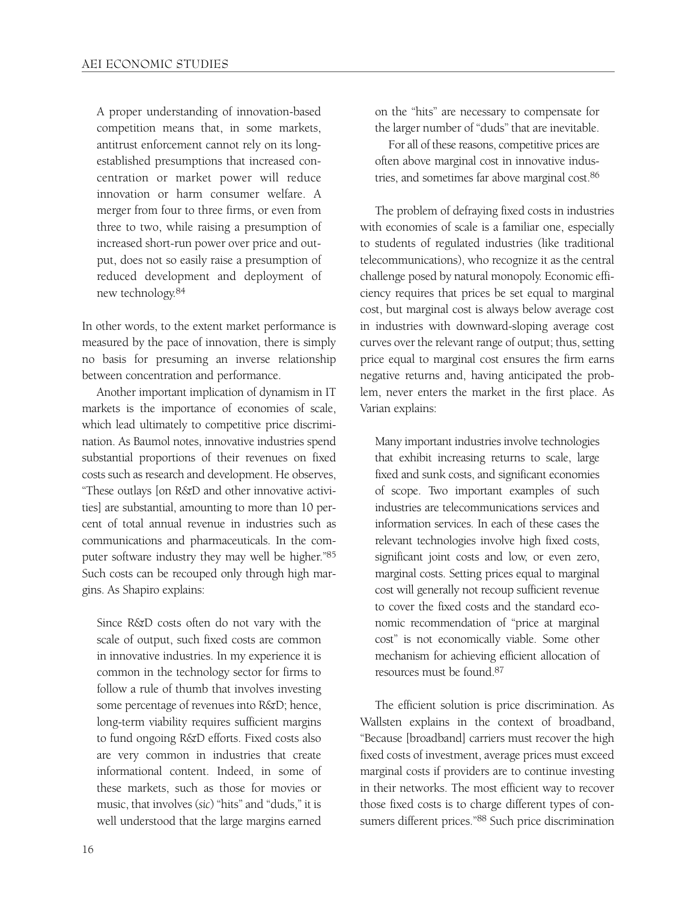A proper understanding of innovation-based competition means that, in some markets, antitrust enforcement cannot rely on its longestablished presumptions that increased concentration or market power will reduce innovation or harm consumer welfare. A merger from four to three firms, or even from three to two, while raising a presumption of increased short-run power over price and output, does not so easily raise a presumption of reduced development and deployment of new technology.84

In other words, to the extent market performance is measured by the pace of innovation, there is simply no basis for presuming an inverse relationship between concentration and performance.

Another important implication of dynamism in IT markets is the importance of economies of scale, which lead ultimately to competitive price discrimination. As Baumol notes, innovative industries spend substantial proportions of their revenues on fixed costs such as research and development. He observes, "These outlays [on R&D and other innovative activities] are substantial, amounting to more than 10 percent of total annual revenue in industries such as communications and pharmaceuticals. In the computer software industry they may well be higher."85 Such costs can be recouped only through high margins. As Shapiro explains:

Since R&D costs often do not vary with the scale of output, such fixed costs are common in innovative industries. In my experience it is common in the technology sector for firms to follow a rule of thumb that involves investing some percentage of revenues into R&D; hence, long-term viability requires sufficient margins to fund ongoing R&D efforts. Fixed costs also are very common in industries that create informational content. Indeed, in some of these markets, such as those for movies or music, that involves (*sic*) "hits" and "duds," it is well understood that the large margins earned on the "hits" are necessary to compensate for the larger number of "duds" that are inevitable.

For all of these reasons, competitive prices are often above marginal cost in innovative industries, and sometimes far above marginal cost.86

The problem of defraying fixed costs in industries with economies of scale is a familiar one, especially to students of regulated industries (like traditional telecommunications), who recognize it as the central challenge posed by natural monopoly. Economic efficiency requires that prices be set equal to marginal cost, but marginal cost is always below average cost in industries with downward-sloping average cost curves over the relevant range of output; thus, setting price equal to marginal cost ensures the firm earns negative returns and, having anticipated the problem, never enters the market in the first place. As Varian explains:

Many important industries involve technologies that exhibit increasing returns to scale, large fixed and sunk costs, and significant economies of scope. Two important examples of such industries are telecommunications services and information services. In each of these cases the relevant technologies involve high fixed costs, significant joint costs and low, or even zero, marginal costs. Setting prices equal to marginal cost will generally not recoup sufficient revenue to cover the fixed costs and the standard economic recommendation of "price at marginal cost" is not economically viable. Some other mechanism for achieving efficient allocation of resources must be found.87

The efficient solution is price discrimination. As Wallsten explains in the context of broadband, "Because [broadband] carriers must recover the high fixed costs of investment, average prices must exceed marginal costs if providers are to continue investing in their networks. The most efficient way to recover those fixed costs is to charge different types of consumers different prices."88 Such price discrimination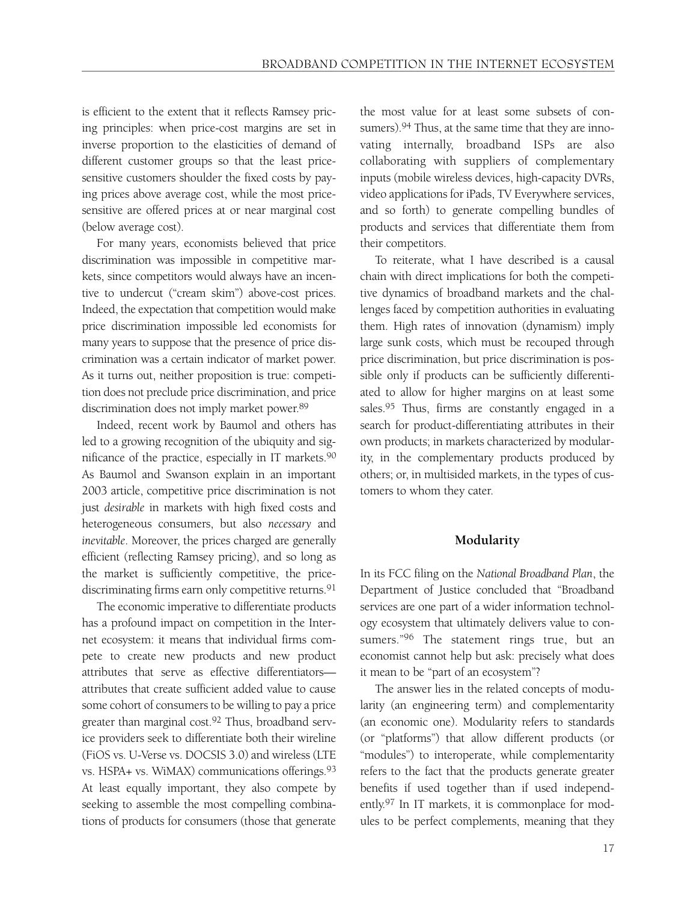is efficient to the extent that it reflects Ramsey pricing principles: when price-cost margins are set in inverse proportion to the elasticities of demand of different customer groups so that the least pricesensitive customers shoulder the fixed costs by paying prices above average cost, while the most pricesensitive are offered prices at or near marginal cost (below average cost).

For many years, economists believed that price discrimination was impossible in competitive markets, since competitors would always have an incentive to undercut ("cream skim") above-cost prices. Indeed, the expectation that competition would make price discrimination impossible led economists for many years to suppose that the presence of price discrimination was a certain indicator of market power. As it turns out, neither proposition is true: competition does not preclude price discrimination, and price discrimination does not imply market power.89

Indeed, recent work by Baumol and others has led to a growing recognition of the ubiquity and significance of the practice, especially in IT markets.90 As Baumol and Swanson explain in an important 2003 article, competitive price discrimination is not just *desirable* in markets with high fixed costs and heterogeneous consumers, but also *necessary* and *inevitable*. Moreover, the prices charged are generally efficient (reflecting Ramsey pricing), and so long as the market is sufficiently competitive, the pricediscriminating firms earn only competitive returns.<sup>91</sup>

The economic imperative to differentiate products has a profound impact on competition in the Internet ecosystem: it means that individual firms compete to create new products and new product attributes that serve as effective differentiators attributes that create sufficient added value to cause some cohort of consumers to be willing to pay a price greater than marginal cost.92 Thus, broadband service providers seek to differentiate both their wireline (FiOS vs. U-Verse vs. DOCSIS 3.0) and wireless (LTE vs. HSPA+ vs. WiMAX) communications offerings.93 At least equally important, they also compete by seeking to assemble the most compelling combinations of products for consumers (those that generate the most value for at least some subsets of consumers).<sup>94</sup> Thus, at the same time that they are innovating internally, broadband ISPs are also collaborating with suppliers of complementary inputs (mobile wireless devices, high-capacity DVRs, video applications for iPads, TV Everywhere services, and so forth) to generate compelling bundles of products and services that differentiate them from their competitors.

To reiterate, what I have described is a causal chain with direct implications for both the competitive dynamics of broadband markets and the challenges faced by competition authorities in evaluating them. High rates of innovation (dynamism) imply large sunk costs, which must be recouped through price discrimination, but price discrimination is possible only if products can be sufficiently differentiated to allow for higher margins on at least some sales.<sup>95</sup> Thus, firms are constantly engaged in a search for product-differentiating attributes in their own products; in markets characterized by modularity, in the complementary products produced by others; or, in multisided markets, in the types of customers to whom they cater.

#### **Modularity**

In its FCC filing on the *National Broadband Plan*, the Department of Justice concluded that "Broadband services are one part of a wider information technology ecosystem that ultimately delivers value to consumers."<sup>96</sup> The statement rings true, but an economist cannot help but ask: precisely what does it mean to be "part of an ecosystem"?

The answer lies in the related concepts of modularity (an engineering term) and complementarity (an economic one). Modularity refers to standards (or "platforms") that allow different products (or "modules") to interoperate, while complementarity refers to the fact that the products generate greater benefits if used together than if used independently.97 In IT markets, it is commonplace for modules to be perfect complements, meaning that they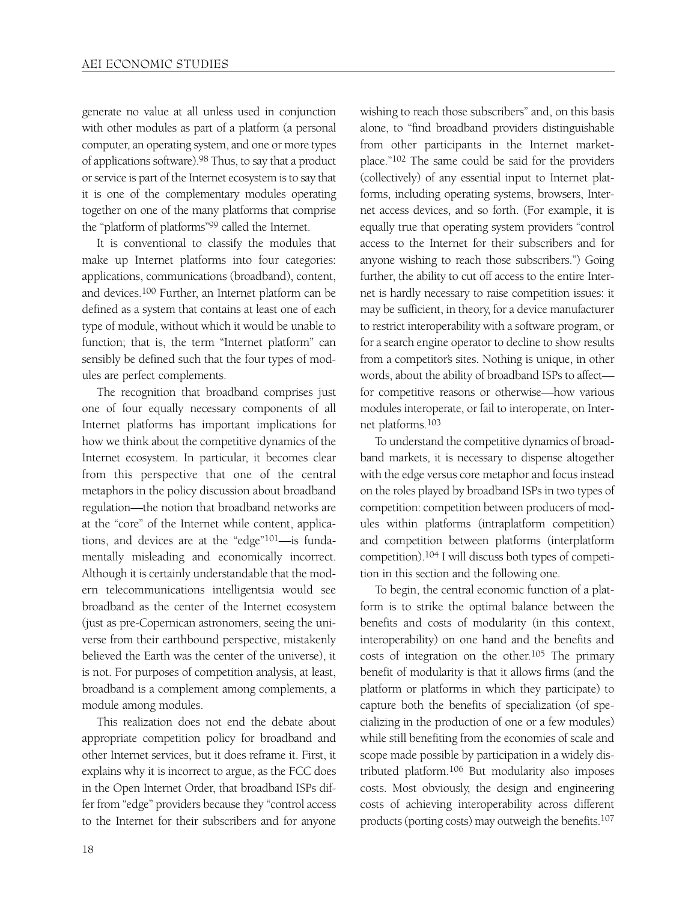generate no value at all unless used in conjunction with other modules as part of a platform (a personal computer, an operating system, and one or more types of applications software).98 Thus, to say that a product or service is part of the Internet ecosystem is to say that it is one of the complementary modules operating together on one of the many platforms that comprise the "platform of platforms"99 called the Internet.

It is conventional to classify the modules that make up Internet platforms into four categories: applications, communications (broadband), content, and devices.100 Further, an Internet platform can be defined as a system that contains at least one of each type of module, without which it would be unable to function; that is, the term "Internet platform" can sensibly be defined such that the four types of modules are perfect complements.

The recognition that broadband comprises just one of four equally necessary components of all Internet platforms has important implications for how we think about the competitive dynamics of the Internet ecosystem. In particular, it becomes clear from this perspective that one of the central metaphors in the policy discussion about broadband regulation—the notion that broadband networks are at the "core" of the Internet while content, applications, and devices are at the "edge"101—is fundamentally misleading and economically incorrect. Although it is certainly understandable that the modern telecommunications intelligentsia would see broadband as the center of the Internet ecosystem (just as pre-Copernican astronomers, seeing the universe from their earthbound perspective, mistakenly believed the Earth was the center of the universe), it is not. For purposes of competition analysis, at least, broadband is a complement among complements, a module among modules.

This realization does not end the debate about appropriate competition policy for broadband and other Internet services, but it does reframe it. First, it explains why it is incorrect to argue, as the FCC does in the Open Internet Order, that broadband ISPs differ from "edge" providers because they "control access to the Internet for their subscribers and for anyone wishing to reach those subscribers" and, on this basis alone, to "find broadband providers distinguishable from other participants in the Internet marketplace."102 The same could be said for the providers (collectively) of any essential input to Internet platforms, including operating systems, browsers, Internet access devices, and so forth. (For example, it is equally true that operating system providers "control access to the Internet for their subscribers and for anyone wishing to reach those subscribers.") Going further, the ability to cut off access to the entire Internet is hardly necessary to raise competition issues: it may be sufficient, in theory, for a device manufacturer to restrict interoperability with a software program, or for a search engine operator to decline to show results from a competitor's sites. Nothing is unique, in other words, about the ability of broadband ISPs to affect for competitive reasons or otherwise—how various modules interoperate, or fail to interoperate, on Internet platforms.103

To understand the competitive dynamics of broadband markets, it is necessary to dispense altogether with the edge versus core metaphor and focus instead on the roles played by broadband ISPs in two types of competition: competition between producers of modules within platforms (intraplatform competition) and competition between platforms (interplatform competition).104 I will discuss both types of competition in this section and the following one.

To begin, the central economic function of a platform is to strike the optimal balance between the benefits and costs of modularity (in this context, interoperability) on one hand and the benefits and costs of integration on the other.<sup>105</sup> The primary benefit of modularity is that it allows firms (and the platform or platforms in which they participate) to capture both the benefits of specialization (of specializing in the production of one or a few modules) while still benefiting from the economies of scale and scope made possible by participation in a widely distributed platform.106 But modularity also imposes costs. Most obviously, the design and engineering costs of achieving interoperability across different products (porting costs) may outweigh the benefits.107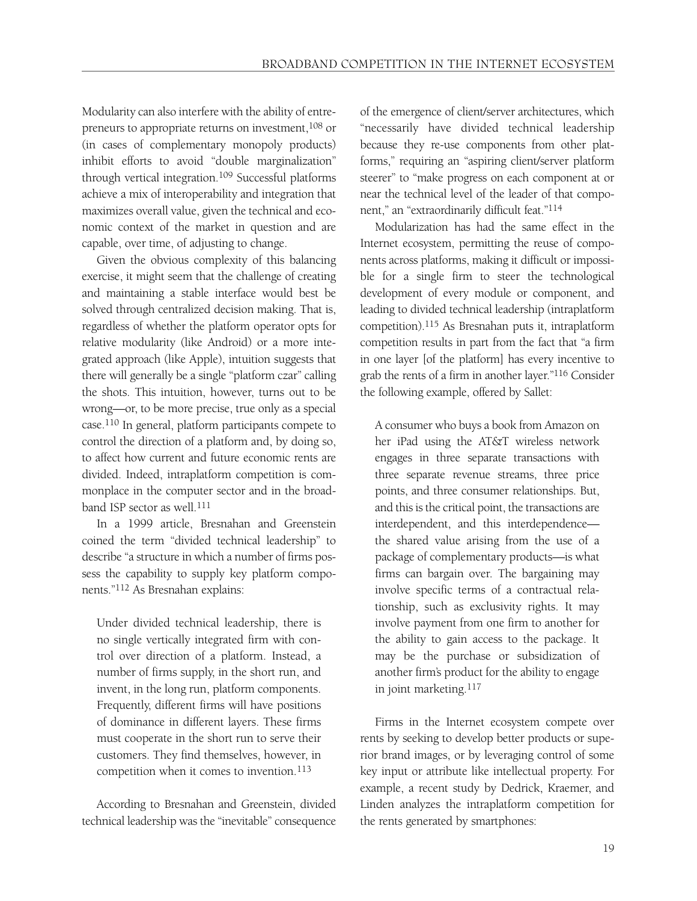Modularity can also interfere with the ability of entrepreneurs to appropriate returns on investment, 108 or (in cases of complementary monopoly products) inhibit efforts to avoid "double marginalization" through vertical integration.109 Successful platforms achieve a mix of interoperability and integration that maximizes overall value, given the technical and economic context of the market in question and are capable, over time, of adjusting to change.

Given the obvious complexity of this balancing exercise, it might seem that the challenge of creating and maintaining a stable interface would best be solved through centralized decision making. That is, regardless of whether the platform operator opts for relative modularity (like Android) or a more integrated approach (like Apple), intuition suggests that there will generally be a single "platform czar" calling the shots. This intuition, however, turns out to be wrong—or, to be more precise, true only as a special case.110 In general, platform participants compete to control the direction of a platform and, by doing so, to affect how current and future economic rents are divided. Indeed, intraplatform competition is commonplace in the computer sector and in the broadband ISP sector as well.111

In a 1999 article, Bresnahan and Greenstein coined the term "divided technical leadership" to describe "a structure in which a number of firms possess the capability to supply key platform components."112 As Bresnahan explains:

Under divided technical leadership, there is no single vertically integrated firm with control over direction of a platform. Instead, a number of firms supply, in the short run, and invent, in the long run, platform components. Frequently, different firms will have positions of dominance in different layers. These firms must cooperate in the short run to serve their customers. They find themselves, however, in competition when it comes to invention.113

According to Bresnahan and Greenstein, divided technical leadership was the "inevitable" consequence of the emergence of client/server architectures, which "necessarily have divided technical leadership because they re-use components from other platforms," requiring an "aspiring client/server platform steerer" to "make progress on each component at or near the technical level of the leader of that component," an "extraordinarily difficult feat."114

Modularization has had the same effect in the Internet ecosystem, permitting the reuse of components across platforms, making it difficult or impossible for a single firm to steer the technological development of every module or component, and leading to divided technical leadership (intraplatform competition).115 As Bresnahan puts it, intraplatform competition results in part from the fact that "a firm in one layer [of the platform] has every incentive to grab the rents of a firm in another layer."116 Consider the following example, offered by Sallet:

A consumer who buys a book from Amazon on her iPad using the AT&T wireless network engages in three separate transactions with three separate revenue streams, three price points, and three consumer relationships. But, and this is the critical point, the transactions are interdependent, and this interdependence the shared value arising from the use of a package of complementary products—is what firms can bargain over. The bargaining may involve specific terms of a contractual relationship, such as exclusivity rights. It may involve payment from one firm to another for the ability to gain access to the package. It may be the purchase or subsidization of another firm's product for the ability to engage in joint marketing.117

Firms in the Internet ecosystem compete over rents by seeking to develop better products or superior brand images, or by leveraging control of some key input or attribute like intellectual property. For example, a recent study by Dedrick, Kraemer, and Linden analyzes the intraplatform competition for the rents generated by smartphones: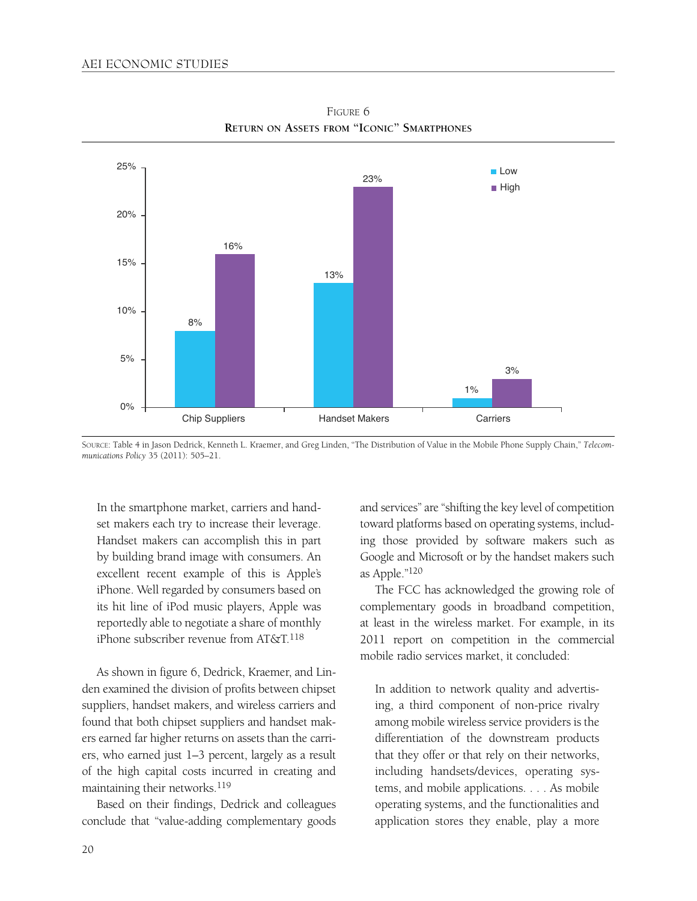

FIGURE 6 **RETURN ON ASSETS FROM "ICONIC" SMARTPHONES**

SOURCE: Table 4 in Jason Dedrick, Kenneth L. Kraemer, and Greg Linden, "The Distribution of Value in the Mobile Phone Supply Chain," *Telecommunications Policy* 35 (2011): 505–21.

In the smartphone market, carriers and handset makers each try to increase their leverage. Handset makers can accomplish this in part by building brand image with consumers. An excellent recent example of this is Apple's iPhone. Well regarded by consumers based on its hit line of iPod music players, Apple was reportedly able to negotiate a share of monthly iPhone subscriber revenue from AT&T.118

As shown in figure 6, Dedrick, Kraemer, and Linden examined the division of profits between chipset suppliers, handset makers, and wireless carriers and found that both chipset suppliers and handset makers earned far higher returns on assets than the carriers, who earned just 1–3 percent, largely as a result of the high capital costs incurred in creating and maintaining their networks.119

Based on their findings, Dedrick and colleagues conclude that "value-adding complementary goods and services" are "shifting the key level of competition toward platforms based on operating systems, including those provided by software makers such as Google and Microsoft or by the handset makers such as Apple."120

The FCC has acknowledged the growing role of complementary goods in broadband competition, at least in the wireless market. For example, in its 2011 report on competition in the commercial mobile radio services market, it concluded:

In addition to network quality and advertising, a third component of non-price rivalry among mobile wireless service providers is the differentiation of the downstream products that they offer or that rely on their networks, including handsets/devices, operating systems, and mobile applications. . . . As mobile operating systems, and the functionalities and application stores they enable, play a more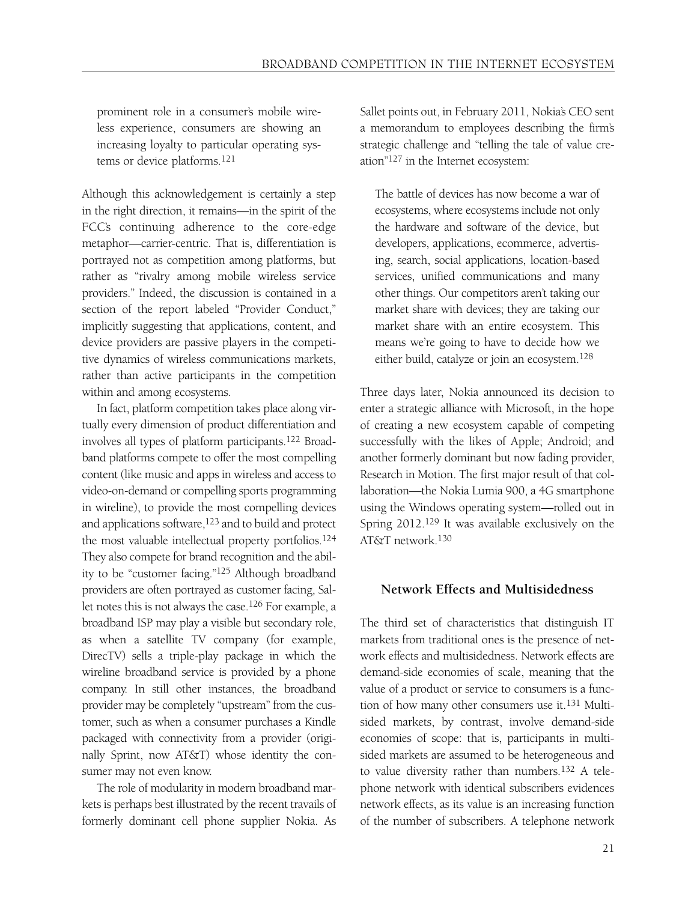prominent role in a consumer's mobile wireless experience, consumers are showing an increasing loyalty to particular operating systems or device platforms.121

Although this acknowledgement is certainly a step in the right direction, it remains—in the spirit of the FCC's continuing adherence to the core-edge metaphor—carrier-centric. That is, differentiation is portrayed not as competition among platforms, but rather as "rivalry among mobile wireless service providers." Indeed, the discussion is contained in a section of the report labeled "Provider Conduct," implicitly suggesting that applications, content, and device providers are passive players in the competitive dynamics of wireless communications markets, rather than active participants in the competition within and among ecosystems.

In fact, platform competition takes place along virtually every dimension of product differentiation and involves all types of platform participants.122 Broadband platforms compete to offer the most compelling content (like music and apps in wireless and access to video-on-demand or compelling sports programming in wireline), to provide the most compelling devices and applications software,<sup>123</sup> and to build and protect the most valuable intellectual property portfolios.124 They also compete for brand recognition and the ability to be "customer facing."125 Although broadband providers are often portrayed as customer facing, Sallet notes this is not always the case.126 For example, a broadband ISP may play a visible but secondary role, as when a satellite TV company (for example, DirecTV) sells a triple-play package in which the wireline broadband service is provided by a phone company. In still other instances, the broadband provider may be completely "upstream" from the customer, such as when a consumer purchases a Kindle packaged with connectivity from a provider (originally Sprint, now AT&T) whose identity the consumer may not even know.

The role of modularity in modern broadband markets is perhaps best illustrated by the recent travails of formerly dominant cell phone supplier Nokia. As

Sallet points out, in February 2011, Nokia's CEO sent a memorandum to employees describing the firm's strategic challenge and "telling the tale of value creation"127 in the Internet ecosystem:

The battle of devices has now become a war of ecosystems, where ecosystems include not only the hardware and software of the device, but developers, applications, ecommerce, advertising, search, social applications, location-based services, unified communications and many other things. Our competitors aren't taking our market share with devices; they are taking our market share with an entire ecosystem. This means we're going to have to decide how we either build, catalyze or join an ecosystem.128

Three days later, Nokia announced its decision to enter a strategic alliance with Microsoft, in the hope of creating a new ecosystem capable of competing successfully with the likes of Apple; Android; and another formerly dominant but now fading provider, Research in Motion. The first major result of that collaboration—the Nokia Lumia 900, a 4G smartphone using the Windows operating system—rolled out in Spring 2012.129 It was available exclusively on the AT&T network.130

#### **Network Effects and Multisidedness**

The third set of characteristics that distinguish IT markets from traditional ones is the presence of network effects and multisidedness. Network effects are demand-side economies of scale, meaning that the value of a product or service to consumers is a function of how many other consumers use it.131 Multisided markets, by contrast, involve demand-side economies of scope: that is, participants in multisided markets are assumed to be heterogeneous and to value diversity rather than numbers.132 A telephone network with identical subscribers evidences network effects, as its value is an increasing function of the number of subscribers. A telephone network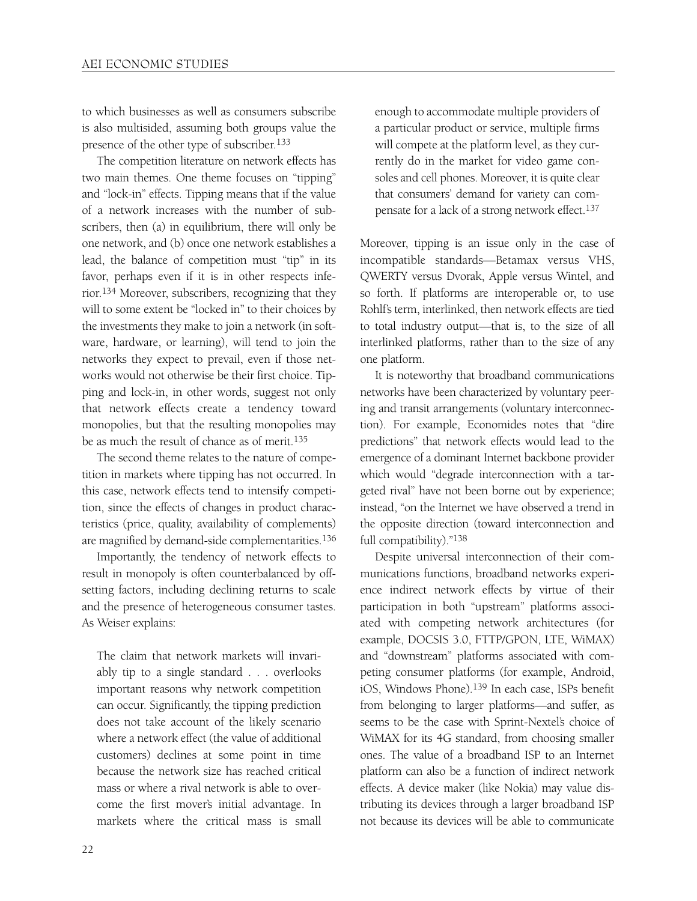to which businesses as well as consumers subscribe is also multisided, assuming both groups value the presence of the other type of subscriber.133

The competition literature on network effects has two main themes. One theme focuses on "tipping" and "lock-in" effects. Tipping means that if the value of a network increases with the number of subscribers, then (a) in equilibrium, there will only be one network, and (b) once one network establishes a lead, the balance of competition must "tip" in its favor, perhaps even if it is in other respects inferior.134 Moreover, subscribers, recognizing that they will to some extent be "locked in" to their choices by the investments they make to join a network (in software, hardware, or learning), will tend to join the networks they expect to prevail, even if those networks would not otherwise be their first choice. Tipping and lock-in, in other words, suggest not only that network effects create a tendency toward monopolies, but that the resulting monopolies may be as much the result of chance as of merit.135

The second theme relates to the nature of competition in markets where tipping has not occurred. In this case, network effects tend to intensify competition, since the effects of changes in product characteristics (price, quality, availability of complements) are magnified by demand-side complementarities.136

Importantly, the tendency of network effects to result in monopoly is often counterbalanced by offsetting factors, including declining returns to scale and the presence of heterogeneous consumer tastes. As Weiser explains:

The claim that network markets will invariably tip to a single standard . . . overlooks important reasons why network competition can occur. Significantly, the tipping prediction does not take account of the likely scenario where a network effect (the value of additional customers) declines at some point in time because the network size has reached critical mass or where a rival network is able to overcome the first mover's initial advantage. In markets where the critical mass is small

enough to accommodate multiple providers of a particular product or service, multiple firms will compete at the platform level, as they currently do in the market for video game consoles and cell phones. Moreover, it is quite clear that consumers' demand for variety can compensate for a lack of a strong network effect.<sup>137</sup>

Moreover, tipping is an issue only in the case of incompatible standards—Betamax versus VHS, QWERTY versus Dvorak, Apple versus Wintel, and so forth. If platforms are interoperable or, to use Rohlf's term, interlinked, then network effects are tied to total industry output—that is, to the size of all interlinked platforms, rather than to the size of any one platform.

It is noteworthy that broadband communications networks have been characterized by voluntary peering and transit arrangements (voluntary interconnection). For example, Economides notes that "dire predictions" that network effects would lead to the emergence of a dominant Internet backbone provider which would "degrade interconnection with a targeted rival" have not been borne out by experience; instead, "on the Internet we have observed a trend in the opposite direction (toward interconnection and full compatibility)."138

Despite universal interconnection of their communications functions, broadband networks experience indirect network effects by virtue of their participation in both "upstream" platforms associated with competing network architectures (for example, DOCSIS 3.0, FTTP/GPON, LTE, WiMAX) and "downstream" platforms associated with competing consumer platforms (for example, Android, iOS, Windows Phone).139 In each case, ISPs benefit from belonging to larger platforms—and suffer, as seems to be the case with Sprint-Nextel's choice of WiMAX for its 4G standard, from choosing smaller ones. The value of a broadband ISP to an Internet platform can also be a function of indirect network effects. A device maker (like Nokia) may value distributing its devices through a larger broadband ISP not because its devices will be able to communicate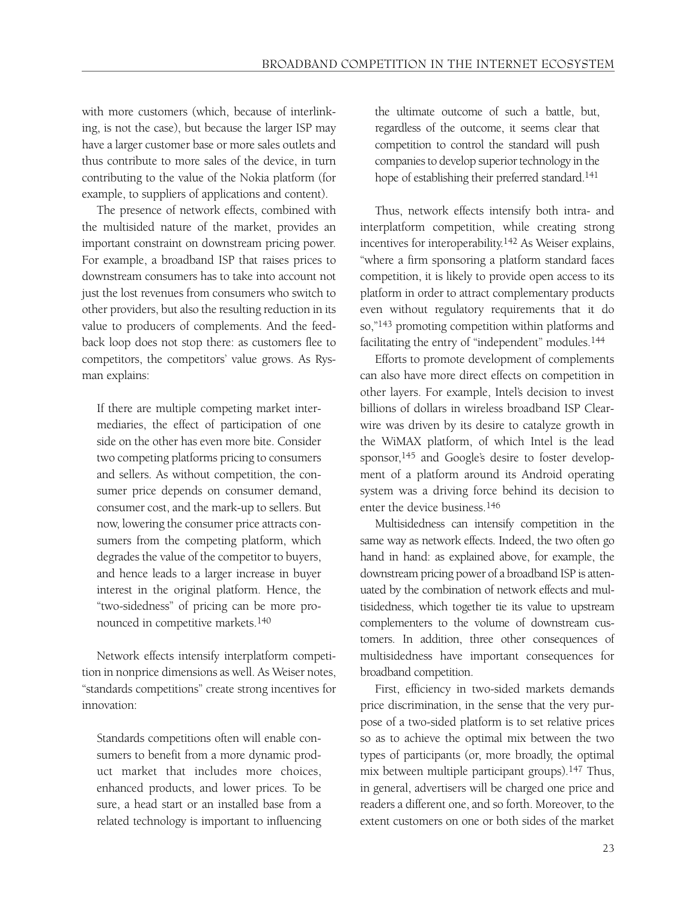with more customers (which, because of interlinking, is not the case), but because the larger ISP may have a larger customer base or more sales outlets and thus contribute to more sales of the device, in turn contributing to the value of the Nokia platform (for example, to suppliers of applications and content).

The presence of network effects, combined with the multisided nature of the market, provides an important constraint on downstream pricing power. For example, a broadband ISP that raises prices to downstream consumers has to take into account not just the lost revenues from consumers who switch to other providers, but also the resulting reduction in its value to producers of complements. And the feedback loop does not stop there: as customers flee to competitors, the competitors' value grows. As Rysman explains:

If there are multiple competing market intermediaries, the effect of participation of one side on the other has even more bite. Consider two competing platforms pricing to consumers and sellers. As without competition, the consumer price depends on consumer demand, consumer cost, and the mark-up to sellers. But now, lowering the consumer price attracts consumers from the competing platform, which degrades the value of the competitor to buyers, and hence leads to a larger increase in buyer interest in the original platform. Hence, the "two-sidedness" of pricing can be more pronounced in competitive markets.140

Network effects intensify interplatform competition in nonprice dimensions as well. As Weiser notes, "standards competitions" create strong incentives for innovation:

Standards competitions often will enable consumers to benefit from a more dynamic product market that includes more choices, enhanced products, and lower prices. To be sure, a head start or an installed base from a related technology is important to influencing

the ultimate outcome of such a battle, but, regardless of the outcome, it seems clear that competition to control the standard will push companies to develop superior technology in the hope of establishing their preferred standard.<sup>141</sup>

Thus, network effects intensify both intra- and interplatform competition, while creating strong incentives for interoperability.142 As Weiser explains, "where a firm sponsoring a platform standard faces competition, it is likely to provide open access to its platform in order to attract complementary products even without regulatory requirements that it do so,"143 promoting competition within platforms and facilitating the entry of "independent" modules.144

Efforts to promote development of complements can also have more direct effects on competition in other layers. For example, Intel's decision to invest billions of dollars in wireless broadband ISP Clearwire was driven by its desire to catalyze growth in the WiMAX platform, of which Intel is the lead sponsor,<sup>145</sup> and Google's desire to foster development of a platform around its Android operating system was a driving force behind its decision to enter the device business.146

Multisidedness can intensify competition in the same way as network effects. Indeed, the two often go hand in hand: as explained above, for example, the downstream pricing power of a broadband ISP is attenuated by the combination of network effects and multisidedness, which together tie its value to upstream complementers to the volume of downstream customers. In addition, three other consequences of multisidedness have important consequences for broadband competition.

First, efficiency in two-sided markets demands price discrimination, in the sense that the very purpose of a two-sided platform is to set relative prices so as to achieve the optimal mix between the two types of participants (or, more broadly, the optimal mix between multiple participant groups).147 Thus, in general, advertisers will be charged one price and readers a different one, and so forth. Moreover, to the extent customers on one or both sides of the market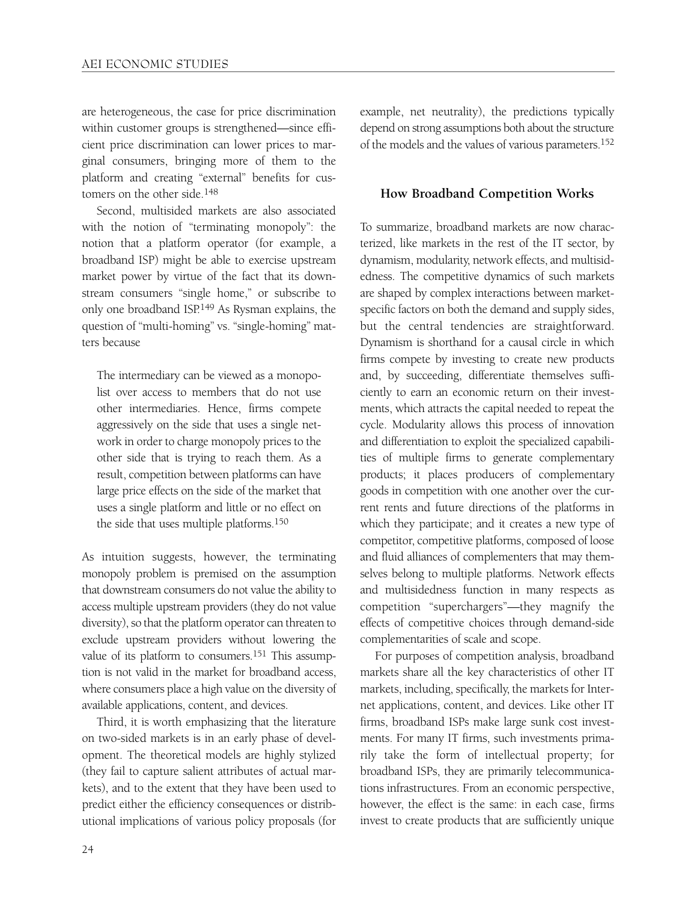are heterogeneous, the case for price discrimination within customer groups is strengthened—since efficient price discrimination can lower prices to marginal consumers, bringing more of them to the platform and creating "external" benefits for customers on the other side.148

Second, multisided markets are also associated with the notion of "terminating monopoly": the notion that a platform operator (for example, a broadband ISP) might be able to exercise upstream market power by virtue of the fact that its downstream consumers "single home," or subscribe to only one broadband ISP.149 As Rysman explains, the question of "multi-homing" vs. "single-homing" matters because

The intermediary can be viewed as a monopolist over access to members that do not use other intermediaries. Hence, firms compete aggressively on the side that uses a single network in order to charge monopoly prices to the other side that is trying to reach them. As a result, competition between platforms can have large price effects on the side of the market that uses a single platform and little or no effect on the side that uses multiple platforms.150

As intuition suggests, however, the terminating monopoly problem is premised on the assumption that downstream consumers do not value the ability to access multiple upstream providers (they do not value diversity), so that the platform operator can threaten to exclude upstream providers without lowering the value of its platform to consumers.<sup>151</sup> This assumption is not valid in the market for broadband access, where consumers place a high value on the diversity of available applications, content, and devices.

Third, it is worth emphasizing that the literature on two-sided markets is in an early phase of development. The theoretical models are highly stylized (they fail to capture salient attributes of actual markets), and to the extent that they have been used to predict either the efficiency consequences or distributional implications of various policy proposals (for example, net neutrality), the predictions typically depend on strong assumptions both about the structure of the models and the values of various parameters.152

#### **How Broadband Competition Works**

To summarize, broadband markets are now characterized, like markets in the rest of the IT sector, by dynamism, modularity, network effects, and multisidedness. The competitive dynamics of such markets are shaped by complex interactions between marketspecific factors on both the demand and supply sides, but the central tendencies are straightforward. Dynamism is shorthand for a causal circle in which firms compete by investing to create new products and, by succeeding, differentiate themselves sufficiently to earn an economic return on their investments, which attracts the capital needed to repeat the cycle. Modularity allows this process of innovation and differentiation to exploit the specialized capabilities of multiple firms to generate complementary products; it places producers of complementary goods in competition with one another over the current rents and future directions of the platforms in which they participate; and it creates a new type of competitor, competitive platforms, composed of loose and fluid alliances of complementers that may themselves belong to multiple platforms. Network effects and multisidedness function in many respects as competition "superchargers"—they magnify the effects of competitive choices through demand-side complementarities of scale and scope.

For purposes of competition analysis, broadband markets share all the key characteristics of other IT markets, including, specifically, the markets for Internet applications, content, and devices. Like other IT firms, broadband ISPs make large sunk cost investments. For many IT firms, such investments primarily take the form of intellectual property; for broadband ISPs, they are primarily telecommunications infrastructures. From an economic perspective, however, the effect is the same: in each case, firms invest to create products that are sufficiently unique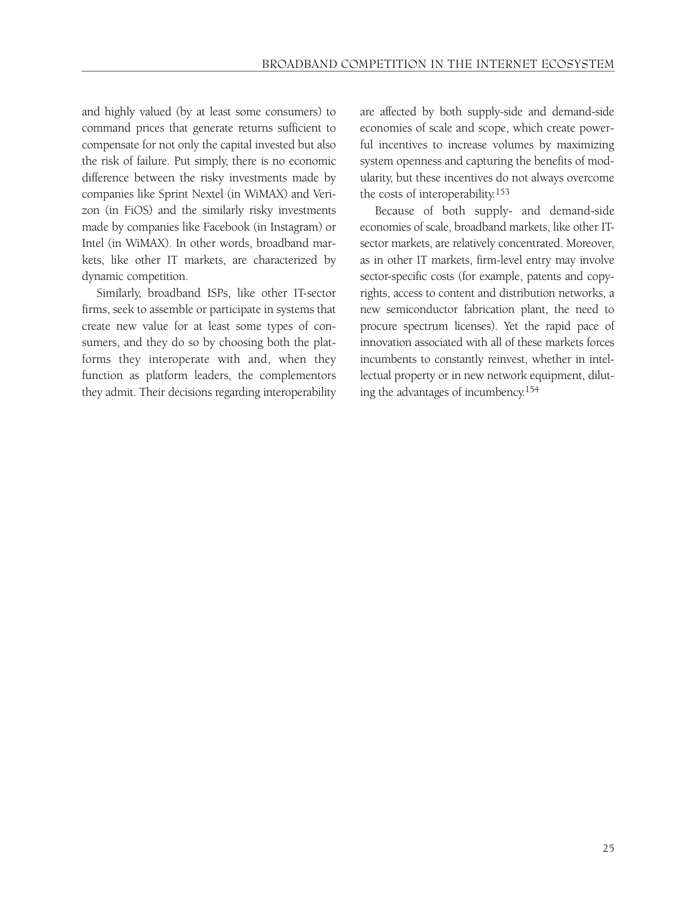and highly valued (by at least some consumers) to command prices that generate returns sufficient to compensate for not only the capital invested but also the risk of failure. Put simply, there is no economic difference between the risky investments made by companies like Sprint Nextel (in WiMAX) and Verizon (in FiOS) and the similarly risky investments made by companies like Facebook (in Instagram) or Intel (in WiMAX). In other words, broadband markets, like other IT markets, are characterized by dynamic competition.

Similarly, broadband ISPs, like other IT-sector firms, seek to assemble or participate in systems that create new value for at least some types of consumers, and they do so by choosing both the platforms they interoperate with and, when they function as platform leaders, the complementors they admit. Their decisions regarding interoperability

are affected by both supply-side and demand-side economies of scale and scope, which create powerful incentives to increase volumes by maximizing system openness and capturing the benefits of modularity, but these incentives do not always overcome the costs of interoperability.153

Because of both supply- and demand-side economies of scale, broadband markets, like other ITsector markets, are relatively concentrated. Moreover, as in other IT markets, firm-level entry may involve sector-specific costs (for example, patents and copyrights, access to content and distribution networks, a new semiconductor fabrication plant, the need to procure spectrum licenses). Yet the rapid pace of innovation associated with all of these markets forces incumbents to constantly reinvest, whether in intellectual property or in new network equipment, diluting the advantages of incumbency.154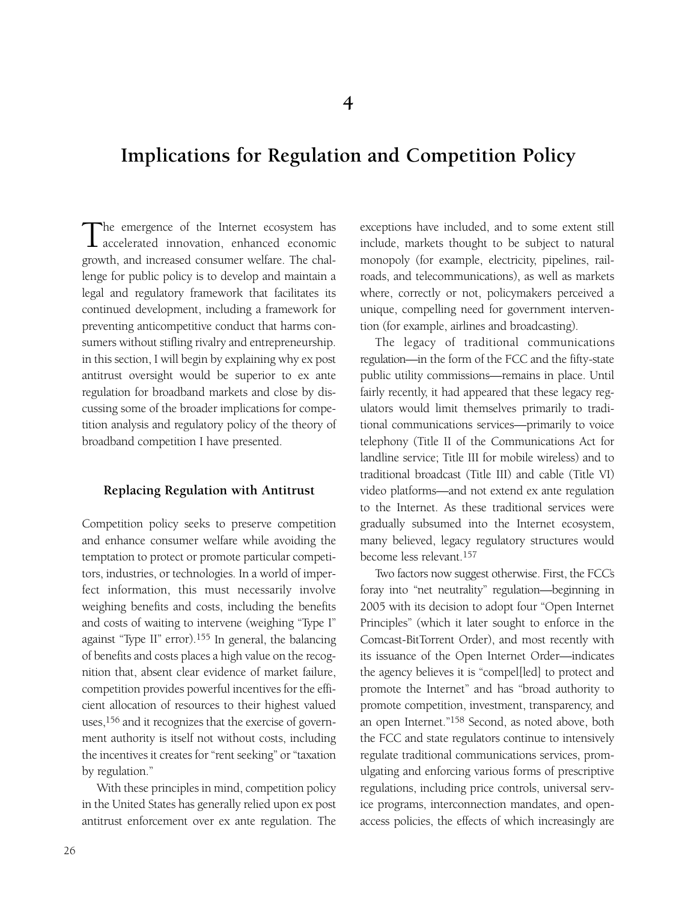## **Implications for Regulation and Competition Policy**

The emergence of the Internet ecosystem has accelerated innovation, enhanced economic growth, and increased consumer welfare. The challenge for public policy is to develop and maintain a legal and regulatory framework that facilitates its continued development, including a framework for preventing anticompetitive conduct that harms consumers without stifling rivalry and entrepreneurship. in this section, I will begin by explaining why ex post antitrust oversight would be superior to ex ante regulation for broadband markets and close by discussing some of the broader implications for competition analysis and regulatory policy of the theory of broadband competition I have presented.

#### **Replacing Regulation with Antitrust**

Competition policy seeks to preserve competition and enhance consumer welfare while avoiding the temptation to protect or promote particular competitors, industries, or technologies. In a world of imperfect information, this must necessarily involve weighing benefits and costs, including the benefits and costs of waiting to intervene (weighing "Type I" against "Type II" error).155 In general, the balancing of benefits and costs places a high value on the recognition that, absent clear evidence of market failure, competition provides powerful incentives for the efficient allocation of resources to their highest valued uses,156 and it recognizes that the exercise of government authority is itself not without costs, including the incentives it creates for "rent seeking" or "taxation by regulation."

With these principles in mind, competition policy in the United States has generally relied upon ex post antitrust enforcement over ex ante regulation. The exceptions have included, and to some extent still include, markets thought to be subject to natural monopoly (for example, electricity, pipelines, railroads, and telecommunications), as well as markets where, correctly or not, policymakers perceived a unique, compelling need for government intervention (for example, airlines and broadcasting).

The legacy of traditional communications regulation—in the form of the FCC and the fifty-state public utility commissions—remains in place. Until fairly recently, it had appeared that these legacy regulators would limit themselves primarily to traditional communications services—primarily to voice telephony (Title II of the Communications Act for landline service; Title III for mobile wireless) and to traditional broadcast (Title III) and cable (Title VI) video platforms—and not extend ex ante regulation to the Internet. As these traditional services were gradually subsumed into the Internet ecosystem, many believed, legacy regulatory structures would become less relevant.157

Two factors now suggest otherwise. First, the FCC's foray into "net neutrality" regulation—beginning in 2005 with its decision to adopt four "Open Internet Principles" (which it later sought to enforce in the Comcast-BitTorrent Order), and most recently with its issuance of the Open Internet Order—indicates the agency believes it is "compel[led] to protect and promote the Internet" and has "broad authority to promote competition, investment, transparency, and an open Internet."158 Second, as noted above, both the FCC and state regulators continue to intensively regulate traditional communications services, promulgating and enforcing various forms of prescriptive regulations, including price controls, universal service programs, interconnection mandates, and openaccess policies, the effects of which increasingly are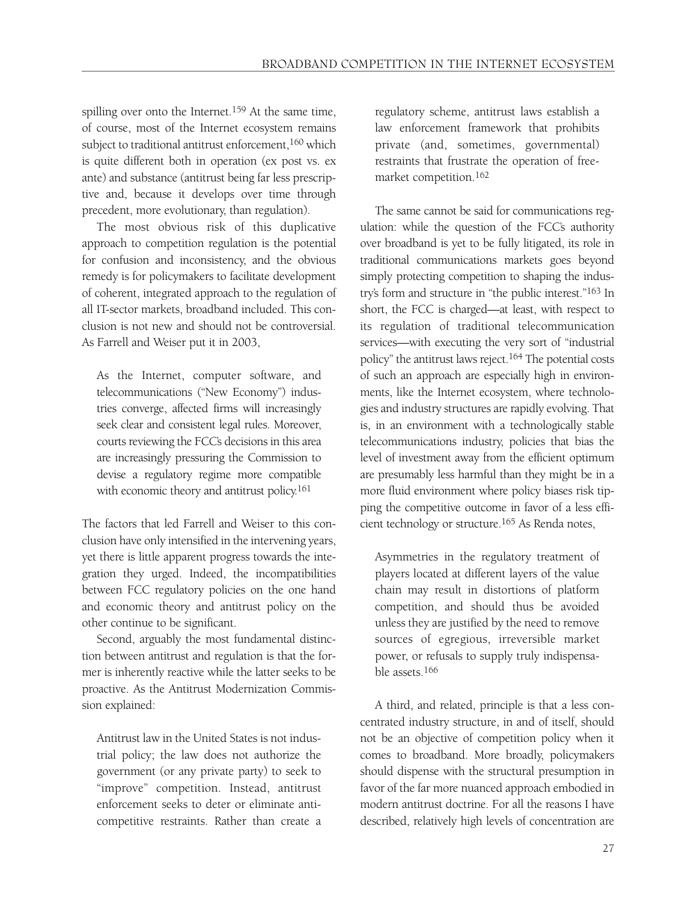spilling over onto the Internet.<sup>159</sup> At the same time, of course, most of the Internet ecosystem remains subject to traditional antitrust enforcement,<sup>160</sup> which is quite different both in operation (ex post vs. ex ante) and substance (antitrust being far less prescriptive and, because it develops over time through precedent, more evolutionary, than regulation).

The most obvious risk of this duplicative approach to competition regulation is the potential for confusion and inconsistency, and the obvious remedy is for policymakers to facilitate development of coherent, integrated approach to the regulation of all IT-sector markets, broadband included. This conclusion is not new and should not be controversial. As Farrell and Weiser put it in 2003,

As the Internet, computer software, and telecommunications ("New Economy") industries converge, affected firms will increasingly seek clear and consistent legal rules. Moreover, courts reviewing the FCC's decisions in this area are increasingly pressuring the Commission to devise a regulatory regime more compatible with economic theory and antitrust policy.161

The factors that led Farrell and Weiser to this conclusion have only intensified in the intervening years, yet there is little apparent progress towards the integration they urged. Indeed, the incompatibilities between FCC regulatory policies on the one hand and economic theory and antitrust policy on the other continue to be significant.

Second, arguably the most fundamental distinction between antitrust and regulation is that the former is inherently reactive while the latter seeks to be proactive. As the Antitrust Modernization Commission explained:

Antitrust law in the United States is not industrial policy; the law does not authorize the government (or any private party) to seek to "improve" competition. Instead, antitrust enforcement seeks to deter or eliminate anticompetitive restraints. Rather than create a

regulatory scheme, antitrust laws establish a law enforcement framework that prohibits private (and, sometimes, governmental) restraints that frustrate the operation of freemarket competition.162

The same cannot be said for communications regulation: while the question of the FCC's authority over broadband is yet to be fully litigated, its role in traditional communications markets goes beyond simply protecting competition to shaping the industry's form and structure in "the public interest."163 In short, the FCC is charged—at least, with respect to its regulation of traditional telecommunication services—with executing the very sort of "industrial policy" the antitrust laws reject.164 The potential costs of such an approach are especially high in environments, like the Internet ecosystem, where technologies and industry structures are rapidly evolving. That is, in an environment with a technologically stable telecommunications industry, policies that bias the level of investment away from the efficient optimum are presumably less harmful than they might be in a more fluid environment where policy biases risk tipping the competitive outcome in favor of a less efficient technology or structure.165 As Renda notes,

Asymmetries in the regulatory treatment of players located at different layers of the value chain may result in distortions of platform competition, and should thus be avoided unless they are justified by the need to remove sources of egregious, irreversible market power, or refusals to supply truly indispensable assets.166

A third, and related, principle is that a less concentrated industry structure, in and of itself, should not be an objective of competition policy when it comes to broadband. More broadly, policymakers should dispense with the structural presumption in favor of the far more nuanced approach embodied in modern antitrust doctrine. For all the reasons I have described, relatively high levels of concentration are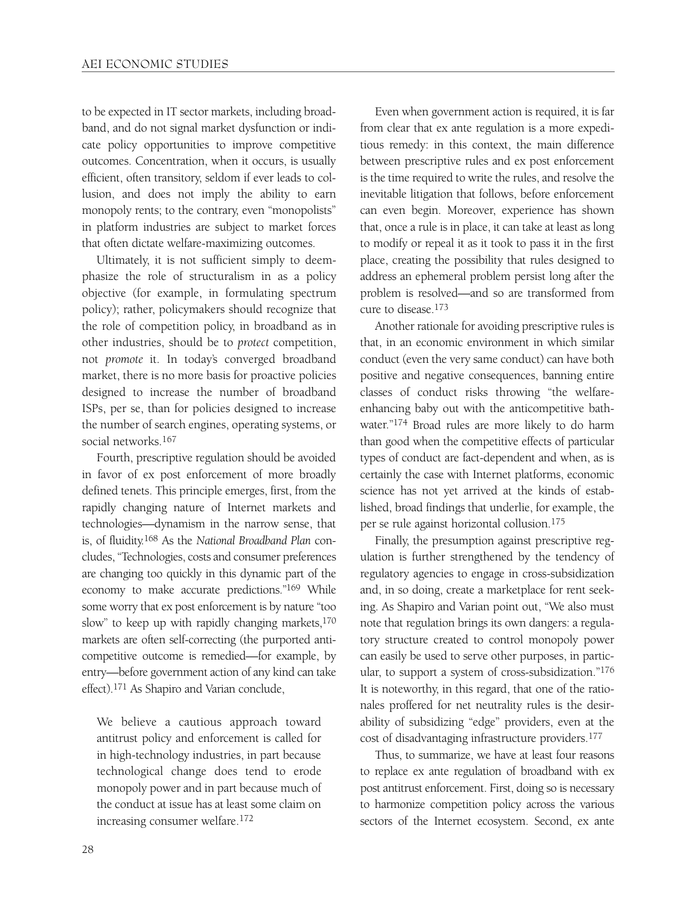to be expected in IT sector markets, including broadband, and do not signal market dysfunction or indicate policy opportunities to improve competitive outcomes. Concentration, when it occurs, is usually efficient, often transitory, seldom if ever leads to collusion, and does not imply the ability to earn monopoly rents; to the contrary, even "monopolists" in platform industries are subject to market forces that often dictate welfare-maximizing outcomes.

Ultimately, it is not sufficient simply to deemphasize the role of structuralism in as a policy objective (for example, in formulating spectrum policy); rather, policymakers should recognize that the role of competition policy, in broadband as in other industries, should be to *protect* competition, not *promote* it. In today's converged broadband market, there is no more basis for proactive policies designed to increase the number of broadband ISPs, per se, than for policies designed to increase the number of search engines, operating systems, or social networks.<sup>167</sup>

Fourth, prescriptive regulation should be avoided in favor of ex post enforcement of more broadly defined tenets. This principle emerges, first, from the rapidly changing nature of Internet markets and technologies—dynamism in the narrow sense, that is, of fluidity.168 As the *National Broadband Plan* concludes, "Technologies, costs and consumer preferences are changing too quickly in this dynamic part of the economy to make accurate predictions."169 While some worry that ex post enforcement is by nature "too slow" to keep up with rapidly changing markets,<sup>170</sup> markets are often self-correcting (the purported anticompetitive outcome is remedied—for example, by entry—before government action of any kind can take effect).171 As Shapiro and Varian conclude,

We believe a cautious approach toward antitrust policy and enforcement is called for in high-technology industries, in part because technological change does tend to erode monopoly power and in part because much of the conduct at issue has at least some claim on increasing consumer welfare.172

Even when government action is required, it is far from clear that ex ante regulation is a more expeditious remedy: in this context, the main difference between prescriptive rules and ex post enforcement is the time required to write the rules, and resolve the inevitable litigation that follows, before enforcement can even begin. Moreover, experience has shown that, once a rule is in place, it can take at least as long to modify or repeal it as it took to pass it in the first place, creating the possibility that rules designed to address an ephemeral problem persist long after the problem is resolved—and so are transformed from cure to disease.173

Another rationale for avoiding prescriptive rules is that, in an economic environment in which similar conduct (even the very same conduct) can have both positive and negative consequences, banning entire classes of conduct risks throwing "the welfareenhancing baby out with the anticompetitive bathwater."174 Broad rules are more likely to do harm than good when the competitive effects of particular types of conduct are fact-dependent and when, as is certainly the case with Internet platforms, economic science has not yet arrived at the kinds of established, broad findings that underlie, for example, the per se rule against horizontal collusion.175

Finally, the presumption against prescriptive regulation is further strengthened by the tendency of regulatory agencies to engage in cross-subsidization and, in so doing, create a marketplace for rent seeking. As Shapiro and Varian point out, "We also must note that regulation brings its own dangers: a regulatory structure created to control monopoly power can easily be used to serve other purposes, in particular, to support a system of cross-subsidization."176 It is noteworthy, in this regard, that one of the rationales proffered for net neutrality rules is the desirability of subsidizing "edge" providers, even at the cost of disadvantaging infrastructure providers.177

Thus, to summarize, we have at least four reasons to replace ex ante regulation of broadband with ex post antitrust enforcement. First, doing so is necessary to harmonize competition policy across the various sectors of the Internet ecosystem. Second, ex ante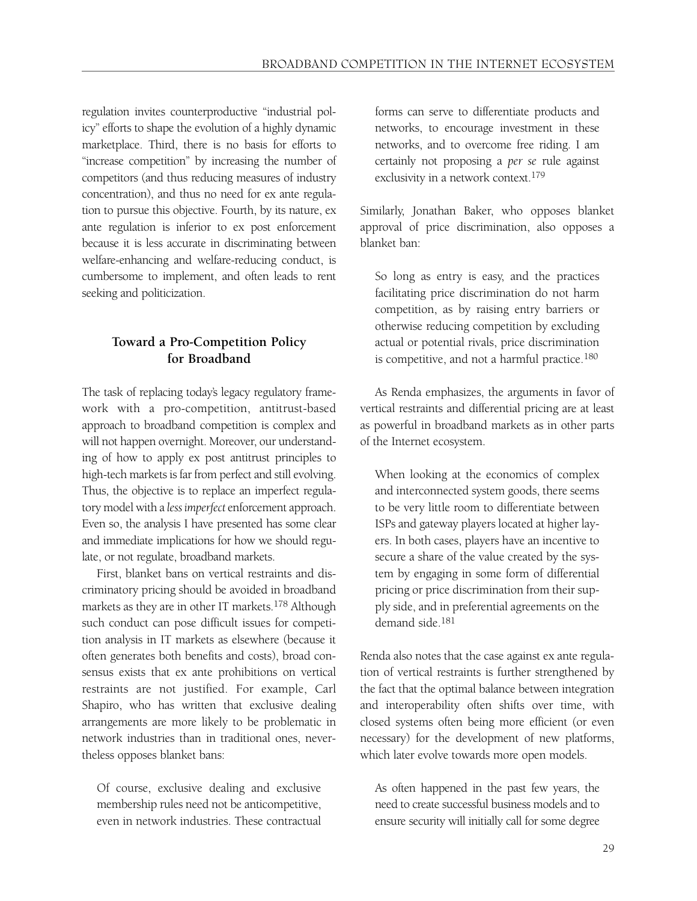regulation invites counterproductive "industrial policy" efforts to shape the evolution of a highly dynamic marketplace. Third, there is no basis for efforts to "increase competition" by increasing the number of competitors (and thus reducing measures of industry concentration), and thus no need for ex ante regulation to pursue this objective. Fourth, by its nature, ex ante regulation is inferior to ex post enforcement because it is less accurate in discriminating between welfare-enhancing and welfare-reducing conduct, is cumbersome to implement, and often leads to rent seeking and politicization.

#### **Toward a Pro-Competition Policy for Broadband**

The task of replacing today's legacy regulatory framework with a pro-competition, antitrust-based approach to broadband competition is complex and will not happen overnight. Moreover, our understanding of how to apply ex post antitrust principles to high-tech markets is far from perfect and still evolving. Thus, the objective is to replace an imperfect regulatory model with a *less imperfect* enforcement approach. Even so, the analysis I have presented has some clear and immediate implications for how we should regulate, or not regulate, broadband markets.

First, blanket bans on vertical restraints and discriminatory pricing should be avoided in broadband markets as they are in other IT markets.<sup>178</sup> Although such conduct can pose difficult issues for competition analysis in IT markets as elsewhere (because it often generates both benefits and costs), broad consensus exists that ex ante prohibitions on vertical restraints are not justified. For example, Carl Shapiro, who has written that exclusive dealing arrangements are more likely to be problematic in network industries than in traditional ones, nevertheless opposes blanket bans:

Of course, exclusive dealing and exclusive membership rules need not be anticompetitive, even in network industries. These contractual

forms can serve to differentiate products and networks, to encourage investment in these networks, and to overcome free riding. I am certainly not proposing a *per se* rule against exclusivity in a network context.179

Similarly, Jonathan Baker, who opposes blanket approval of price discrimination, also opposes a blanket ban:

So long as entry is easy, and the practices facilitating price discrimination do not harm competition, as by raising entry barriers or otherwise reducing competition by excluding actual or potential rivals, price discrimination is competitive, and not a harmful practice.180

As Renda emphasizes, the arguments in favor of vertical restraints and differential pricing are at least as powerful in broadband markets as in other parts of the Internet ecosystem.

When looking at the economics of complex and interconnected system goods, there seems to be very little room to differentiate between ISPs and gateway players located at higher layers. In both cases, players have an incentive to secure a share of the value created by the system by engaging in some form of differential pricing or price discrimination from their supply side, and in preferential agreements on the demand side.181

Renda also notes that the case against ex ante regulation of vertical restraints is further strengthened by the fact that the optimal balance between integration and interoperability often shifts over time, with closed systems often being more efficient (or even necessary) for the development of new platforms, which later evolve towards more open models.

As often happened in the past few years, the need to create successful business models and to ensure security will initially call for some degree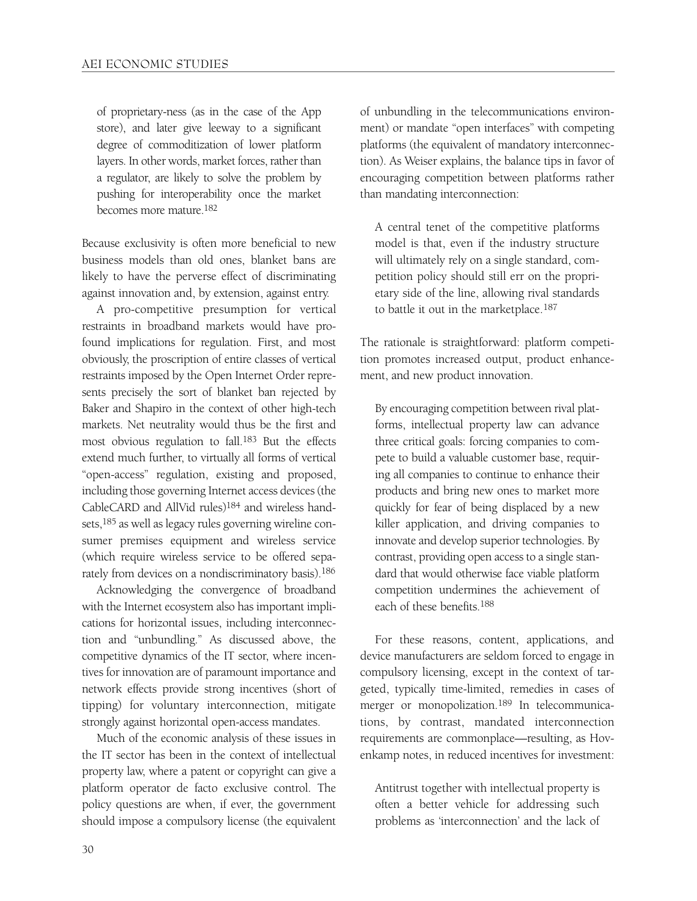of proprietary-ness (as in the case of the App store), and later give leeway to a significant degree of commoditization of lower platform layers. In other words, market forces, rather than a regulator, are likely to solve the problem by pushing for interoperability once the market becomes more mature.182

Because exclusivity is often more beneficial to new business models than old ones, blanket bans are likely to have the perverse effect of discriminating against innovation and, by extension, against entry.

A pro-competitive presumption for vertical restraints in broadband markets would have profound implications for regulation. First, and most obviously, the proscription of entire classes of vertical restraints imposed by the Open Internet Order represents precisely the sort of blanket ban rejected by Baker and Shapiro in the context of other high-tech markets. Net neutrality would thus be the first and most obvious regulation to fall.183 But the effects extend much further, to virtually all forms of vertical "open-access" regulation, existing and proposed, including those governing Internet access devices (the CableCARD and AllVid rules)184 and wireless handsets,185 as well as legacy rules governing wireline consumer premises equipment and wireless service (which require wireless service to be offered separately from devices on a nondiscriminatory basis).<sup>186</sup>

Acknowledging the convergence of broadband with the Internet ecosystem also has important implications for horizontal issues, including interconnection and "unbundling." As discussed above, the competitive dynamics of the IT sector, where incentives for innovation are of paramount importance and network effects provide strong incentives (short of tipping) for voluntary interconnection, mitigate strongly against horizontal open-access mandates.

Much of the economic analysis of these issues in the IT sector has been in the context of intellectual property law, where a patent or copyright can give a platform operator de facto exclusive control. The policy questions are when, if ever, the government should impose a compulsory license (the equivalent of unbundling in the telecommunications environment) or mandate "open interfaces" with competing platforms (the equivalent of mandatory interconnection). As Weiser explains, the balance tips in favor of encouraging competition between platforms rather than mandating interconnection:

A central tenet of the competitive platforms model is that, even if the industry structure will ultimately rely on a single standard, competition policy should still err on the proprietary side of the line, allowing rival standards to battle it out in the marketplace.187

The rationale is straightforward: platform competition promotes increased output, product enhancement, and new product innovation.

By encouraging competition between rival platforms, intellectual property law can advance three critical goals: forcing companies to compete to build a valuable customer base, requiring all companies to continue to enhance their products and bring new ones to market more quickly for fear of being displaced by a new killer application, and driving companies to innovate and develop superior technologies. By contrast, providing open access to a single standard that would otherwise face viable platform competition undermines the achievement of each of these benefits.188

For these reasons, content, applications, and device manufacturers are seldom forced to engage in compulsory licensing, except in the context of targeted, typically time-limited, remedies in cases of merger or monopolization.<sup>189</sup> In telecommunications, by contrast, mandated interconnection requirements are commonplace—resulting, as Hovenkamp notes, in reduced incentives for investment:

Antitrust together with intellectual property is often a better vehicle for addressing such problems as 'interconnection' and the lack of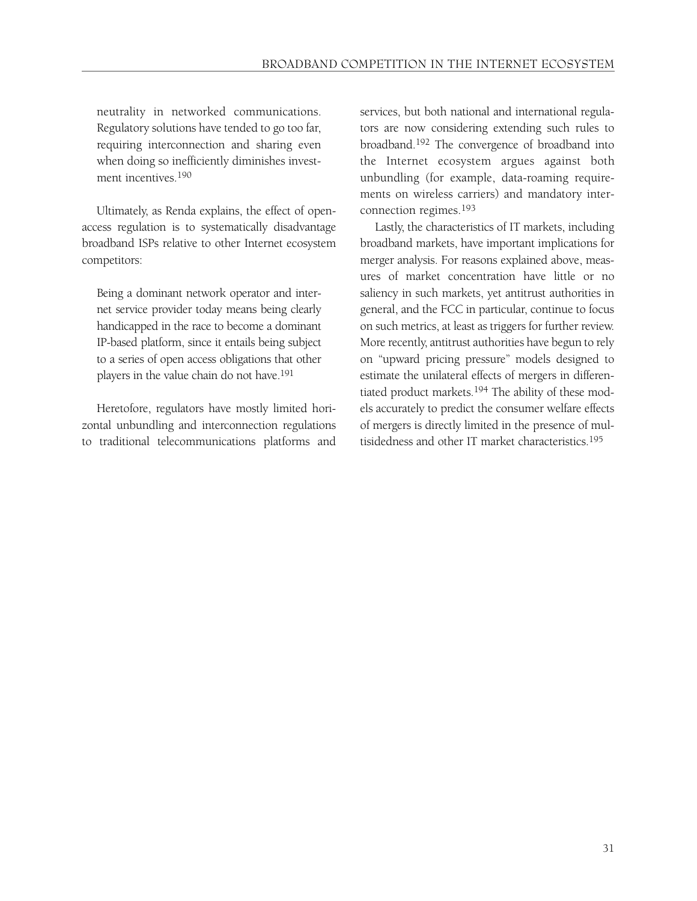neutrality in networked communications. Regulatory solutions have tended to go too far, requiring interconnection and sharing even when doing so inefficiently diminishes investment incentives.190

Ultimately, as Renda explains, the effect of openaccess regulation is to systematically disadvantage broadband ISPs relative to other Internet ecosystem competitors:

Being a dominant network operator and internet service provider today means being clearly handicapped in the race to become a dominant IP-based platform, since it entails being subject to a series of open access obligations that other players in the value chain do not have.191

Heretofore, regulators have mostly limited horizontal unbundling and interconnection regulations to traditional telecommunications platforms and services, but both national and international regulators are now considering extending such rules to broadband.192 The convergence of broadband into the Internet ecosystem argues against both unbundling (for example, data-roaming requirements on wireless carriers) and mandatory interconnection regimes.193

Lastly, the characteristics of IT markets, including broadband markets, have important implications for merger analysis. For reasons explained above, measures of market concentration have little or no saliency in such markets, yet antitrust authorities in general, and the FCC in particular, continue to focus on such metrics, at least as triggers for further review. More recently, antitrust authorities have begun to rely on "upward pricing pressure" models designed to estimate the unilateral effects of mergers in differentiated product markets.194 The ability of these models accurately to predict the consumer welfare effects of mergers is directly limited in the presence of multisidedness and other IT market characteristics.195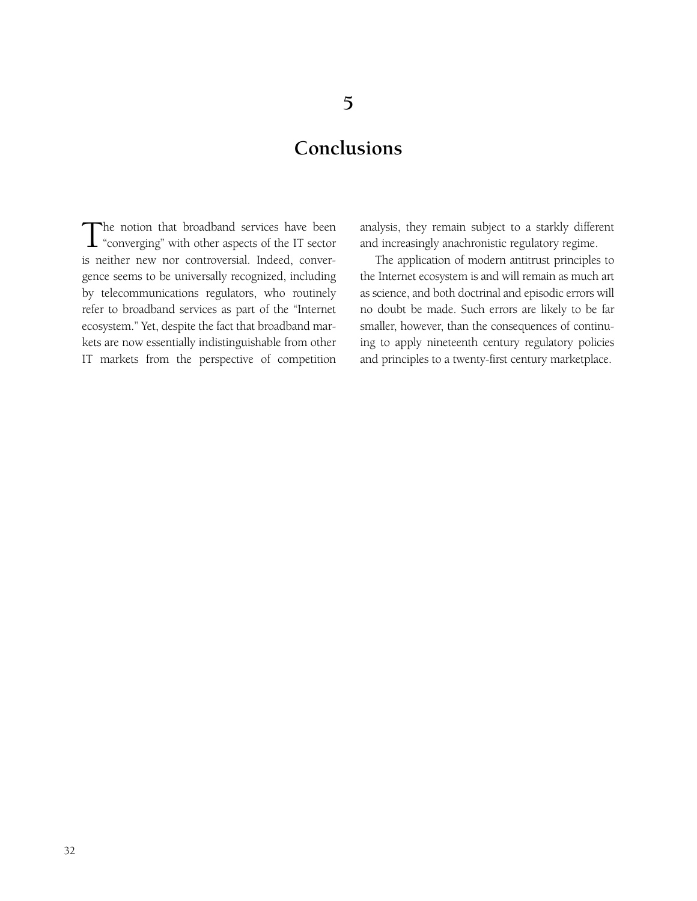## **Conclusions**

The notion that broadband services have been  $\mathbf \perp$  "converging" with other aspects of the IT sector is neither new nor controversial. Indeed, convergence seems to be universally recognized, including by telecommunications regulators, who routinely refer to broadband services as part of the "Internet ecosystem." Yet, despite the fact that broadband markets are now essentially indistinguishable from other IT markets from the perspective of competition

analysis, they remain subject to a starkly different and increasingly anachronistic regulatory regime.

The application of modern antitrust principles to the Internet ecosystem is and will remain as much art as science, and both doctrinal and episodic errors will no doubt be made. Such errors are likely to be far smaller, however, than the consequences of continuing to apply nineteenth century regulatory policies and principles to a twenty-first century marketplace.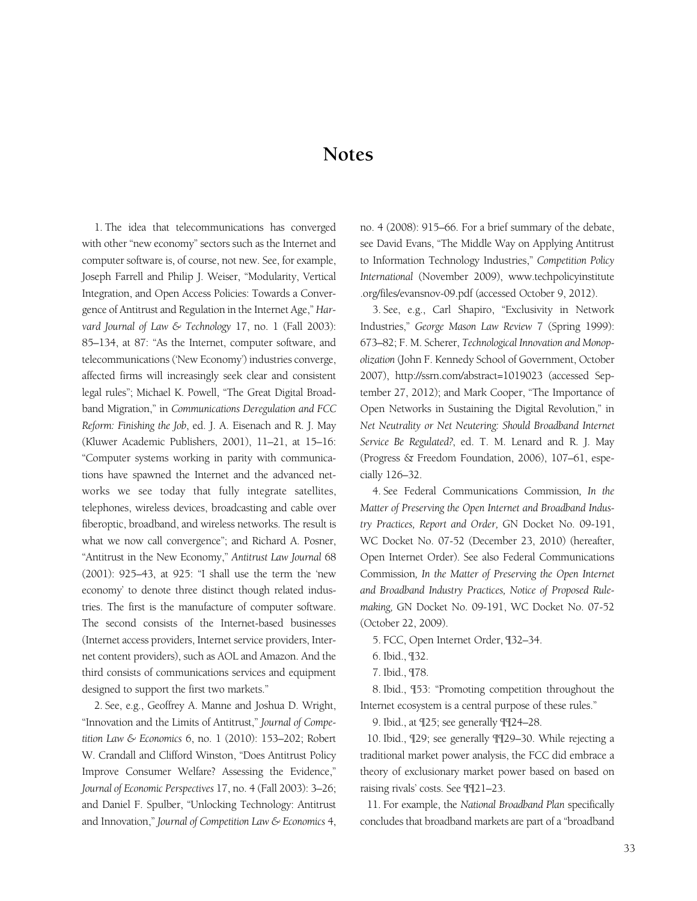### **Notes**

1. The idea that telecommunications has converged with other "new economy" sectors such as the Internet and computer software is, of course, not new. See, for example, Joseph Farrell and Philip J. Weiser, "Modularity, Vertical Integration, and Open Access Policies: Towards a Convergence of Antitrust and Regulation in the Internet Age," *Harvard Journal of Law & Technology* 17, no. 1 (Fall 2003): 85–134, at 87: "As the Internet, computer software, and telecommunications ('New Economy') industries converge, affected firms will increasingly seek clear and consistent legal rules"; Michael K. Powell, "The Great Digital Broadband Migration," in *Communications Deregulation and FCC Reform: Finishing the Job*, ed. J. A. Eisenach and R. J. May (Kluwer Academic Publishers, 2001), 11–21, at 15–16: "Computer systems working in parity with communications have spawned the Internet and the advanced networks we see today that fully integrate satellites, telephones, wireless devices, broadcasting and cable over fiberoptic, broadband, and wireless networks. The result is what we now call convergence"; and Richard A. Posner, "Antitrust in the New Economy," *Antitrust Law Journal* 68 (2001): 925–43, at 925: "I shall use the term the 'new economy' to denote three distinct though related industries. The first is the manufacture of computer software. The second consists of the Internet-based businesses (Internet access providers, Internet service providers, Internet content providers), such as AOL and Amazon. And the third consists of communications services and equipment designed to support the first two markets."

2. See, e.g., Geoffrey A. Manne and Joshua D. Wright, "Innovation and the Limits of Antitrust," *Journal of Competition Law & Economics* 6, no. 1 (2010): 153–202; Robert W. Crandall and Clifford Winston, "Does Antitrust Policy Improve Consumer Welfare? Assessing the Evidence," *Journal of Economic Perspectives* 17, no. 4 (Fall 2003): 3–26; and Daniel F. Spulber, "Unlocking Technology: Antitrust and Innovation," *Journal of Competition Law & Economics* 4, no. 4 (2008): 915–66. For a brief summary of the debate, see David Evans, "The Middle Way on Applying Antitrust to Information Technology Industries," *Competition Policy International* (November 2009), www.techpolicyinstitute .org/files/evansnov-09.pdf (accessed October 9, 2012).

3. See, e.g., Carl Shapiro, "Exclusivity in Network Industries," *George Mason Law Review* 7 (Spring 1999): 673–82; F. M. Scherer, *Technological Innovation and Monopolization* (John F. Kennedy School of Government, October 2007), http://ssrn.com/abstract=1019023 (accessed September 27, 2012); and Mark Cooper, "The Importance of Open Networks in Sustaining the Digital Revolution," in *Net Neutrality or Net Neutering: Should Broadband Internet Service Be Regulated?*, ed. T. M. Lenard and R. J. May (Progress & Freedom Foundation, 2006), 107–61, especially 126–32.

4. See Federal Communications Commission*, In the Matter of Preserving the Open Internet and Broadband Industry Practices, Report and Order,* GN Docket No. 09-191, WC Docket No. 07-52 (December 23, 2010) (hereafter, Open Internet Order). See also Federal Communications Commission*, In the Matter of Preserving the Open Internet and Broadband Industry Practices, Notice of Proposed Rulemaking,* GN Docket No. 09-191, WC Docket No. 07-52 (October 22, 2009).

5. FCC, Open Internet Order, ¶32–34.

7. Ibid., ¶78.

8. Ibid., ¶53: "Promoting competition throughout the Internet ecosystem is a central purpose of these rules."

9. Ibid., at ¶25; see generally ¶¶24–28.

10. Ibid., ¶29; see generally ¶¶29–30. While rejecting a traditional market power analysis, the FCC did embrace a theory of exclusionary market power based on based on raising rivals' costs. See ¶¶21–23.

11. For example, the *National Broadband Plan* specifically concludes that broadband markets are part of a "broadband

<sup>6.</sup> Ibid., ¶32.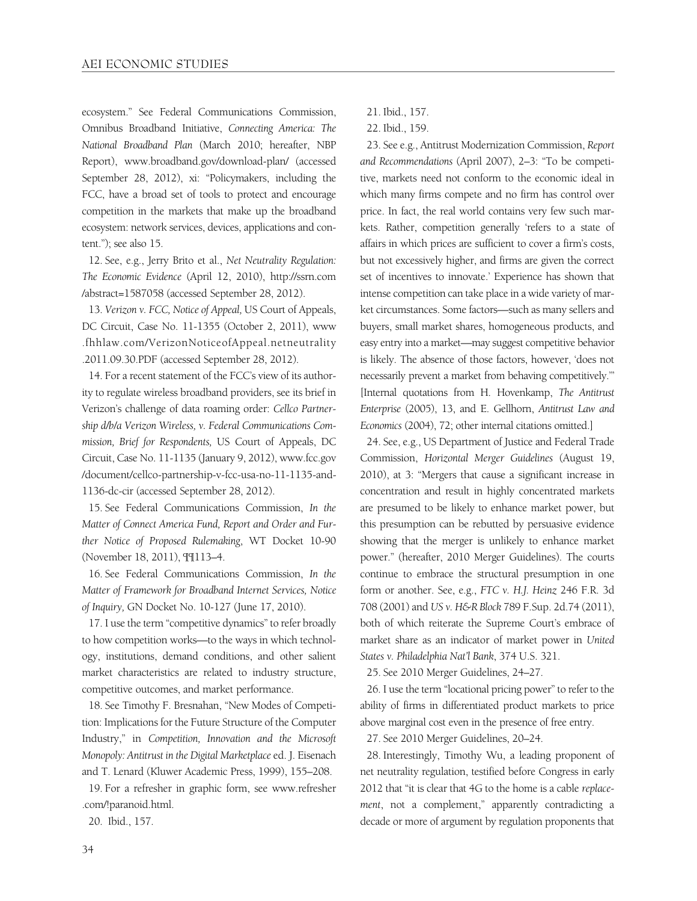ecosystem." See Federal Communications Commission, Omnibus Broadband Initiative, *Connecting America: The National Broadband Plan* (March 2010; hereafter, NBP Report), www.broadband.gov/download-plan/ (accessed September 28, 2012), xi: "Policymakers, including the FCC, have a broad set of tools to protect and encourage competition in the markets that make up the broadband ecosystem: network services, devices, applications and content."); see also 15.

12. See, e.g., Jerry Brito et al., *Net Neutrality Regulation: The Economic Evidence* (April 12, 2010), http://ssrn.com /abstract=1587058 (accessed September 28, 2012).

13. *Verizon v. FCC, Notice of Appeal,* US Court of Appeals, DC Circuit, Case No. 11-1355 (October 2, 2011), www .fhhlaw.com/VerizonNoticeofAppeal.netneutrality .2011.09.30.PDF (accessed September 28, 2012).

14. For a recent statement of the FCC's view of its authority to regulate wireless broadband providers, see its brief in Verizon's challenge of data roaming order: *Cellco Partnership d/b/a Verizon Wireless, v. Federal Communications Commission, Brief for Respondents,* US Court of Appeals, DC Circuit, Case No. 11-1135 (January 9, 2012), www.fcc.gov /document/cellco-partnership-v-fcc-usa-no-11-1135-and-1136-dc-cir (accessed September 28, 2012).

15. See Federal Communications Commission, *In the Matter of Connect America Fund, Report and Order and Further Notice of Proposed Rulemaking*, WT Docket 10-90 (November 18, 2011), ¶¶113–4.

16. See Federal Communications Commission, *In the Matter of Framework for Broadband Internet Services, Notice of Inquiry,* GN Docket No. 10-127 (June 17, 2010).

17. I use the term "competitive dynamics" to refer broadly to how competition works—to the ways in which technology, institutions, demand conditions, and other salient market characteristics are related to industry structure, competitive outcomes, and market performance.

18. See Timothy F. Bresnahan, "New Modes of Competition: Implications for the Future Structure of the Computer Industry," in *Competition, Innovation and the Microsoft Monopoly: Antitrust in the Digital Marketplace* ed. J. Eisenach and T. Lenard (Kluwer Academic Press, 1999), 155–208.

19. For a refresher in graphic form, see www.refresher .com/!paranoid.html.

20. Ibid., 157.

- 21. Ibid., 157.
- 22. Ibid., 159.

23. See e.g., Antitrust Modernization Commission, *Report and Recommendations* (April 2007), 2–3: "To be competitive, markets need not conform to the economic ideal in which many firms compete and no firm has control over price. In fact, the real world contains very few such markets. Rather, competition generally 'refers to a state of affairs in which prices are sufficient to cover a firm's costs, but not excessively higher, and firms are given the correct set of incentives to innovate.' Experience has shown that intense competition can take place in a wide variety of market circumstances. Some factors—such as many sellers and buyers, small market shares, homogeneous products, and easy entry into a market—may suggest competitive behavior is likely. The absence of those factors, however, 'does not necessarily prevent a market from behaving competitively.'" [Internal quotations from H. Hovenkamp, *The Antitrust Enterprise* (2005), 13, and E. Gellhorn, *Antitrust Law and Economics* (2004), 72; other internal citations omitted.]

24. See, e.g., US Department of Justice and Federal Trade Commission, *Horizontal Merger Guidelines* (August 19, 2010), at 3: "Mergers that cause a significant increase in concentration and result in highly concentrated markets are presumed to be likely to enhance market power, but this presumption can be rebutted by persuasive evidence showing that the merger is unlikely to enhance market power." (hereafter, 2010 Merger Guidelines). The courts continue to embrace the structural presumption in one form or another. See, e.g., *FTC v. H.J. Heinz* 246 F.R. 3d 708 (2001) and *US v. H&R Block* 789 F.Sup. 2d.74 (2011), both of which reiterate the Supreme Court's embrace of market share as an indicator of market power in *United States v. Philadelphia Nat'l Bank*, 374 U.S. 321.

25. See 2010 Merger Guidelines, 24–27.

26. I use the term "locational pricing power" to refer to the ability of firms in differentiated product markets to price above marginal cost even in the presence of free entry.

27. See 2010 Merger Guidelines, 20–24.

28. Interestingly, Timothy Wu, a leading proponent of net neutrality regulation, testified before Congress in early 2012 that "it is clear that 4G to the home is a cable *replacement*, not a complement," apparently contradicting a decade or more of argument by regulation proponents that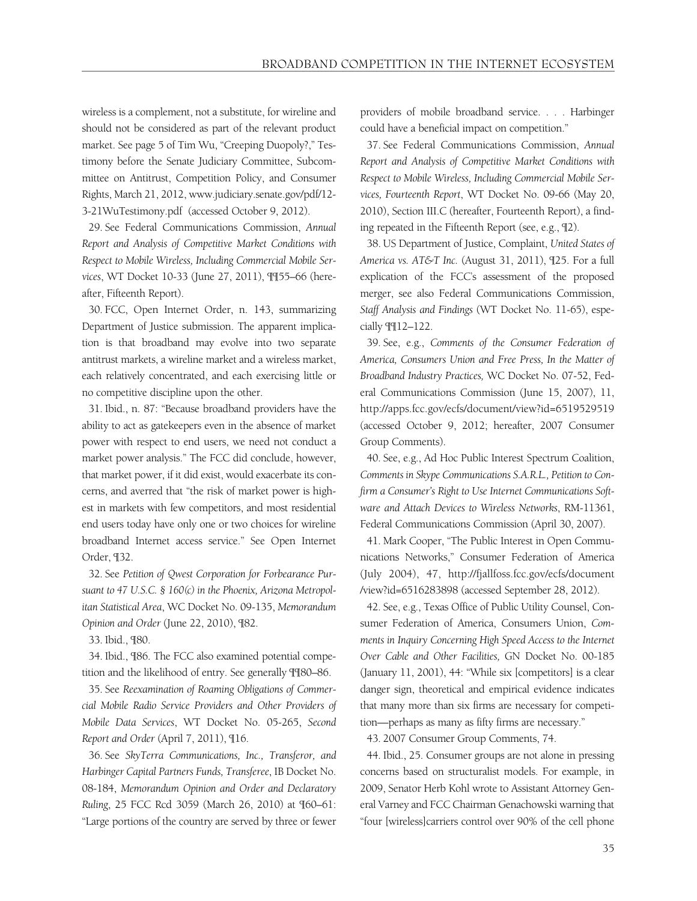wireless is a complement, not a substitute, for wireline and should not be considered as part of the relevant product market. See page 5 of Tim Wu, "Creeping Duopoly?," Testimony before the Senate Judiciary Committee, Subcommittee on Antitrust, Competition Policy, and Consumer Rights, March 21, 2012, www.judiciary.senate.gov/pdf/12- 3-21WuTestimony.pdf (accessed October 9, 2012).

29. See Federal Communications Commission, *Annual Report and Analysis of Competitive Market Conditions with Respect to Mobile Wireless, Including Commercial Mobile Services*, WT Docket 10-33 (June 27, 2011), ¶¶55–66 (hereafter, Fifteenth Report).

30. FCC, Open Internet Order, n. 143, summarizing Department of Justice submission. The apparent implication is that broadband may evolve into two separate antitrust markets, a wireline market and a wireless market, each relatively concentrated, and each exercising little or no competitive discipline upon the other.

31. Ibid., n. 87: "Because broadband providers have the ability to act as gatekeepers even in the absence of market power with respect to end users, we need not conduct a market power analysis." The FCC did conclude, however, that market power, if it did exist, would exacerbate its concerns, and averred that "the risk of market power is highest in markets with few competitors, and most residential end users today have only one or two choices for wireline broadband Internet access service." See Open Internet Order, ¶32.

32. See *Petition of Qwest Corporation for Forbearance Pursuant to 47 U.S.C. § 160(c) in the Phoenix, Arizona Metropolitan Statistical Area*, WC Docket No. 09-135, *Memorandum Opinion and Order* (June 22, 2010), ¶82.

33. Ibid., ¶80.

34. Ibid., ¶86. The FCC also examined potential competition and the likelihood of entry. See generally ¶¶80–86.

35. See *Reexamination of Roaming Obligations of Commercial Mobile Radio Service Providers and Other Providers of Mobile Data Services*, WT Docket No. 05-265, *Second Report and Order* (April 7, 2011), ¶16.

36. See *SkyTerra Communications, Inc., Transferor, and Harbinger Capital Partners Funds, Transferee*, IB Docket No. 08-184, *Memorandum Opinion and Order and Declaratory Ruling*, 25 FCC Rcd 3059 (March 26, 2010) at ¶60–61: "Large portions of the country are served by three or fewer providers of mobile broadband service. . . . Harbinger could have a beneficial impact on competition."

37. See Federal Communications Commission, *Annual Report and Analysis of Competitive Market Conditions with Respect to Mobile Wireless, Including Commercial Mobile Services, Fourteenth Report*, WT Docket No. 09-66 (May 20, 2010), Section III.C (hereafter, Fourteenth Report), a finding repeated in the Fifteenth Report (see, e.g., ¶2).

38. US Department of Justice, Complaint, *United States of America vs. AT&T Inc.* (August 31, 2011), ¶25. For a full explication of the FCC's assessment of the proposed merger, see also Federal Communications Commission, *Staff Analysis and Findings* (WT Docket No. 11-65), especially ¶¶12–122.

39. See, e.g., *Comments of the Consumer Federation of America, Consumers Union and Free Press, In the Matter of Broadband Industry Practices,* WC Docket No. 07-52, Federal Communications Commission (June 15, 2007), 11, http://apps.fcc.gov/ecfs/document/view?id=6519529519 (accessed October 9, 2012; hereafter, 2007 Consumer Group Comments).

40. See, e.g., Ad Hoc Public Interest Spectrum Coalition, *Comments in Skype Communications S.A.R.L., Petition to Confirm a Consumer's Right to Use Internet Communications Software and Attach Devices to Wireless Networks*, RM-11361, Federal Communications Commission (April 30, 2007).

41. Mark Cooper, "The Public Interest in Open Communications Networks," Consumer Federation of America (July 2004), 47, http://fjallfoss.fcc.gov/ecfs/document /view?id=6516283898 (accessed September 28, 2012).

42. See, e.g., Texas Office of Public Utility Counsel, Consumer Federation of America, Consumers Union, *Comments in Inquiry Concerning High Speed Access to the Internet Over Cable and Other Facilities,* GN Docket No. 00-185 (January 11, 2001), 44: "While six [competitors] is a clear danger sign, theoretical and empirical evidence indicates that many more than six firms are necessary for competition—perhaps as many as fifty firms are necessary."

43. 2007 Consumer Group Comments, 74.

44. Ibid., 25. Consumer groups are not alone in pressing concerns based on structuralist models. For example, in 2009, Senator Herb Kohl wrote to Assistant Attorney General Varney and FCC Chairman Genachowski warning that "four [wireless]carriers control over 90% of the cell phone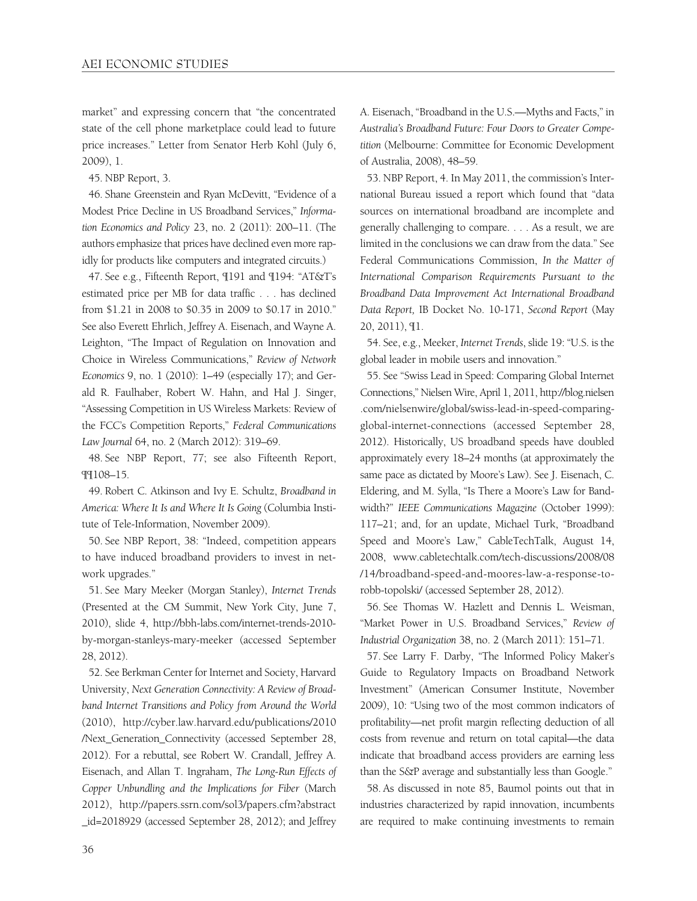market" and expressing concern that "the concentrated state of the cell phone marketplace could lead to future price increases." Letter from Senator Herb Kohl (July 6, 2009), 1.

45. NBP Report, 3.

46. Shane Greenstein and Ryan McDevitt, "Evidence of a Modest Price Decline in US Broadband Services," *Information Economics and Policy* 23, no. 2 (2011): 200–11. (The authors emphasize that prices have declined even more rapidly for products like computers and integrated circuits.)

47. See e.g., Fifteenth Report, ¶191 and ¶194: "AT&T's estimated price per MB for data traffic . . . has declined from \$1.21 in 2008 to \$0.35 in 2009 to \$0.17 in 2010." See also Everett Ehrlich, Jeffrey A. Eisenach, and Wayne A. Leighton, "The Impact of Regulation on Innovation and Choice in Wireless Communications," *Review of Network Economics* 9, no. 1 (2010): 1–49 (especially 17); and Gerald R. Faulhaber, Robert W. Hahn, and Hal J. Singer, "Assessing Competition in US Wireless Markets: Review of the FCC's Competition Reports," *Federal Communications Law Journal* 64, no. 2 (March 2012): 319–69.

48. See NBP Report, 77; see also Fifteenth Report, ¶¶108–15.

49. Robert C. Atkinson and Ivy E. Schultz, *Broadband in America: Where It Is and Where It Is Going* (Columbia Institute of Tele-Information, November 2009).

50. See NBP Report, 38: "Indeed, competition appears to have induced broadband providers to invest in network upgrades."

51. See Mary Meeker (Morgan Stanley), *Internet Trends* (Presented at the CM Summit, New York City, June 7, 2010), slide 4, http://bbh-labs.com/internet-trends-2010 by-morgan-stanleys-mary-meeker (accessed September 28, 2012).

52. See Berkman Center for Internet and Society, Harvard University, *Next Generation Connectivity: A Review of Broadband Internet Transitions and Policy from Around the World* (2010), http://cyber.law.harvard.edu/publications/2010 /Next\_Generation\_Connectivity (accessed September 28, 2012). For a rebuttal, see Robert W. Crandall, Jeffrey A. Eisenach, and Allan T. Ingraham, *The Long-Run Effects of Copper Unbundling and the Implications for Fiber* (March 2012), http://papers.ssrn.com/sol3/papers.cfm?abstract \_id=2018929 (accessed September 28, 2012); and Jeffrey A. Eisenach, "Broadband in the U.S.—Myths and Facts," in *Australia's Broadband Future: Four Doors to Greater Competition* (Melbourne: Committee for Economic Development of Australia, 2008), 48–59.

53. NBP Report, 4. In May 2011, the commission's International Bureau issued a report which found that "data sources on international broadband are incomplete and generally challenging to compare. . . . As a result, we are limited in the conclusions we can draw from the data." See Federal Communications Commission, *In the Matter of International Comparison Requirements Pursuant to the Broadband Data Improvement Act International Broadband Data Report,* IB Docket No. 10-171, *Second Report* (May 20, 2011), ¶1.

54. See, e.g., Meeker, *Internet Trends*, slide 19: "U.S. is the global leader in mobile users and innovation."

55. See "Swiss Lead in Speed: Comparing Global Internet Connections," Nielsen Wire, April 1, 2011, http://blog.nielsen .com/nielsenwire/global/swiss-lead-in-speed-comparingglobal-internet-connections (accessed September 28, 2012). Historically, US broadband speeds have doubled approximately every 18–24 months (at approximately the same pace as dictated by Moore's Law). See J. Eisenach, C. Eldering, and M. Sylla, "Is There a Moore's Law for Bandwidth?" *IEEE Communications Magazine* (October 1999): 117–21; and, for an update, Michael Turk, "Broadband Speed and Moore's Law," CableTechTalk, August 14, 2008, www.cabletechtalk.com/tech-discussions/2008/08 /14/broadband-speed-and-moores-law-a-response-torobb-topolski/ (accessed September 28, 2012).

56. See Thomas W. Hazlett and Dennis L. Weisman, "Market Power in U.S. Broadband Services," *Review of Industrial Organization* 38, no. 2 (March 2011): 151–71.

57. See Larry F. Darby, "The Informed Policy Maker's Guide to Regulatory Impacts on Broadband Network Investment" (American Consumer Institute, November 2009), 10: "Using two of the most common indicators of profitability—net profit margin reflecting deduction of all costs from revenue and return on total capital—the data indicate that broadband access providers are earning less than the S&P average and substantially less than Google."

58. As discussed in note 85, Baumol points out that in industries characterized by rapid innovation, incumbents are required to make continuing investments to remain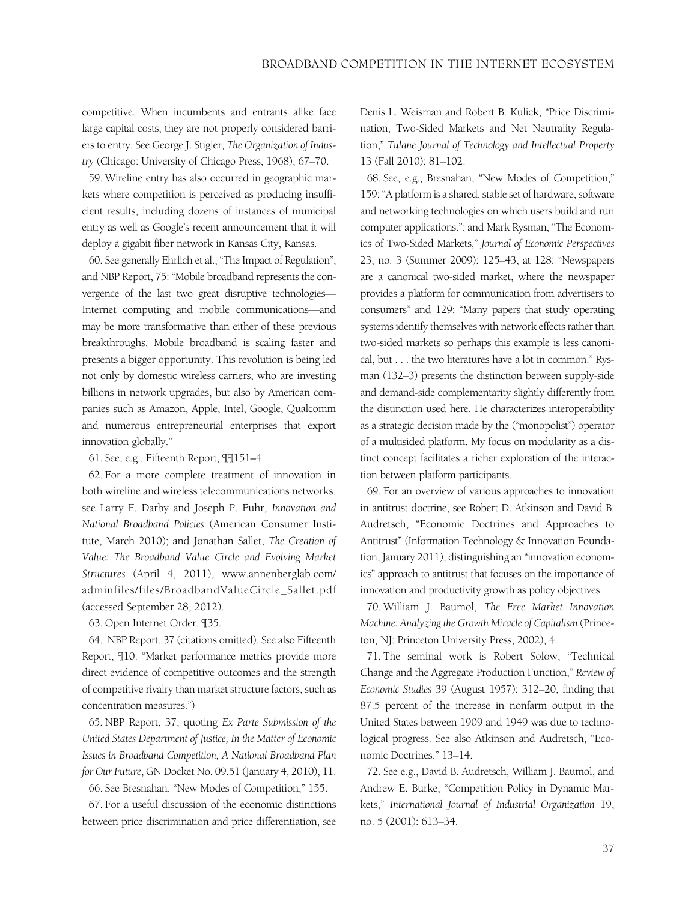competitive. When incumbents and entrants alike face large capital costs, they are not properly considered barriers to entry. See George J. Stigler, *The Organization of Industry* (Chicago: University of Chicago Press, 1968), 67–70.

59. Wireline entry has also occurred in geographic markets where competition is perceived as producing insufficient results, including dozens of instances of municipal entry as well as Google's recent announcement that it will deploy a gigabit fiber network in Kansas City, Kansas.

60. See generally Ehrlich et al., "The Impact of Regulation"; and NBP Report, 75: "Mobile broadband represents the convergence of the last two great disruptive technologies— Internet computing and mobile communications—and may be more transformative than either of these previous breakthroughs. Mobile broadband is scaling faster and presents a bigger opportunity. This revolution is being led not only by domestic wireless carriers, who are investing billions in network upgrades, but also by American companies such as Amazon, Apple, Intel, Google, Qualcomm and numerous entrepreneurial enterprises that export innovation globally."

61. See, e.g., Fifteenth Report, ¶¶151–4.

62. For a more complete treatment of innovation in both wireline and wireless telecommunications networks, see Larry F. Darby and Joseph P. Fuhr, *Innovation and National Broadband Policies* (American Consumer Institute, March 2010); and Jonathan Sallet, *The Creation of Value: The Broadband Value Circle and Evolving Market Structures* (April 4, 2011), www.annenberglab.com/ adminfiles/files/BroadbandValueCircle\_Sallet.pdf (accessed September 28, 2012).

63. Open Internet Order, ¶35.

64. NBP Report, 37 (citations omitted). See also Fifteenth Report, ¶10: "Market performance metrics provide more direct evidence of competitive outcomes and the strength of competitive rivalry than market structure factors, such as concentration measures.")

65. NBP Report, 37, quoting *Ex Parte Submission of the United States Department of Justice, In the Matter of Economic Issues in Broadband Competition, A National Broadband Plan for Our Future*, GN Docket No. 09.51 (January 4, 2010), 11.

66. See Bresnahan, "New Modes of Competition," 155.

67. For a useful discussion of the economic distinctions between price discrimination and price differentiation, see

Denis L. Weisman and Robert B. Kulick, "Price Discrimination, Two-Sided Markets and Net Neutrality Regulation," *Tulane Journal of Technology and Intellectual Property* 13 (Fall 2010): 81–102.

68. See, e.g., Bresnahan, "New Modes of Competition," 159: "A platform is a shared, stable set of hardware, software and networking technologies on which users build and run computer applications."; and Mark Rysman, "The Economics of Two-Sided Markets," *Journal of Economic Perspectives* 23, no. 3 (Summer 2009): 125–43, at 128: "Newspapers are a canonical two-sided market, where the newspaper provides a platform for communication from advertisers to consumers" and 129: "Many papers that study operating systems identify themselves with network effects rather than two-sided markets so perhaps this example is less canonical, but . . . the two literatures have a lot in common." Rysman (132–3) presents the distinction between supply-side and demand-side complementarity slightly differently from the distinction used here. He characterizes interoperability as a strategic decision made by the ("monopolist") operator of a multisided platform. My focus on modularity as a distinct concept facilitates a richer exploration of the interaction between platform participants.

69. For an overview of various approaches to innovation in antitrust doctrine, see Robert D. Atkinson and David B. Audretsch, "Economic Doctrines and Approaches to Antitrust" (Information Technology & Innovation Foundation, January 2011), distinguishing an "innovation economics" approach to antitrust that focuses on the importance of innovation and productivity growth as policy objectives.

70. William J. Baumol, *The Free Market Innovation Machine: Analyzing the Growth Miracle of Capitalism* (Princeton, NJ: Princeton University Press, 2002), 4.

71. The seminal work is Robert Solow, "Technical Change and the Aggregate Production Function," *Review of Economic Studies* 39 (August 1957): 312–20, finding that 87.5 percent of the increase in nonfarm output in the United States between 1909 and 1949 was due to technological progress. See also Atkinson and Audretsch, "Economic Doctrines," 13–14.

72. See e.g., David B. Audretsch, William J. Baumol, and Andrew E. Burke, "Competition Policy in Dynamic Markets," *International Journal of Industrial Organization* 19, no. 5 (2001): 613–34.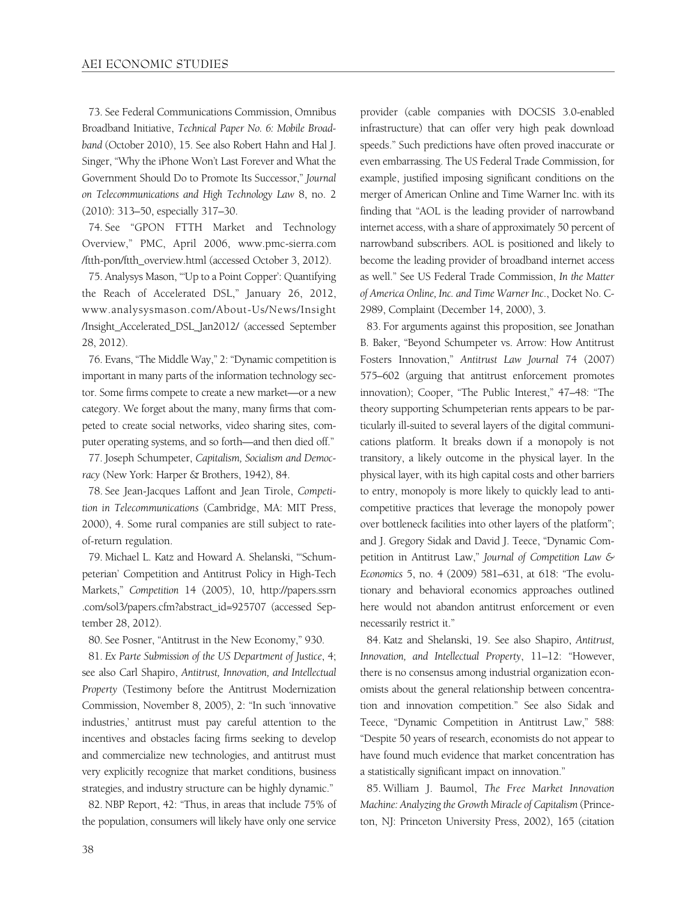73. See Federal Communications Commission, Omnibus Broadband Initiative, *Technical Paper No. 6: Mobile Broadband* (October 2010), 15. See also Robert Hahn and Hal J. Singer, "Why the iPhone Won't Last Forever and What the Government Should Do to Promote Its Successor," *Journal on Telecommunications and High Technology Law* 8, no. 2 (2010): 313–50, especially 317–30.

74. See "GPON FTTH Market and Technology Overview," PMC, April 2006, www.pmc-sierra.com /ftth-pon/ftth\_overview.html (accessed October 3, 2012).

75. Analysys Mason, "'Up to a Point Copper': Quantifying the Reach of Accelerated DSL," January 26, 2012, www.analysysmason.com/About-Us/News/Insight /Insight\_Accelerated\_DSL\_Jan2012/ (accessed September 28, 2012).

76. Evans, "The Middle Way," 2: "Dynamic competition is important in many parts of the information technology sector. Some firms compete to create a new market—or a new category. We forget about the many, many firms that competed to create social networks, video sharing sites, computer operating systems, and so forth—and then died off."

77. Joseph Schumpeter, *Capitalism, Socialism and Democracy* (New York: Harper & Brothers, 1942), 84.

78. See Jean-Jacques Laffont and Jean Tirole, *Competition in Telecommunications* (Cambridge, MA: MIT Press, 2000), 4. Some rural companies are still subject to rateof-return regulation.

79. Michael L. Katz and Howard A. Shelanski, "'Schumpeterian' Competition and Antitrust Policy in High-Tech Markets," *Competition* 14 (2005), 10, http://papers.ssrn .com/sol3/papers.cfm?abstract\_id=925707 (accessed September 28, 2012).

80. See Posner, "Antitrust in the New Economy," 930.

81. *Ex Parte Submission of the US Department of Justice*, 4; see also Carl Shapiro, *Antitrust, Innovation, and Intellectual Property* (Testimony before the Antitrust Modernization Commission, November 8, 2005), 2: "In such 'innovative industries,' antitrust must pay careful attention to the incentives and obstacles facing firms seeking to develop and commercialize new technologies, and antitrust must very explicitly recognize that market conditions, business strategies, and industry structure can be highly dynamic."

82. NBP Report, 42: "Thus, in areas that include 75% of the population, consumers will likely have only one service

provider (cable companies with DOCSIS 3.0-enabled infrastructure) that can offer very high peak download speeds." Such predictions have often proved inaccurate or even embarrassing. The US Federal Trade Commission, for example, justified imposing significant conditions on the merger of American Online and Time Warner Inc. with its finding that "AOL is the leading provider of narrowband internet access, with a share of approximately 50 percent of narrowband subscribers. AOL is positioned and likely to become the leading provider of broadband internet access as well." See US Federal Trade Commission, *In the Matter of America Online, Inc. and Time Warner Inc*., Docket No. C-2989, Complaint (December 14, 2000), 3.

83. For arguments against this proposition, see Jonathan B. Baker, "Beyond Schumpeter vs. Arrow: How Antitrust Fosters Innovation," *Antitrust Law Journal* 74 (2007) 575–602 (arguing that antitrust enforcement promotes innovation); Cooper, "The Public Interest," 47–48: "The theory supporting Schumpeterian rents appears to be particularly ill-suited to several layers of the digital communications platform. It breaks down if a monopoly is not transitory, a likely outcome in the physical layer. In the physical layer, with its high capital costs and other barriers to entry, monopoly is more likely to quickly lead to anticompetitive practices that leverage the monopoly power over bottleneck facilities into other layers of the platform"; and J. Gregory Sidak and David J. Teece, "Dynamic Competition in Antitrust Law," *Journal of Competition Law & Economics* 5, no. 4 (2009) 581–631, at 618: "The evolutionary and behavioral economics approaches outlined here would not abandon antitrust enforcement or even necessarily restrict it."

84. Katz and Shelanski, 19. See also Shapiro, *Antitrust, Innovation, and Intellectual Property*, 11–12: "However, there is no consensus among industrial organization economists about the general relationship between concentration and innovation competition." See also Sidak and Teece, "Dynamic Competition in Antitrust Law," 588: "Despite 50 years of research, economists do not appear to have found much evidence that market concentration has a statistically significant impact on innovation."

85. William J. Baumol, *The Free Market Innovation Machine: Analyzing the Growth Miracle of Capitalism* (Princeton, NJ: Princeton University Press, 2002), 165 (citation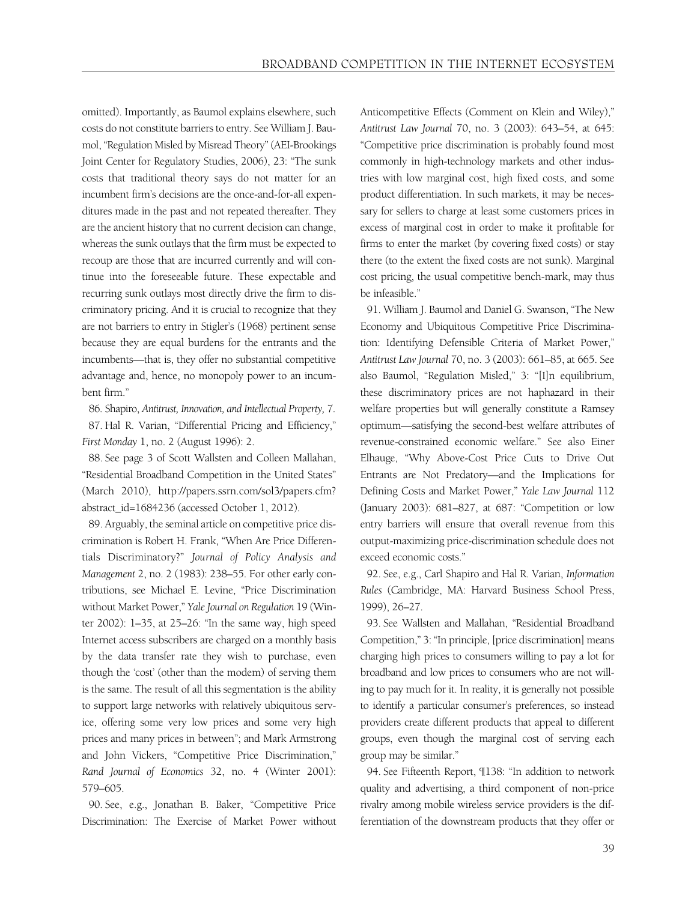omitted). Importantly, as Baumol explains elsewhere, such costs do not constitute barriers to entry. See William J. Baumol, "Regulation Misled by Misread Theory" (AEI-Brookings Joint Center for Regulatory Studies, 2006), 23: "The sunk costs that traditional theory says do not matter for an incumbent firm's decisions are the once-and-for-all expenditures made in the past and not repeated thereafter. They are the ancient history that no current decision can change, whereas the sunk outlays that the firm must be expected to recoup are those that are incurred currently and will continue into the foreseeable future. These expectable and recurring sunk outlays most directly drive the firm to discriminatory pricing. And it is crucial to recognize that they are not barriers to entry in Stigler's (1968) pertinent sense because they are equal burdens for the entrants and the incumbents—that is, they offer no substantial competitive advantage and, hence, no monopoly power to an incumbent firm."

86. Shapiro, *Antitrust, Innovation, and Intellectual Property,* 7. 87. Hal R. Varian, "Differential Pricing and Efficiency," *First Monday* 1, no. 2 (August 1996): 2.

88. See page 3 of Scott Wallsten and Colleen Mallahan, "Residential Broadband Competition in the United States" (March 2010), http://papers.ssrn.com/sol3/papers.cfm? abstract\_id=1684236 (accessed October 1, 2012).

89. Arguably, the seminal article on competitive price discrimination is Robert H. Frank, "When Are Price Differentials Discriminatory?" *Journal of Policy Analysis and Management* 2, no. 2 (1983): 238–55. For other early contributions, see Michael E. Levine, "Price Discrimination without Market Power," *Yale Journal on Regulation* 19 (Winter 2002): 1–35, at 25–26: "In the same way, high speed Internet access subscribers are charged on a monthly basis by the data transfer rate they wish to purchase, even though the 'cost' (other than the modem) of serving them is the same. The result of all this segmentation is the ability to support large networks with relatively ubiquitous service, offering some very low prices and some very high prices and many prices in between"; and Mark Armstrong and John Vickers, "Competitive Price Discrimination," *Rand Journal of Economics* 32, no. 4 (Winter 2001): 579–605.

90. See, e.g., Jonathan B. Baker, "Competitive Price Discrimination: The Exercise of Market Power without Anticompetitive Effects (Comment on Klein and Wiley)," *Antitrust Law Journal* 70, no. 3 (2003): 643–54, at 645: "Competitive price discrimination is probably found most commonly in high-technology markets and other industries with low marginal cost, high fixed costs, and some product differentiation. In such markets, it may be necessary for sellers to charge at least some customers prices in excess of marginal cost in order to make it profitable for firms to enter the market (by covering fixed costs) or stay there (to the extent the fixed costs are not sunk). Marginal cost pricing, the usual competitive bench-mark, may thus be infeasible."

91. William J. Baumol and Daniel G. Swanson, "The New Economy and Ubiquitous Competitive Price Discrimination: Identifying Defensible Criteria of Market Power," *Antitrust Law Journal* 70, no. 3 (2003): 661–85, at 665. See also Baumol, "Regulation Misled," 3: "[I]n equilibrium, these discriminatory prices are not haphazard in their welfare properties but will generally constitute a Ramsey optimum—satisfying the second-best welfare attributes of revenue-constrained economic welfare." See also Einer Elhauge, "Why Above-Cost Price Cuts to Drive Out Entrants are Not Predatory—and the Implications for Defining Costs and Market Power," *Yale Law Journal* 112 (January 2003): 681–827, at 687: "Competition or low entry barriers will ensure that overall revenue from this output-maximizing price-discrimination schedule does not exceed economic costs."

92. See, e.g., Carl Shapiro and Hal R. Varian, *Information Rules* (Cambridge, MA: Harvard Business School Press, 1999), 26–27.

93. See Wallsten and Mallahan, "Residential Broadband Competition," 3: "In principle, [price discrimination] means charging high prices to consumers willing to pay a lot for broadband and low prices to consumers who are not willing to pay much for it. In reality, it is generally not possible to identify a particular consumer's preferences, so instead providers create different products that appeal to different groups, even though the marginal cost of serving each group may be similar."

94. See Fifteenth Report, ¶138: "In addition to network quality and advertising, a third component of non-price rivalry among mobile wireless service providers is the differentiation of the downstream products that they offer or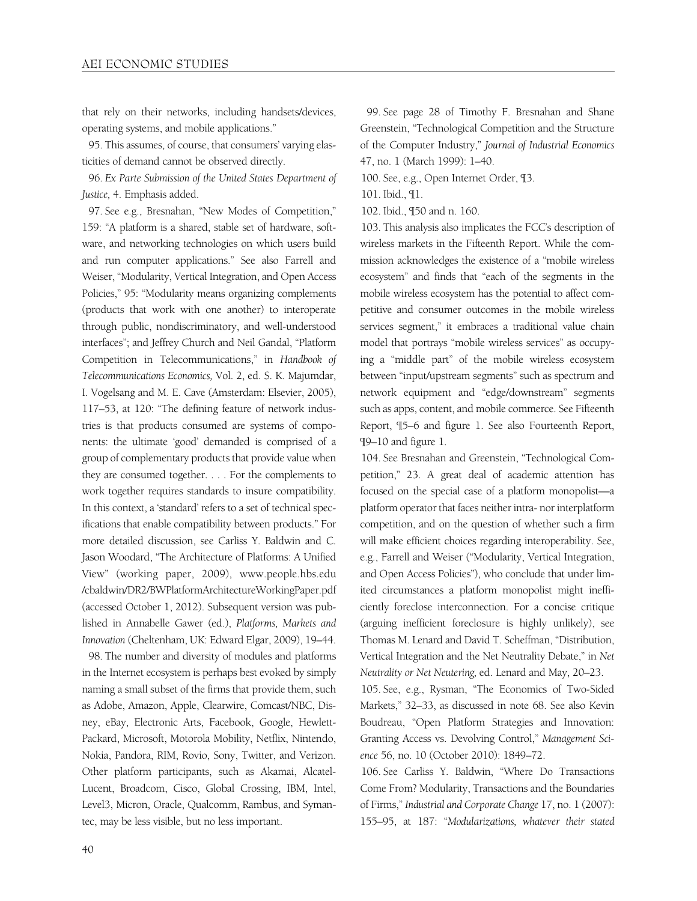that rely on their networks, including handsets/devices, operating systems, and mobile applications."

95. This assumes, of course, that consumers' varying elasticities of demand cannot be observed directly.

96. *Ex Parte Submission of the United States Department of Justice,* 4. Emphasis added.

97. See e.g., Bresnahan, "New Modes of Competition," 159: "A platform is a shared, stable set of hardware, software, and networking technologies on which users build and run computer applications." See also Farrell and Weiser, "Modularity, Vertical Integration, and Open Access Policies," 95: "Modularity means organizing complements (products that work with one another) to interoperate through public, nondiscriminatory, and well-understood interfaces"; and Jeffrey Church and Neil Gandal, "Platform Competition in Telecommunications," in *Handbook of Telecommunications Economics,* Vol. 2, ed. S. K. Majumdar, I. Vogelsang and M. E. Cave (Amsterdam: Elsevier, 2005), 117–53, at 120: "The defining feature of network industries is that products consumed are systems of components: the ultimate 'good' demanded is comprised of a group of complementary products that provide value when they are consumed together. . . . For the complements to work together requires standards to insure compatibility. In this context, a 'standard' refers to a set of technical specifications that enable compatibility between products." For more detailed discussion, see Carliss Y. Baldwin and C. Jason Woodard, "The Architecture of Platforms: A Unified View" (working paper, 2009), www.people.hbs.edu /cbaldwin/DR2/BWPlatformArchitectureWorkingPaper.pdf (accessed October 1, 2012). Subsequent version was published in Annabelle Gawer (ed.), *Platforms, Markets and Innovation* (Cheltenham, UK: Edward Elgar, 2009), 19–44.

98. The number and diversity of modules and platforms in the Internet ecosystem is perhaps best evoked by simply naming a small subset of the firms that provide them, such as Adobe, Amazon, Apple, Clearwire, Comcast/NBC, Disney, eBay, Electronic Arts, Facebook, Google, Hewlett-Packard, Microsoft, Motorola Mobility, Netflix, Nintendo, Nokia, Pandora, RIM, Rovio, Sony, Twitter, and Verizon. Other platform participants, such as Akamai, Alcatel-Lucent, Broadcom, Cisco, Global Crossing, IBM, Intel, Level3, Micron, Oracle, Qualcomm, Rambus, and Symantec, may be less visible, but no less important.

99. See page 28 of Timothy F. Bresnahan and Shane Greenstein, "Technological Competition and the Structure of the Computer Industry," *Journal of Industrial Economics* 47, no. 1 (March 1999): 1–40.

100. See, e.g., Open Internet Order, ¶3.

101. Ibid., ¶1.

102. Ibid., ¶50 and n. 160.

103. This analysis also implicates the FCC's description of wireless markets in the Fifteenth Report. While the commission acknowledges the existence of a "mobile wireless ecosystem" and finds that "each of the segments in the mobile wireless ecosystem has the potential to affect competitive and consumer outcomes in the mobile wireless services segment," it embraces a traditional value chain model that portrays "mobile wireless services" as occupying a "middle part" of the mobile wireless ecosystem between "input/upstream segments" such as spectrum and network equipment and "edge/downstream" segments such as apps, content, and mobile commerce. See Fifteenth Report, ¶5–6 and figure 1. See also Fourteenth Report, ¶9–10 and figure 1.

104. See Bresnahan and Greenstein, "Technological Competition," 23. A great deal of academic attention has focused on the special case of a platform monopolist—a platform operator that faces neither intra- nor interplatform competition, and on the question of whether such a firm will make efficient choices regarding interoperability. See, e.g., Farrell and Weiser ("Modularity, Vertical Integration, and Open Access Policies"), who conclude that under limited circumstances a platform monopolist might inefficiently foreclose interconnection. For a concise critique (arguing inefficient foreclosure is highly unlikely), see Thomas M. Lenard and David T. Scheffman, "Distribution, Vertical Integration and the Net Neutrality Debate," in *Net Neutrality or Net Neutering,* ed. Lenard and May, 20–23.

105. See, e.g., Rysman, "The Economics of Two-Sided Markets," 32–33, as discussed in note 68. See also Kevin Boudreau, "Open Platform Strategies and Innovation: Granting Access vs. Devolving Control," *Management Science* 56, no. 10 (October 2010): 1849–72.

106. See Carliss Y. Baldwin, "Where Do Transactions Come From? Modularity, Transactions and the Boundaries of Firms," *Industrial and Corporate Change* 17, no. 1 (2007): 155–95, at 187: "*Modularizations, whatever their stated*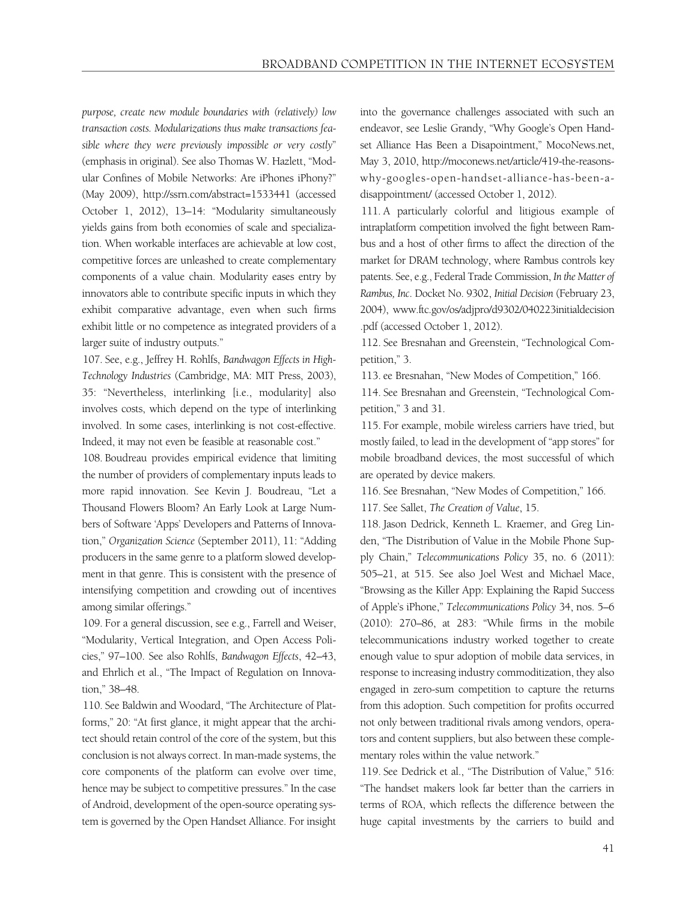*purpose, create new module boundaries with (relatively) low transaction costs. Modularizations thus make transactions feasible where they were previously impossible or very costly*" (emphasis in original). See also Thomas W. Hazlett, "Modular Confines of Mobile Networks: Are iPhones iPhony?" (May 2009), http://ssrn.com/abstract=1533441 (accessed October 1, 2012), 13–14: "Modularity simultaneously yields gains from both economies of scale and specialization. When workable interfaces are achievable at low cost, competitive forces are unleashed to create complementary components of a value chain. Modularity eases entry by innovators able to contribute specific inputs in which they exhibit comparative advantage, even when such firms exhibit little or no competence as integrated providers of a larger suite of industry outputs."

107. See, e.g., Jeffrey H. Rohlfs, *Bandwagon Effects in High-Technology Industries* (Cambridge, MA: MIT Press, 2003), 35: "Nevertheless, interlinking [i.e., modularity] also involves costs, which depend on the type of interlinking involved. In some cases, interlinking is not cost-effective. Indeed, it may not even be feasible at reasonable cost."

108. Boudreau provides empirical evidence that limiting the number of providers of complementary inputs leads to more rapid innovation. See Kevin J. Boudreau, "Let a Thousand Flowers Bloom? An Early Look at Large Numbers of Software 'Apps' Developers and Patterns of Innovation," *Organization Science* (September 2011), 11: "Adding producers in the same genre to a platform slowed development in that genre. This is consistent with the presence of intensifying competition and crowding out of incentives among similar offerings."

109. For a general discussion, see e.g., Farrell and Weiser, "Modularity, Vertical Integration, and Open Access Policies," 97–100. See also Rohlfs, *Bandwagon Effects*, 42–43, and Ehrlich et al., "The Impact of Regulation on Innovation," 38–48.

110. See Baldwin and Woodard, "The Architecture of Platforms," 20: "At first glance, it might appear that the architect should retain control of the core of the system, but this conclusion is not always correct. In man-made systems, the core components of the platform can evolve over time, hence may be subject to competitive pressures." In the case of Android, development of the open-source operating system is governed by the Open Handset Alliance. For insight into the governance challenges associated with such an endeavor, see Leslie Grandy, "Why Google's Open Handset Alliance Has Been a Disapointment," MocoNews.net, May 3, 2010, http://moconews.net/article/419-the-reasonswhy-googles-open-handset-alliance-has-been-adisappointment/ (accessed October 1, 2012).

111. A particularly colorful and litigious example of intraplatform competition involved the fight between Rambus and a host of other firms to affect the direction of the market for DRAM technology, where Rambus controls key patents. See, e.g., Federal Trade Commission, *In the Matter of Rambus, Inc*. Docket No. 9302, *Initial Decision* (February 23, 2004), www.ftc.gov/os/adjpro/d9302/040223initialdecision .pdf (accessed October 1, 2012).

112. See Bresnahan and Greenstein, "Technological Competition," 3.

113. ee Bresnahan, "New Modes of Competition," 166.

114. See Bresnahan and Greenstein, "Technological Competition," 3 and 31.

115. For example, mobile wireless carriers have tried, but mostly failed, to lead in the development of "app stores" for mobile broadband devices, the most successful of which are operated by device makers.

116. See Bresnahan, "New Modes of Competition," 166.

117. See Sallet, *The Creation of Value*, 15.

118. Jason Dedrick, Kenneth L. Kraemer, and Greg Linden, "The Distribution of Value in the Mobile Phone Supply Chain," *Telecommunications Policy* 35, no. 6 (2011): 505–21, at 515. See also Joel West and Michael Mace, "Browsing as the Killer App: Explaining the Rapid Success of Apple's iPhone," *Telecommunications Policy* 34, nos. 5–6 (2010): 270–86, at 283: "While firms in the mobile telecommunications industry worked together to create enough value to spur adoption of mobile data services, in response to increasing industry commoditization, they also engaged in zero-sum competition to capture the returns from this adoption. Such competition for profits occurred not only between traditional rivals among vendors, operators and content suppliers, but also between these complementary roles within the value network."

119. See Dedrick et al., "The Distribution of Value," 516: "The handset makers look far better than the carriers in terms of ROA, which reflects the difference between the huge capital investments by the carriers to build and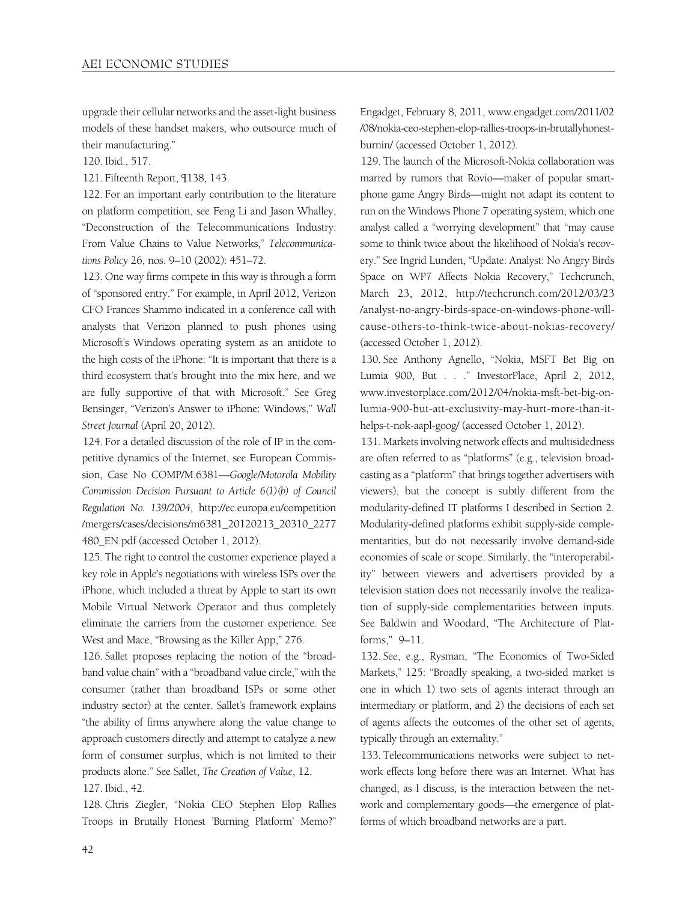upgrade their cellular networks and the asset-light business models of these handset makers, who outsource much of their manufacturing."

120. Ibid., 517.

121. Fifteenth Report, ¶138, 143.

122. For an important early contribution to the literature on platform competition, see Feng Li and Jason Whalley, "Deconstruction of the Telecommunications Industry: From Value Chains to Value Networks," *Telecommunications Policy* 26, nos. 9–10 (2002): 451–72.

123. One way firms compete in this way is through a form of "sponsored entry." For example, in April 2012, Verizon CFO Frances Shammo indicated in a conference call with analysts that Verizon planned to push phones using Microsoft's Windows operating system as an antidote to the high costs of the iPhone: "It is important that there is a third ecosystem that's brought into the mix here, and we are fully supportive of that with Microsoft." See Greg Bensinger, "Verizon's Answer to iPhone: Windows," *Wall Street Journal* (April 20, 2012).

124. For a detailed discussion of the role of IP in the competitive dynamics of the Internet, see European Commission, Case No COMP/M.6381—*Google/Motorola Mobility Commission Decision Pursuant to Article 6(1)(b) of Council Regulation No. 139/2004*, http://ec.europa.eu/competition /mergers/cases/decisions/m6381\_20120213\_20310\_2277 480\_EN.pdf (accessed October 1, 2012).

125. The right to control the customer experience played a key role in Apple's negotiations with wireless ISPs over the iPhone, which included a threat by Apple to start its own Mobile Virtual Network Operator and thus completely eliminate the carriers from the customer experience. See West and Mace, "Browsing as the Killer App," 276.

126. Sallet proposes replacing the notion of the "broadband value chain" with a "broadband value circle," with the consumer (rather than broadband ISPs or some other industry sector) at the center. Sallet's framework explains "the ability of firms anywhere along the value change to approach customers directly and attempt to catalyze a new form of consumer surplus, which is not limited to their products alone." See Sallet, *The Creation of Value*, 12. 127. Ibid., 42.

128. Chris Ziegler, "Nokia CEO Stephen Elop Rallies Troops in Brutally Honest 'Burning Platform' Memo?" Engadget, February 8, 2011, www.engadget.com/2011/02 /08/nokia-ceo-stephen-elop-rallies-troops-in-brutallyhonestburnin/ (accessed October 1, 2012).

129. The launch of the Microsoft-Nokia collaboration was marred by rumors that Rovio—maker of popular smartphone game Angry Birds—might not adapt its content to run on the Windows Phone 7 operating system, which one analyst called a "worrying development" that "may cause some to think twice about the likelihood of Nokia's recovery." See Ingrid Lunden, "Update: Analyst: No Angry Birds Space on WP7 Affects Nokia Recovery," Techcrunch, March 23, 2012, http://techcrunch.com/2012/03/23 /analyst-no-angry-birds-space-on-windows-phone-willcause-others-to-think-twice-about-nokias-recovery/ (accessed October 1, 2012).

130. See Anthony Agnello, "Nokia, MSFT Bet Big on Lumia 900, But . . ." InvestorPlace, April 2, 2012, www.investorplace.com/2012/04/nokia-msft-bet-big-onlumia-900-but-att-exclusivity-may-hurt-more-than-ithelps-t-nok-aapl-goog/ (accessed October 1, 2012).

131. Markets involving network effects and multisidedness are often referred to as "platforms" (e.g., television broadcasting as a "platform" that brings together advertisers with viewers), but the concept is subtly different from the modularity-defined IT platforms I described in Section 2. Modularity-defined platforms exhibit supply-side complementarities, but do not necessarily involve demand-side economies of scale or scope. Similarly, the "interoperability" between viewers and advertisers provided by a television station does not necessarily involve the realization of supply-side complementarities between inputs. See Baldwin and Woodard, "The Architecture of Platforms," 9–11.

132. See, e.g., Rysman, "The Economics of Two-Sided Markets," 125: "Broadly speaking, a two-sided market is one in which 1) two sets of agents interact through an intermediary or platform, and 2) the decisions of each set of agents affects the outcomes of the other set of agents, typically through an externality."

133. Telecommunications networks were subject to network effects long before there was an Internet. What has changed, as I discuss, is the interaction between the network and complementary goods—the emergence of platforms of which broadband networks are a part.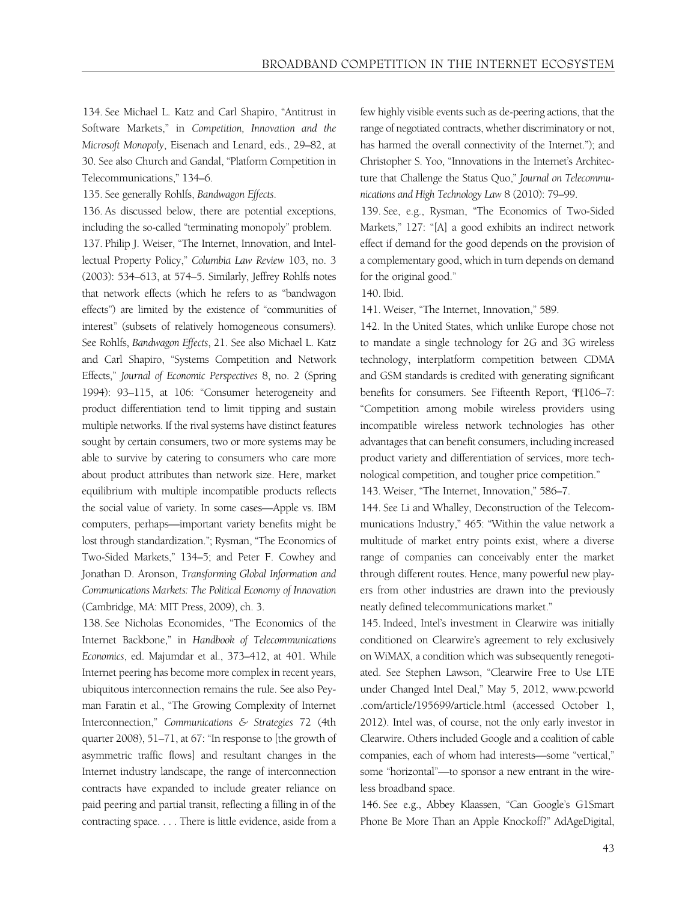134. See Michael L. Katz and Carl Shapiro, "Antitrust in Software Markets," in *Competition, Innovation and the Microsoft Monopoly*, Eisenach and Lenard, eds., 29–82, at 30. See also Church and Gandal, "Platform Competition in Telecommunications," 134–6.

135. See generally Rohlfs, *Bandwagon Effects*.

136. As discussed below, there are potential exceptions, including the so-called "terminating monopoly" problem. 137. Philip J. Weiser, "The Internet, Innovation, and Intellectual Property Policy," *Columbia Law Review* 103, no. 3 (2003): 534–613, at 574–5. Similarly, Jeffrey Rohlfs notes that network effects (which he refers to as "bandwagon effects") are limited by the existence of "communities of interest" (subsets of relatively homogeneous consumers). See Rohlfs, *Bandwagon Effects*, 21. See also Michael L. Katz and Carl Shapiro, "Systems Competition and Network Effects," *Journal of Economic Perspectives* 8, no. 2 (Spring 1994): 93–115, at 106: "Consumer heterogeneity and product differentiation tend to limit tipping and sustain multiple networks. If the rival systems have distinct features sought by certain consumers, two or more systems may be able to survive by catering to consumers who care more about product attributes than network size. Here, market equilibrium with multiple incompatible products reflects the social value of variety. In some cases—Apple vs. IBM computers, perhaps—important variety benefits might be lost through standardization."; Rysman, "The Economics of Two-Sided Markets," 134–5; and Peter F. Cowhey and Jonathan D. Aronson, *Transforming Global Information and Communications Markets: The Political Economy of Innovation* (Cambridge, MA: MIT Press, 2009), ch. 3.

138. See Nicholas Economides, "The Economics of the Internet Backbone," in *Handbook of Telecommunications Economics*, ed. Majumdar et al., 373–412, at 401. While Internet peering has become more complex in recent years, ubiquitous interconnection remains the rule. See also Peyman Faratin et al., "The Growing Complexity of Internet Interconnection," *Communications & Strategies* 72 (4th quarter 2008), 51–71, at 67: "In response to [the growth of asymmetric traffic flows] and resultant changes in the Internet industry landscape, the range of interconnection contracts have expanded to include greater reliance on paid peering and partial transit, reflecting a filling in of the contracting space. . . . There is little evidence, aside from a few highly visible events such as de-peering actions, that the range of negotiated contracts, whether discriminatory or not, has harmed the overall connectivity of the Internet."); and Christopher S. Yoo, "Innovations in the Internet's Architecture that Challenge the Status Quo," *Journal on Telecommunications and High Technology Law* 8 (2010): 79–99.

139. See, e.g., Rysman, "The Economics of Two-Sided Markets," 127: "[A] a good exhibits an indirect network effect if demand for the good depends on the provision of a complementary good, which in turn depends on demand for the original good."

140. Ibid.

141. Weiser, "The Internet, Innovation," 589.

142. In the United States, which unlike Europe chose not to mandate a single technology for 2G and 3G wireless technology, interplatform competition between CDMA and GSM standards is credited with generating significant benefits for consumers. See Fifteenth Report, ¶¶106–7: "Competition among mobile wireless providers using incompatible wireless network technologies has other advantages that can benefit consumers, including increased product variety and differentiation of services, more technological competition, and tougher price competition."

143. Weiser, "The Internet, Innovation," 586–7.

144. See Li and Whalley, Deconstruction of the Telecommunications Industry," 465: "Within the value network a multitude of market entry points exist, where a diverse range of companies can conceivably enter the market through different routes. Hence, many powerful new players from other industries are drawn into the previously neatly defined telecommunications market."

145. Indeed, Intel's investment in Clearwire was initially conditioned on Clearwire's agreement to rely exclusively on WiMAX, a condition which was subsequently renegotiated. See Stephen Lawson, "Clearwire Free to Use LTE under Changed Intel Deal," May 5, 2012, www.pcworld .com/article/195699/article.html (accessed October 1, 2012). Intel was, of course, not the only early investor in Clearwire. Others included Google and a coalition of cable companies, each of whom had interests—some "vertical," some "horizontal"—to sponsor a new entrant in the wireless broadband space.

146. See e.g., Abbey Klaassen, "Can Google's G1Smart Phone Be More Than an Apple Knockoff?" AdAgeDigital,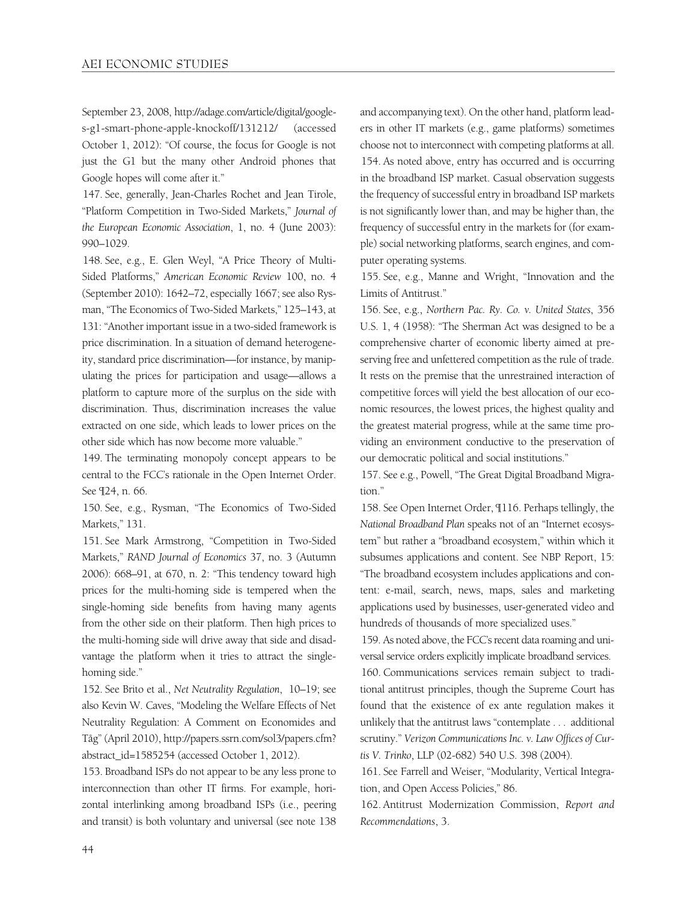September 23, 2008, http://adage.com/article/digital/googles-g1-smart-phone-apple-knockoff/131212/ (accessed October 1, 2012): "Of course, the focus for Google is not just the G1 but the many other Android phones that Google hopes will come after it."

147. See, generally, Jean-Charles Rochet and Jean Tirole, "Platform Competition in Two-Sided Markets," *Journal of the European Economic Association*, 1, no. 4 (June 2003): 990–1029.

148. See, e.g., E. Glen Weyl, "A Price Theory of Multi-Sided Platforms," *American Economic Review* 100, no. 4 (September 2010): 1642–72, especially 1667; see also Rysman, "The Economics of Two-Sided Markets," 125–143, at 131: "Another important issue in a two-sided framework is price discrimination. In a situation of demand heterogeneity, standard price discrimination—for instance, by manipulating the prices for participation and usage—allows a platform to capture more of the surplus on the side with discrimination. Thus, discrimination increases the value extracted on one side, which leads to lower prices on the other side which has now become more valuable."

149. The terminating monopoly concept appears to be central to the FCC's rationale in the Open Internet Order. See ¶24, n. 66.

150. See, e.g., Rysman, "The Economics of Two-Sided Markets," 131.

151. See Mark Armstrong, "Competition in Two-Sided Markets," *RAND Journal of Economics* 37, no. 3 (Autumn 2006): 668–91, at 670, n. 2: "This tendency toward high prices for the multi-homing side is tempered when the single-homing side benefits from having many agents from the other side on their platform. Then high prices to the multi-homing side will drive away that side and disadvantage the platform when it tries to attract the singlehoming side."

152. See Brito et al., *Net Neutrality Regulation*, 10–19; see also Kevin W. Caves, "Modeling the Welfare Effects of Net Neutrality Regulation: A Comment on Economides and Tåg" (April 2010), http://papers.ssrn.com/sol3/papers.cfm? abstract\_id=1585254 (accessed October 1, 2012).

153. Broadband ISPs do not appear to be any less prone to interconnection than other IT firms. For example, horizontal interlinking among broadband ISPs (i.e., peering and transit) is both voluntary and universal (see note 138

and accompanying text). On the other hand, platform leaders in other IT markets (e.g., game platforms) sometimes choose not to interconnect with competing platforms at all. 154. As noted above, entry has occurred and is occurring in the broadband ISP market. Casual observation suggests the frequency of successful entry in broadband ISP markets is not significantly lower than, and may be higher than, the frequency of successful entry in the markets for (for example) social networking platforms, search engines, and computer operating systems.

155. See, e.g., Manne and Wright, "Innovation and the Limits of Antitrust."

156. See, e.g., *Northern Pac. Ry. Co. v. United States*, 356 U.S. 1, 4 (1958): "The Sherman Act was designed to be a comprehensive charter of economic liberty aimed at preserving free and unfettered competition as the rule of trade. It rests on the premise that the unrestrained interaction of competitive forces will yield the best allocation of our economic resources, the lowest prices, the highest quality and the greatest material progress, while at the same time providing an environment conductive to the preservation of our democratic political and social institutions."

157. See e.g., Powell, "The Great Digital Broadband Migration."

158. See Open Internet Order, ¶116. Perhaps tellingly, the *National Broadband Plan* speaks not of an "Internet ecosystem" but rather a "broadband ecosystem," within which it subsumes applications and content. See NBP Report, 15: "The broadband ecosystem includes applications and content: e-mail, search, news, maps, sales and marketing applications used by businesses, user-generated video and hundreds of thousands of more specialized uses."

159. As noted above, the FCC's recent data roaming and universal service orders explicitly implicate broadband services. 160. Communications services remain subject to traditional antitrust principles, though the Supreme Court has found that the existence of ex ante regulation makes it unlikely that the antitrust laws "contemplate . . . additional scrutiny." *Verizon Communications Inc. v. Law Offices of Curtis V. Trinko*, LLP (02-682) 540 U.S. 398 (2004).

161. See Farrell and Weiser, "Modularity, Vertical Integration, and Open Access Policies," 86.

162. Antitrust Modernization Commission, *Report and Recommendations*, 3.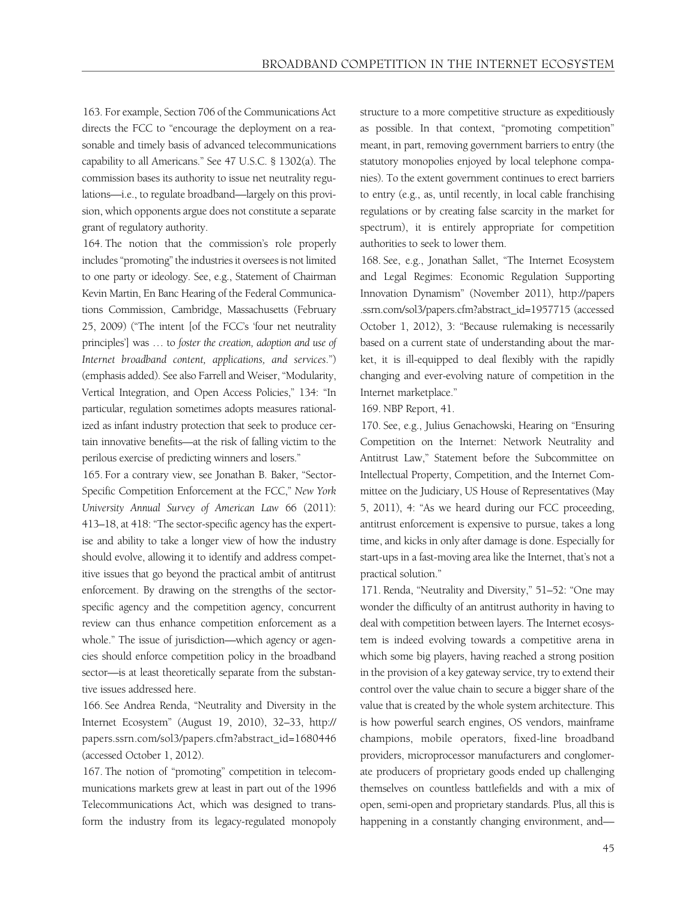163. For example, Section 706 of the Communications Act directs the FCC to "encourage the deployment on a reasonable and timely basis of advanced telecommunications capability to all Americans." See 47 U.S.C. § 1302(a). The commission bases its authority to issue net neutrality regulations—i.e., to regulate broadband—largely on this provision, which opponents argue does not constitute a separate grant of regulatory authority.

164. The notion that the commission's role properly includes "promoting" the industries it oversees is not limited to one party or ideology. See, e.g., Statement of Chairman Kevin Martin, En Banc Hearing of the Federal Communications Commission, Cambridge, Massachusetts (February 25, 2009) ("The intent [of the FCC's 'four net neutrality principles'] was … to *foster the creation, adoption and use of Internet broadband content, applications, and services*.") (emphasis added). See also Farrell and Weiser, "Modularity, Vertical Integration, and Open Access Policies," 134: "In particular, regulation sometimes adopts measures rationalized as infant industry protection that seek to produce certain innovative benefits—at the risk of falling victim to the perilous exercise of predicting winners and losers."

165. For a contrary view, see Jonathan B. Baker, "Sector-Specific Competition Enforcement at the FCC," *New York University Annual Survey of American Law* 66 (2011): 413–18, at 418: "The sector-specific agency has the expertise and ability to take a longer view of how the industry should evolve, allowing it to identify and address competitive issues that go beyond the practical ambit of antitrust enforcement. By drawing on the strengths of the sectorspecific agency and the competition agency, concurrent review can thus enhance competition enforcement as a whole." The issue of jurisdiction—which agency or agencies should enforce competition policy in the broadband sector—is at least theoretically separate from the substantive issues addressed here.

166. See Andrea Renda, "Neutrality and Diversity in the Internet Ecosystem" (August 19, 2010), 32–33, http:// papers.ssrn.com/sol3/papers.cfm?abstract\_id=1680446 (accessed October 1, 2012).

167. The notion of "promoting" competition in telecommunications markets grew at least in part out of the 1996 Telecommunications Act, which was designed to transform the industry from its legacy-regulated monopoly structure to a more competitive structure as expeditiously as possible. In that context, "promoting competition" meant, in part, removing government barriers to entry (the statutory monopolies enjoyed by local telephone companies). To the extent government continues to erect barriers to entry (e.g., as, until recently, in local cable franchising regulations or by creating false scarcity in the market for spectrum), it is entirely appropriate for competition authorities to seek to lower them.

168. See, e.g., Jonathan Sallet, "The Internet Ecosystem and Legal Regimes: Economic Regulation Supporting Innovation Dynamism" (November 2011), http://papers .ssrn.com/sol3/papers.cfm?abstract\_id=1957715 (accessed October 1, 2012), 3: "Because rulemaking is necessarily based on a current state of understanding about the market, it is ill-equipped to deal flexibly with the rapidly changing and ever-evolving nature of competition in the Internet marketplace."

169. NBP Report, 41.

170. See, e.g., Julius Genachowski, Hearing on "Ensuring Competition on the Internet: Network Neutrality and Antitrust Law," Statement before the Subcommittee on Intellectual Property, Competition, and the Internet Committee on the Judiciary, US House of Representatives (May 5, 2011), 4: "As we heard during our FCC proceeding, antitrust enforcement is expensive to pursue, takes a long time, and kicks in only after damage is done. Especially for start-ups in a fast-moving area like the Internet, that's not a practical solution."

171. Renda, "Neutrality and Diversity," 51–52: "One may wonder the difficulty of an antitrust authority in having to deal with competition between layers. The Internet ecosystem is indeed evolving towards a competitive arena in which some big players, having reached a strong position in the provision of a key gateway service, try to extend their control over the value chain to secure a bigger share of the value that is created by the whole system architecture. This is how powerful search engines, OS vendors, mainframe champions, mobile operators, fixed-line broadband providers, microprocessor manufacturers and conglomerate producers of proprietary goods ended up challenging themselves on countless battlefields and with a mix of open, semi-open and proprietary standards. Plus, all this is happening in a constantly changing environment, and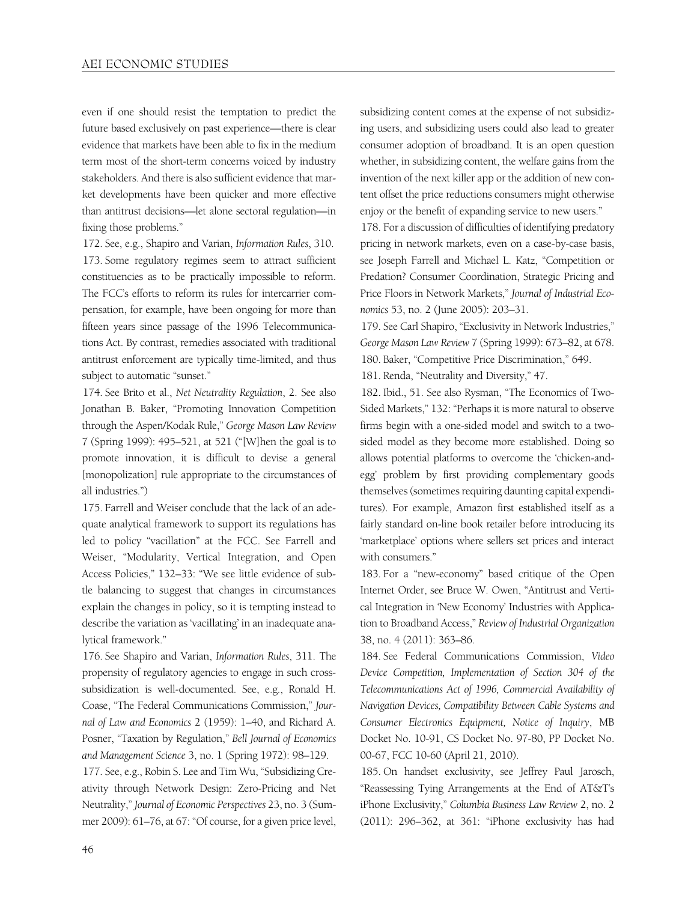even if one should resist the temptation to predict the future based exclusively on past experience—there is clear evidence that markets have been able to fix in the medium term most of the short-term concerns voiced by industry stakeholders. And there is also sufficient evidence that market developments have been quicker and more effective than antitrust decisions—let alone sectoral regulation—in fixing those problems."

172. See, e.g., Shapiro and Varian, *Information Rules*, 310. 173. Some regulatory regimes seem to attract sufficient constituencies as to be practically impossible to reform. The FCC's efforts to reform its rules for intercarrier compensation, for example, have been ongoing for more than fifteen years since passage of the 1996 Telecommunications Act. By contrast, remedies associated with traditional antitrust enforcement are typically time-limited, and thus subject to automatic "sunset."

174. See Brito et al., *Net Neutrality Regulation*, 2. See also Jonathan B. Baker, "Promoting Innovation Competition through the Aspen/Kodak Rule," *George Mason Law Review* 7 (Spring 1999): 495–521, at 521 ("[W]hen the goal is to promote innovation, it is difficult to devise a general [monopolization] rule appropriate to the circumstances of all industries.")

175. Farrell and Weiser conclude that the lack of an adequate analytical framework to support its regulations has led to policy "vacillation" at the FCC. See Farrell and Weiser, "Modularity, Vertical Integration, and Open Access Policies," 132–33: "We see little evidence of subtle balancing to suggest that changes in circumstances explain the changes in policy, so it is tempting instead to describe the variation as 'vacillating' in an inadequate analytical framework."

176. See Shapiro and Varian, *Information Rules*, 311. The propensity of regulatory agencies to engage in such crosssubsidization is well-documented. See, e.g., Ronald H. Coase, "The Federal Communications Commission," *Journal of Law and Economics* 2 (1959): 1–40, and Richard A. Posner, "Taxation by Regulation," *Bell Journal of Economics and Management Science* 3, no. 1 (Spring 1972): 98–129.

177. See, e.g., Robin S. Lee and Tim Wu, "Subsidizing Creativity through Network Design: Zero-Pricing and Net Neutrality," *Journal of Economic Perspectives* 23, no. 3 (Summer 2009): 61–76, at 67: "Of course, for a given price level, subsidizing content comes at the expense of not subsidizing users, and subsidizing users could also lead to greater consumer adoption of broadband. It is an open question whether, in subsidizing content, the welfare gains from the invention of the next killer app or the addition of new content offset the price reductions consumers might otherwise enjoy or the benefit of expanding service to new users."

178. For a discussion of difficulties of identifying predatory pricing in network markets, even on a case-by-case basis, see Joseph Farrell and Michael L. Katz, "Competition or Predation? Consumer Coordination, Strategic Pricing and Price Floors in Network Markets," *Journal of Industrial Economics* 53, no. 2 (June 2005): 203–31.

179. See Carl Shapiro, "Exclusivity in Network Industries," *George Mason Law Review* 7 (Spring 1999): 673–82, at 678. 180. Baker, "Competitive Price Discrimination," 649.

181. Renda, "Neutrality and Diversity," 47.

182. Ibid., 51. See also Rysman, "The Economics of Two-Sided Markets," 132: "Perhaps it is more natural to observe firms begin with a one-sided model and switch to a twosided model as they become more established. Doing so allows potential platforms to overcome the 'chicken-andegg' problem by first providing complementary goods themselves (sometimes requiring daunting capital expenditures). For example, Amazon first established itself as a fairly standard on-line book retailer before introducing its 'marketplace' options where sellers set prices and interact with consumers."

183. For a "new-economy" based critique of the Open Internet Order, see Bruce W. Owen, "Antitrust and Vertical Integration in 'New Economy' Industries with Application to Broadband Access," *Review of Industrial Organization* 38, no. 4 (2011): 363–86.

184. See Federal Communications Commission, *Video Device Competition, Implementation of Section 304 of the Telecommunications Act of 1996, Commercial Availability of Navigation Devices, Compatibility Between Cable Systems and Consumer Electronics Equipment, Notice of Inquiry*, MB Docket No. 10-91, CS Docket No. 97-80, PP Docket No. 00-67, FCC 10-60 (April 21, 2010).

185. On handset exclusivity, see Jeffrey Paul Jarosch, "Reassessing Tying Arrangements at the End of AT&T's iPhone Exclusivity," *Columbia Business Law Review* 2, no. 2 (2011): 296–362, at 361: "iPhone exclusivity has had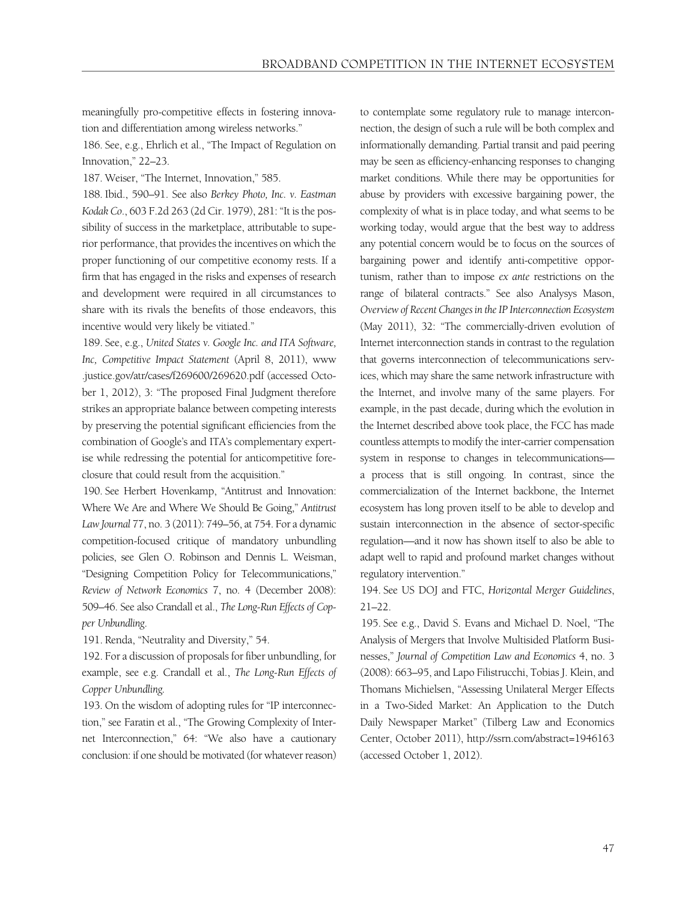meaningfully pro-competitive effects in fostering innovation and differentiation among wireless networks."

186. See, e.g., Ehrlich et al., "The Impact of Regulation on Innovation," 22–23.

187. Weiser, "The Internet, Innovation," 585.

188. Ibid., 590–91. See also *Berkey Photo, Inc. v. Eastman Kodak Co*., 603 F.2d 263 (2d Cir. 1979), 281: "It is the possibility of success in the marketplace, attributable to superior performance, that provides the incentives on which the proper functioning of our competitive economy rests. If a firm that has engaged in the risks and expenses of research and development were required in all circumstances to share with its rivals the benefits of those endeavors, this incentive would very likely be vitiated."

189. See, e.g., *United States v. Google Inc. and ITA Software, Inc, Competitive Impact Statement* (April 8, 2011), www .justice.gov/atr/cases/f269600/269620.pdf (accessed October 1, 2012), 3: "The proposed Final Judgment therefore strikes an appropriate balance between competing interests by preserving the potential significant efficiencies from the combination of Google's and ITA's complementary expertise while redressing the potential for anticompetitive foreclosure that could result from the acquisition."

190. See Herbert Hovenkamp, "Antitrust and Innovation: Where We Are and Where We Should Be Going," *Antitrust Law Journal* 77, no. 3 (2011): 749–56, at 754. For a dynamic competition-focused critique of mandatory unbundling policies, see Glen O. Robinson and Dennis L. Weisman, "Designing Competition Policy for Telecommunications," *Review of Network Economics* 7, no. 4 (December 2008): 509–46. See also Crandall et al., *The Long-Run Effects of Copper Unbundling*.

191. Renda, "Neutrality and Diversity," 54.

192. For a discussion of proposals for fiber unbundling, for example, see e.g. Crandall et al., *The Long-Run Effects of Copper Unbundling.*

193. On the wisdom of adopting rules for "IP interconnection," see Faratin et al., "The Growing Complexity of Internet Interconnection," 64: "We also have a cautionary conclusion: if one should be motivated (for whatever reason) to contemplate some regulatory rule to manage interconnection, the design of such a rule will be both complex and informationally demanding. Partial transit and paid peering may be seen as efficiency-enhancing responses to changing market conditions. While there may be opportunities for abuse by providers with excessive bargaining power, the complexity of what is in place today, and what seems to be working today, would argue that the best way to address any potential concern would be to focus on the sources of bargaining power and identify anti-competitive opportunism, rather than to impose *ex ante* restrictions on the range of bilateral contracts." See also Analysys Mason, *Overview of Recent Changes in the IP Interconnection Ecosystem* (May 2011), 32: "The commercially-driven evolution of Internet interconnection stands in contrast to the regulation that governs interconnection of telecommunications services, which may share the same network infrastructure with the Internet, and involve many of the same players. For example, in the past decade, during which the evolution in the Internet described above took place, the FCC has made countless attempts to modify the inter-carrier compensation system in response to changes in telecommunications a process that is still ongoing. In contrast, since the commercialization of the Internet backbone, the Internet ecosystem has long proven itself to be able to develop and sustain interconnection in the absence of sector-specific regulation—and it now has shown itself to also be able to adapt well to rapid and profound market changes without regulatory intervention."

194. See US DOJ and FTC, *Horizontal Merger Guidelines*, 21–22.

195. See e.g., David S. Evans and Michael D. Noel, "The Analysis of Mergers that Involve Multisided Platform Businesses," *Journal of Competition Law and Economics* 4, no. 3 (2008): 663–95, and Lapo Filistrucchi, Tobias J. Klein, and Thomans Michielsen, "Assessing Unilateral Merger Effects in a Two-Sided Market: An Application to the Dutch Daily Newspaper Market" (Tilberg Law and Economics Center, October 2011), http://ssrn.com/abstract=1946163 (accessed October 1, 2012).